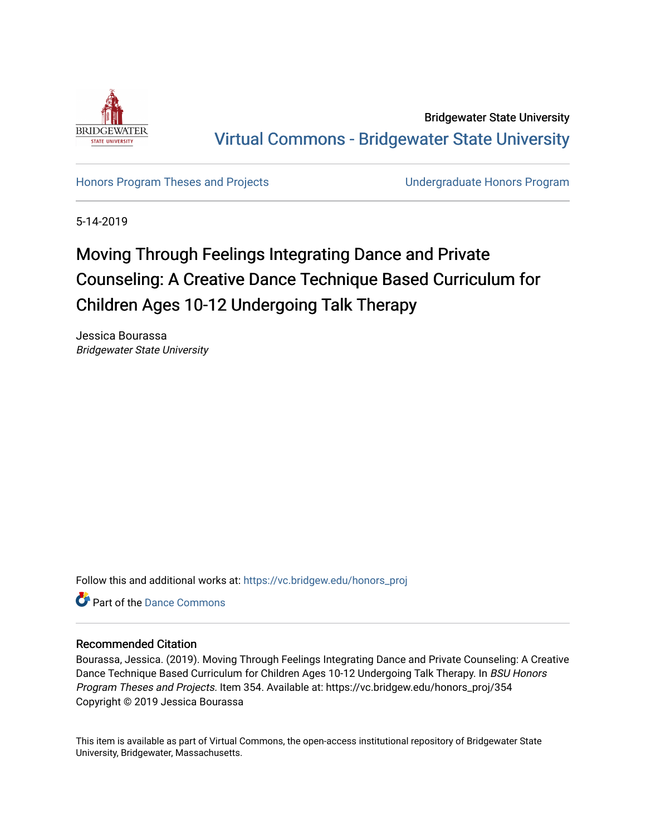

Bridgewater State University [Virtual Commons - Bridgewater State University](https://vc.bridgew.edu/) 

[Honors Program Theses and Projects](https://vc.bridgew.edu/honors_proj) [Undergraduate Honors Program](https://vc.bridgew.edu/honors) 

5-14-2019

# Moving Through Feelings Integrating Dance and Private Counseling: A Creative Dance Technique Based Curriculum for Children Ages 10-12 Undergoing Talk Therapy

Jessica Bourassa Bridgewater State University

Follow this and additional works at: [https://vc.bridgew.edu/honors\\_proj](https://vc.bridgew.edu/honors_proj?utm_source=vc.bridgew.edu%2Fhonors_proj%2F354&utm_medium=PDF&utm_campaign=PDFCoverPages)

**Part of the Dance Commons** 

#### Recommended Citation

Bourassa, Jessica. (2019). Moving Through Feelings Integrating Dance and Private Counseling: A Creative Dance Technique Based Curriculum for Children Ages 10-12 Undergoing Talk Therapy. In BSU Honors Program Theses and Projects. Item 354. Available at: https://vc.bridgew.edu/honors\_proj/354 Copyright © 2019 Jessica Bourassa

This item is available as part of Virtual Commons, the open-access institutional repository of Bridgewater State University, Bridgewater, Massachusetts.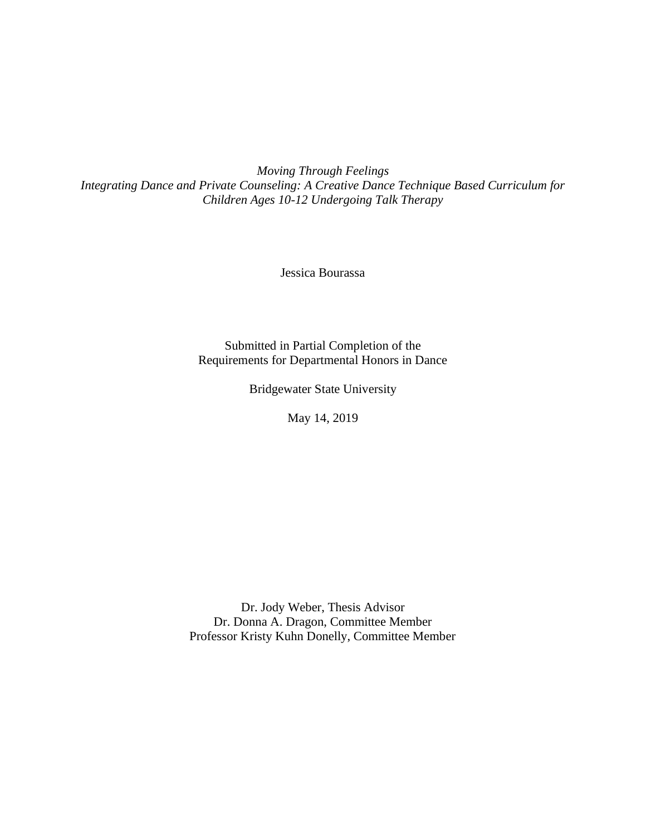*Moving Through Feelings Integrating Dance and Private Counseling: A Creative Dance Technique Based Curriculum for Children Ages 10-12 Undergoing Talk Therapy*

Jessica Bourassa

Submitted in Partial Completion of the Requirements for Departmental Honors in Dance

Bridgewater State University

May 14, 2019

Dr. Jody Weber, Thesis Advisor Dr. Donna A. Dragon, Committee Member Professor Kristy Kuhn Donelly, Committee Member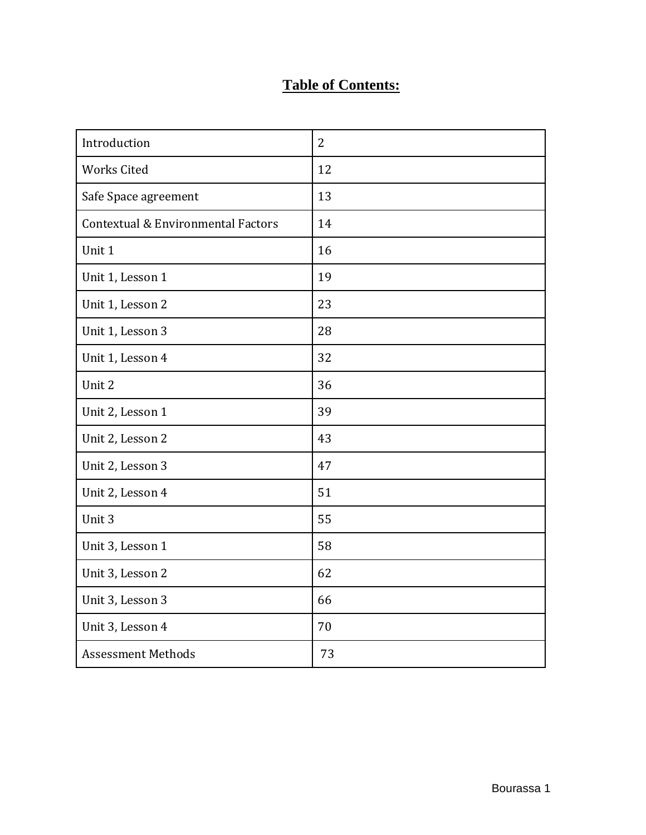## **Table of Contents:**

| Introduction                       | $\overline{2}$ |
|------------------------------------|----------------|
| <b>Works Cited</b>                 | 12             |
| Safe Space agreement               | 13             |
| Contextual & Environmental Factors | 14             |
| Unit 1                             | 16             |
| Unit 1, Lesson 1                   | 19             |
| Unit 1, Lesson 2                   | 23             |
| Unit 1, Lesson 3                   | 28             |
| Unit 1, Lesson 4                   | 32             |
| Unit 2                             | 36             |
| Unit 2, Lesson 1                   | 39             |
| Unit 2, Lesson 2                   | 43             |
| Unit 2, Lesson 3                   | 47             |
| Unit 2, Lesson 4                   | 51             |
| Unit 3                             | 55             |
| Unit 3, Lesson 1                   | 58             |
| Unit 3, Lesson 2                   | 62             |
| Unit 3, Lesson 3                   | 66             |
| Unit 3, Lesson 4                   | 70             |
| <b>Assessment Methods</b>          | 73             |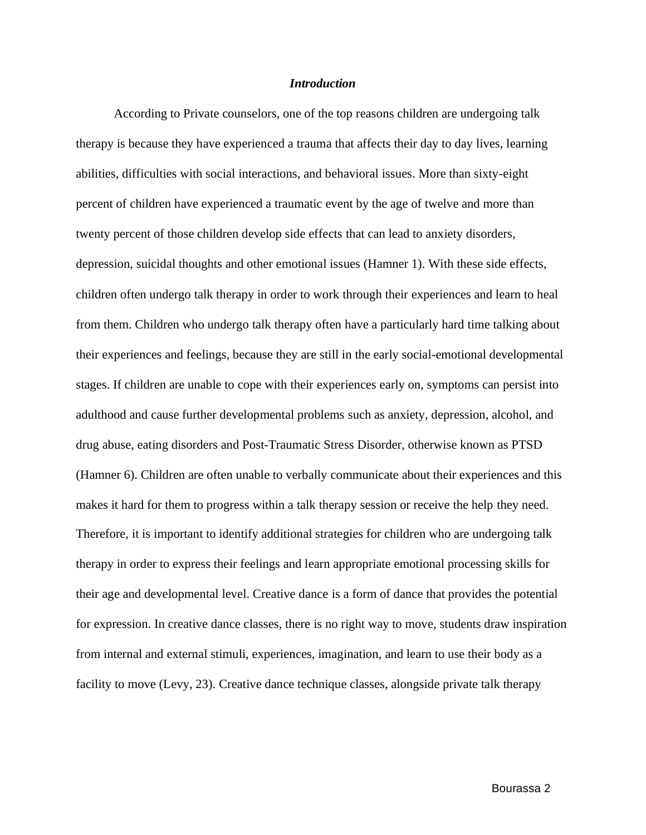#### *Introduction*

According to Private counselors, one of the top reasons children are undergoing talk therapy is because they have experienced a trauma that affects their day to day lives, learning abilities, difficulties with social interactions, and behavioral issues. More than sixty-eight percent of children have experienced a traumatic event by the age of twelve and more than twenty percent of those children develop side effects that can lead to anxiety disorders, depression, suicidal thoughts and other emotional issues (Hamner 1). With these side effects, children often undergo talk therapy in order to work through their experiences and learn to heal from them. Children who undergo talk therapy often have a particularly hard time talking about their experiences and feelings, because they are still in the early social-emotional developmental stages. If children are unable to cope with their experiences early on, symptoms can persist into adulthood and cause further developmental problems such as anxiety, depression, alcohol, and drug abuse, eating disorders and Post-Traumatic Stress Disorder, otherwise known as PTSD (Hamner 6). Children are often unable to verbally communicate about their experiences and this makes it hard for them to progress within a talk therapy session or receive the help they need. Therefore, it is important to identify additional strategies for children who are undergoing talk therapy in order to express their feelings and learn appropriate emotional processing skills for their age and developmental level. Creative dance is a form of dance that provides the potential for expression. In creative dance classes, there is no right way to move, students draw inspiration from internal and external stimuli, experiences, imagination, and learn to use their body as a facility to move (Levy, 23). Creative dance technique classes, alongside private talk therapy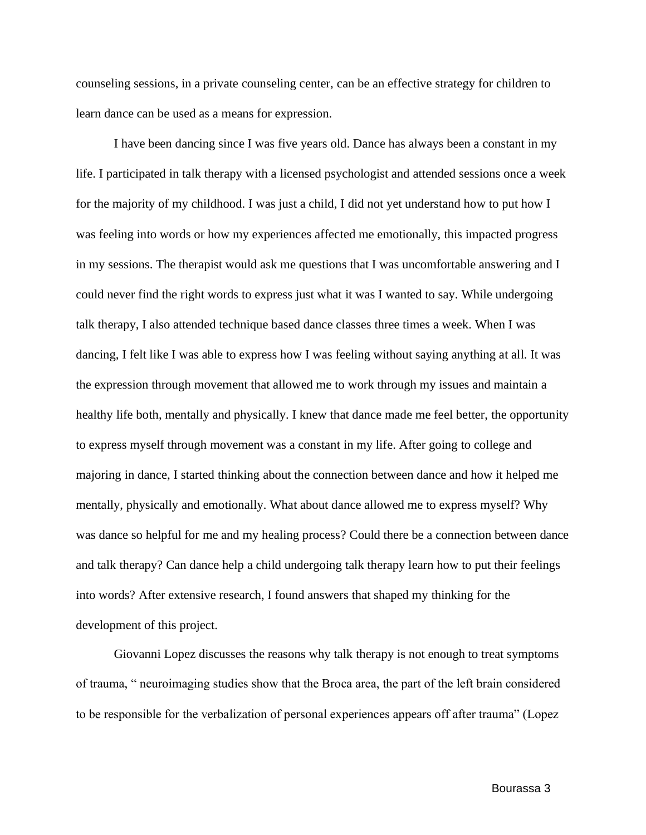counseling sessions, in a private counseling center, can be an effective strategy for children to learn dance can be used as a means for expression.

I have been dancing since I was five years old. Dance has always been a constant in my life. I participated in talk therapy with a licensed psychologist and attended sessions once a week for the majority of my childhood. I was just a child, I did not yet understand how to put how I was feeling into words or how my experiences affected me emotionally, this impacted progress in my sessions. The therapist would ask me questions that I was uncomfortable answering and I could never find the right words to express just what it was I wanted to say. While undergoing talk therapy, I also attended technique based dance classes three times a week. When I was dancing, I felt like I was able to express how I was feeling without saying anything at all. It was the expression through movement that allowed me to work through my issues and maintain a healthy life both, mentally and physically. I knew that dance made me feel better, the opportunity to express myself through movement was a constant in my life. After going to college and majoring in dance, I started thinking about the connection between dance and how it helped me mentally, physically and emotionally. What about dance allowed me to express myself? Why was dance so helpful for me and my healing process? Could there be a connection between dance and talk therapy? Can dance help a child undergoing talk therapy learn how to put their feelings into words? After extensive research, I found answers that shaped my thinking for the development of this project.

Giovanni Lopez discusses the reasons why talk therapy is not enough to treat symptoms of trauma, " neuroimaging studies show that the Broca area, the part of the left brain considered to be responsible for the verbalization of personal experiences appears off after trauma" (Lopez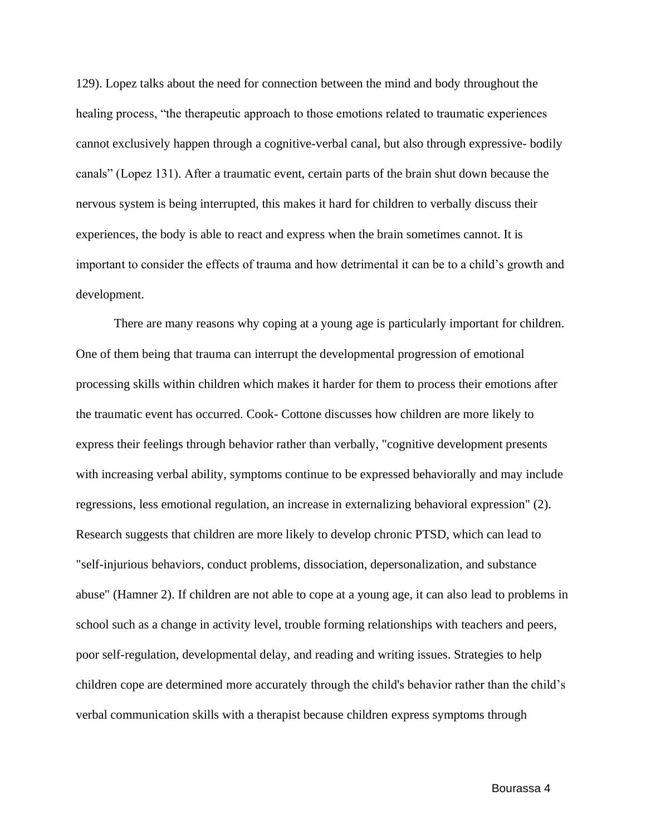129). Lopez talks about the need for connection between the mind and body throughout the healing process, "the therapeutic approach to those emotions related to traumatic experiences cannot exclusively happen through a cognitive-verbal canal, but also through expressive- bodily canals" (Lopez 131). After a traumatic event, certain parts of the brain shut down because the nervous system is being interrupted, this makes it hard for children to verbally discuss their experiences, the body is able to react and express when the brain sometimes cannot. It is important to consider the effects of trauma and how detrimental it can be to a child's growth and development.

There are many reasons why coping at a young age is particularly important for children. One of them being that trauma can interrupt the developmental progression of emotional processing skills within children which makes it harder for them to process their emotions after the traumatic event has occurred. Cook- Cottone discusses how children are more likely to express their feelings through behavior rather than verbally, "cognitive development presents with increasing verbal ability, symptoms continue to be expressed behaviorally and may include regressions, less emotional regulation, an increase in externalizing behavioral expression" (2). Research suggests that children are more likely to develop chronic PTSD, which can lead to "self-injurious behaviors, conduct problems, dissociation, depersonalization, and substance abuse" (Hamner 2). If children are not able to cope at a young age, it can also lead to problems in school such as a change in activity level, trouble forming relationships with teachers and peers, poor self-regulation, developmental delay, and reading and writing issues. Strategies to help children cope are determined more accurately through the child's behavior rather than the child's verbal communication skills with a therapist because children express symptoms through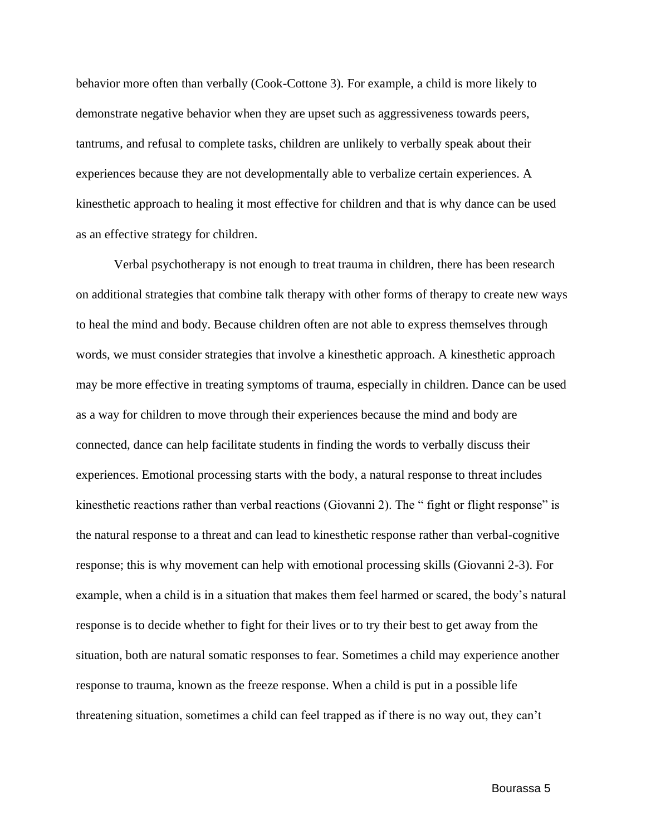behavior more often than verbally (Cook-Cottone 3). For example, a child is more likely to demonstrate negative behavior when they are upset such as aggressiveness towards peers, tantrums, and refusal to complete tasks, children are unlikely to verbally speak about their experiences because they are not developmentally able to verbalize certain experiences. A kinesthetic approach to healing it most effective for children and that is why dance can be used as an effective strategy for children.

Verbal psychotherapy is not enough to treat trauma in children, there has been research on additional strategies that combine talk therapy with other forms of therapy to create new ways to heal the mind and body. Because children often are not able to express themselves through words, we must consider strategies that involve a kinesthetic approach. A kinesthetic approach may be more effective in treating symptoms of trauma, especially in children. Dance can be used as a way for children to move through their experiences because the mind and body are connected, dance can help facilitate students in finding the words to verbally discuss their experiences. Emotional processing starts with the body, a natural response to threat includes kinesthetic reactions rather than verbal reactions (Giovanni 2). The "fight or flight response" is the natural response to a threat and can lead to kinesthetic response rather than verbal-cognitive response; this is why movement can help with emotional processing skills (Giovanni 2-3). For example, when a child is in a situation that makes them feel harmed or scared, the body's natural response is to decide whether to fight for their lives or to try their best to get away from the situation, both are natural somatic responses to fear. Sometimes a child may experience another response to trauma, known as the freeze response. When a child is put in a possible life threatening situation, sometimes a child can feel trapped as if there is no way out, they can't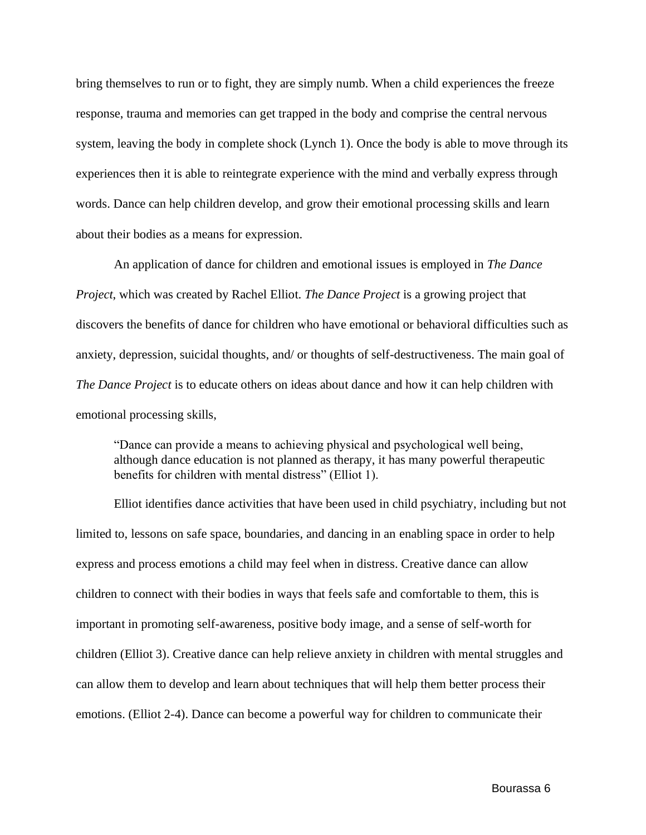bring themselves to run or to fight, they are simply numb. When a child experiences the freeze response, trauma and memories can get trapped in the body and comprise the central nervous system, leaving the body in complete shock (Lynch 1). Once the body is able to move through its experiences then it is able to reintegrate experience with the mind and verbally express through words. Dance can help children develop, and grow their emotional processing skills and learn about their bodies as a means for expression.

An application of dance for children and emotional issues is employed in *The Dance Project*, which was created by Rachel Elliot. *The Dance Project* is a growing project that discovers the benefits of dance for children who have emotional or behavioral difficulties such as anxiety, depression, suicidal thoughts, and/ or thoughts of self-destructiveness. The main goal of *The Dance Project* is to educate others on ideas about dance and how it can help children with emotional processing skills,

"Dance can provide a means to achieving physical and psychological well being, although dance education is not planned as therapy, it has many powerful therapeutic benefits for children with mental distress" (Elliot 1).

Elliot identifies dance activities that have been used in child psychiatry, including but not limited to, lessons on safe space, boundaries, and dancing in an enabling space in order to help express and process emotions a child may feel when in distress. Creative dance can allow children to connect with their bodies in ways that feels safe and comfortable to them, this is important in promoting self-awareness, positive body image, and a sense of self-worth for children (Elliot 3). Creative dance can help relieve anxiety in children with mental struggles and can allow them to develop and learn about techniques that will help them better process their emotions. (Elliot 2-4). Dance can become a powerful way for children to communicate their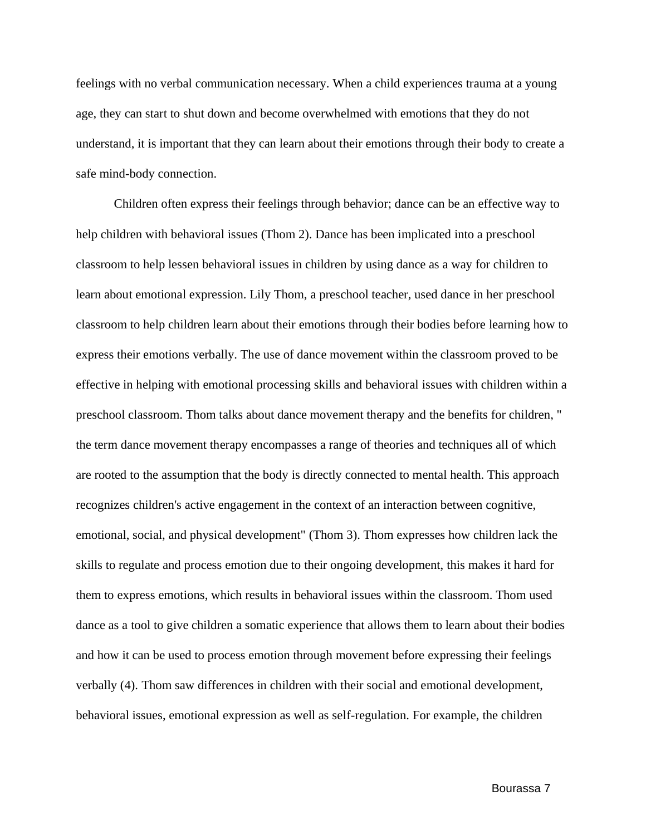feelings with no verbal communication necessary. When a child experiences trauma at a young age, they can start to shut down and become overwhelmed with emotions that they do not understand, it is important that they can learn about their emotions through their body to create a safe mind-body connection.

Children often express their feelings through behavior; dance can be an effective way to help children with behavioral issues (Thom 2). Dance has been implicated into a preschool classroom to help lessen behavioral issues in children by using dance as a way for children to learn about emotional expression. Lily Thom, a preschool teacher, used dance in her preschool classroom to help children learn about their emotions through their bodies before learning how to express their emotions verbally. The use of dance movement within the classroom proved to be effective in helping with emotional processing skills and behavioral issues with children within a preschool classroom. Thom talks about dance movement therapy and the benefits for children, " the term dance movement therapy encompasses a range of theories and techniques all of which are rooted to the assumption that the body is directly connected to mental health. This approach recognizes children's active engagement in the context of an interaction between cognitive, emotional, social, and physical development" (Thom 3). Thom expresses how children lack the skills to regulate and process emotion due to their ongoing development, this makes it hard for them to express emotions, which results in behavioral issues within the classroom. Thom used dance as a tool to give children a somatic experience that allows them to learn about their bodies and how it can be used to process emotion through movement before expressing their feelings verbally (4). Thom saw differences in children with their social and emotional development, behavioral issues, emotional expression as well as self-regulation. For example, the children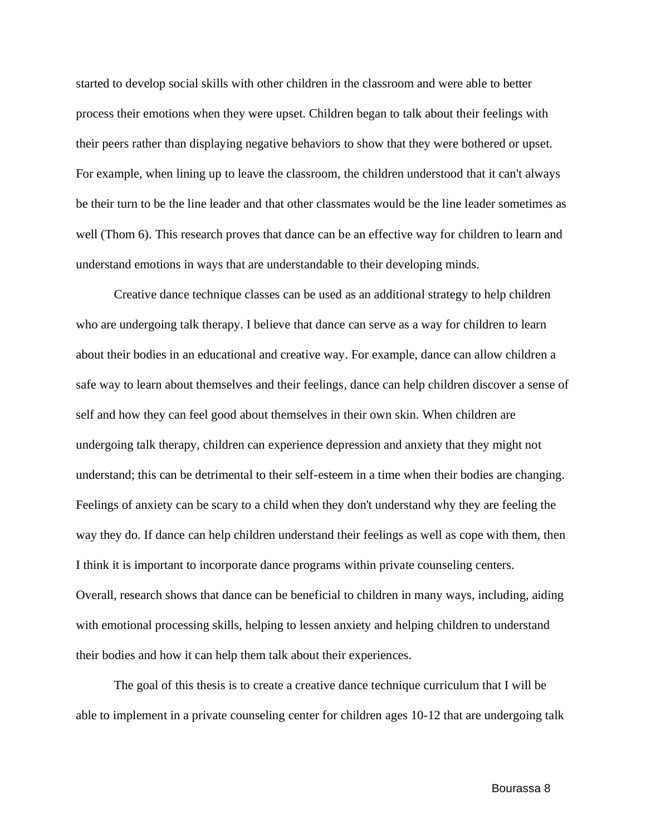started to develop social skills with other children in the classroom and were able to better process their emotions when they were upset. Children began to talk about their feelings with their peers rather than displaying negative behaviors to show that they were bothered or upset. For example, when lining up to leave the classroom, the children understood that it can't always be their turn to be the line leader and that other classmates would be the line leader sometimes as well (Thom 6). This research proves that dance can be an effective way for children to learn and understand emotions in ways that are understandable to their developing minds.

Creative dance technique classes can be used as an additional strategy to help children who are undergoing talk therapy. I believe that dance can serve as a way for children to learn about their bodies in an educational and creative way. For example, dance can allow children a safe way to learn about themselves and their feelings, dance can help children discover a sense of self and how they can feel good about themselves in their own skin. When children are undergoing talk therapy, children can experience depression and anxiety that they might not understand; this can be detrimental to their self-esteem in a time when their bodies are changing. Feelings of anxiety can be scary to a child when they don't understand why they are feeling the way they do. If dance can help children understand their feelings as well as cope with them, then I think it is important to incorporate dance programs within private counseling centers. Overall, research shows that dance can be beneficial to children in many ways, including, aiding with emotional processing skills, helping to lessen anxiety and helping children to understand their bodies and how it can help them talk about their experiences.

The goal of this thesis is to create a creative dance technique curriculum that I will be able to implement in a private counseling center for children ages 10-12 that are undergoing talk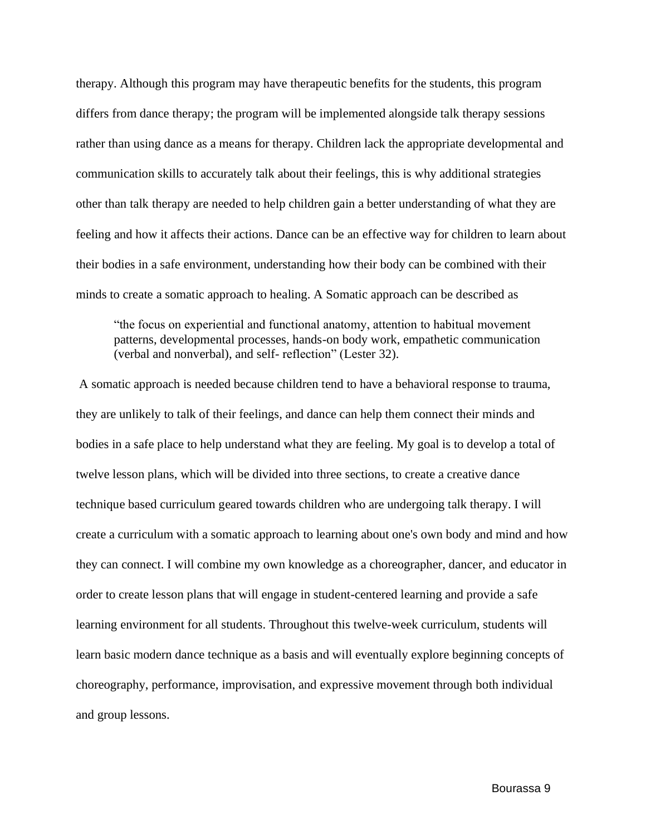therapy. Although this program may have therapeutic benefits for the students, this program differs from dance therapy; the program will be implemented alongside talk therapy sessions rather than using dance as a means for therapy. Children lack the appropriate developmental and communication skills to accurately talk about their feelings, this is why additional strategies other than talk therapy are needed to help children gain a better understanding of what they are feeling and how it affects their actions. Dance can be an effective way for children to learn about their bodies in a safe environment, understanding how their body can be combined with their minds to create a somatic approach to healing. A Somatic approach can be described as

"the focus on experiential and functional anatomy, attention to habitual movement patterns, developmental processes, hands-on body work, empathetic communication (verbal and nonverbal), and self- reflection" (Lester 32).

A somatic approach is needed because children tend to have a behavioral response to trauma, they are unlikely to talk of their feelings, and dance can help them connect their minds and bodies in a safe place to help understand what they are feeling. My goal is to develop a total of twelve lesson plans, which will be divided into three sections, to create a creative dance technique based curriculum geared towards children who are undergoing talk therapy. I will create a curriculum with a somatic approach to learning about one's own body and mind and how they can connect. I will combine my own knowledge as a choreographer, dancer, and educator in order to create lesson plans that will engage in student-centered learning and provide a safe learning environment for all students. Throughout this twelve-week curriculum, students will learn basic modern dance technique as a basis and will eventually explore beginning concepts of choreography, performance, improvisation, and expressive movement through both individual and group lessons.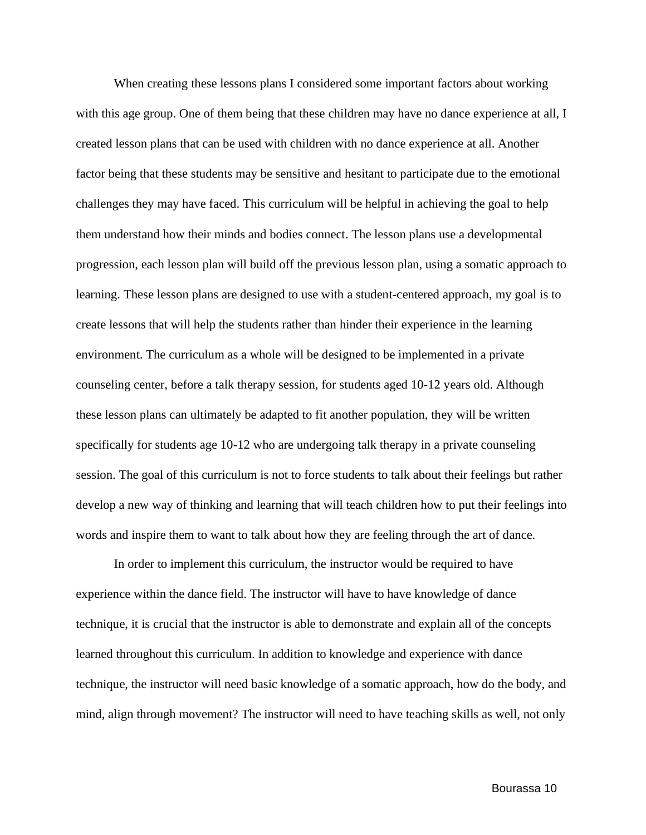When creating these lessons plans I considered some important factors about working with this age group. One of them being that these children may have no dance experience at all, I created lesson plans that can be used with children with no dance experience at all. Another factor being that these students may be sensitive and hesitant to participate due to the emotional challenges they may have faced. This curriculum will be helpful in achieving the goal to help them understand how their minds and bodies connect. The lesson plans use a developmental progression, each lesson plan will build off the previous lesson plan, using a somatic approach to learning. These lesson plans are designed to use with a student-centered approach, my goal is to create lessons that will help the students rather than hinder their experience in the learning environment. The curriculum as a whole will be designed to be implemented in a private counseling center, before a talk therapy session, for students aged 10-12 years old. Although these lesson plans can ultimately be adapted to fit another population, they will be written specifically for students age 10-12 who are undergoing talk therapy in a private counseling session. The goal of this curriculum is not to force students to talk about their feelings but rather develop a new way of thinking and learning that will teach children how to put their feelings into words and inspire them to want to talk about how they are feeling through the art of dance.

In order to implement this curriculum, the instructor would be required to have experience within the dance field. The instructor will have to have knowledge of dance technique, it is crucial that the instructor is able to demonstrate and explain all of the concepts learned throughout this curriculum. In addition to knowledge and experience with dance technique, the instructor will need basic knowledge of a somatic approach, how do the body, and mind, align through movement? The instructor will need to have teaching skills as well, not only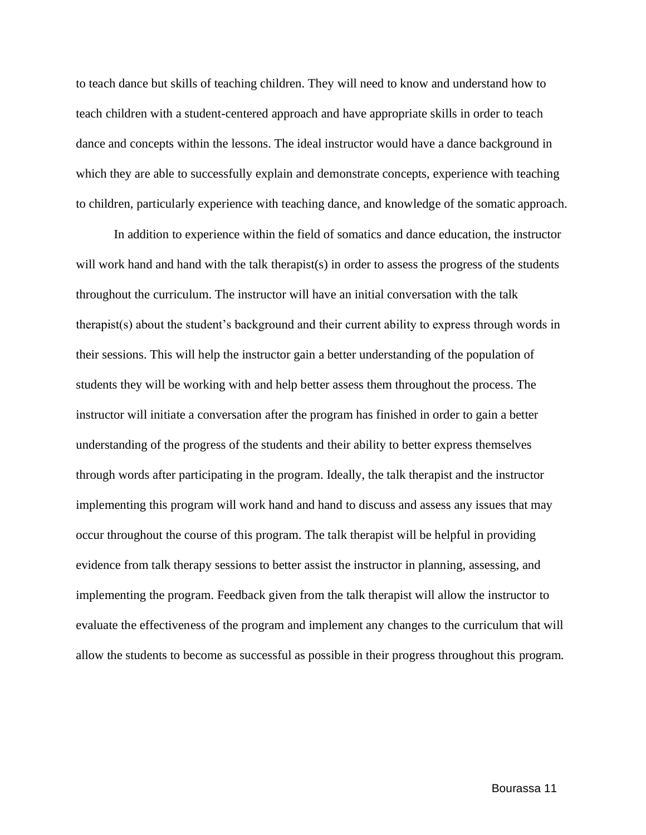to teach dance but skills of teaching children. They will need to know and understand how to teach children with a student-centered approach and have appropriate skills in order to teach dance and concepts within the lessons. The ideal instructor would have a dance background in which they are able to successfully explain and demonstrate concepts, experience with teaching to children, particularly experience with teaching dance, and knowledge of the somatic approach.

In addition to experience within the field of somatics and dance education, the instructor will work hand and hand with the talk therapist(s) in order to assess the progress of the students throughout the curriculum. The instructor will have an initial conversation with the talk therapist(s) about the student's background and their current ability to express through words in their sessions. This will help the instructor gain a better understanding of the population of students they will be working with and help better assess them throughout the process. The instructor will initiate a conversation after the program has finished in order to gain a better understanding of the progress of the students and their ability to better express themselves through words after participating in the program. Ideally, the talk therapist and the instructor implementing this program will work hand and hand to discuss and assess any issues that may occur throughout the course of this program. The talk therapist will be helpful in providing evidence from talk therapy sessions to better assist the instructor in planning, assessing, and implementing the program. Feedback given from the talk therapist will allow the instructor to evaluate the effectiveness of the program and implement any changes to the curriculum that will allow the students to become as successful as possible in their progress throughout this program.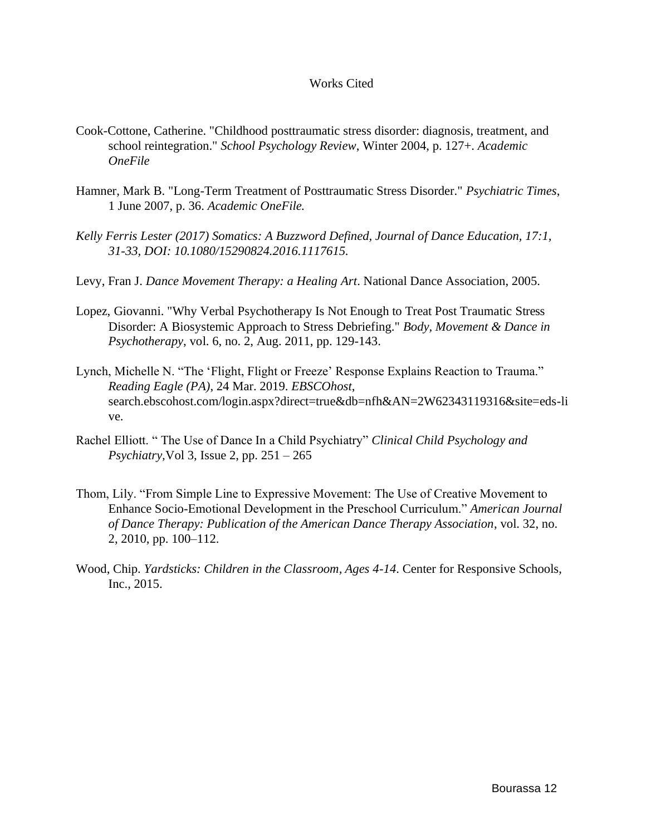#### Works Cited

- Cook-Cottone, Catherine. "Childhood posttraumatic stress disorder: diagnosis, treatment, and school reintegration." *School Psychology Review*, Winter 2004, p. 127+. *Academic OneFile*
- Hamner, Mark B. "Long-Term Treatment of Posttraumatic Stress Disorder." *Psychiatric Times*, 1 June 2007, p. 36. *Academic OneFile.*
- *Kelly Ferris Lester (2017) Somatics: A Buzzword Defined, Journal of Dance Education, 17:1, 31-33, DOI: 10.1080/15290824.2016.1117615.*
- Levy, Fran J. *Dance Movement Therapy: a Healing Art*. National Dance Association, 2005.
- Lopez, Giovanni. "Why Verbal Psychotherapy Is Not Enough to Treat Post Traumatic Stress Disorder: A Biosystemic Approach to Stress Debriefing." *Body, Movement & Dance in Psychotherapy*, vol. 6, no. 2, Aug. 2011, pp. 129-143.
- Lynch, Michelle N. "The 'Flight, Flight or Freeze' Response Explains Reaction to Trauma." *Reading Eagle (PA)*, 24 Mar. 2019. *EBSCOhost*, search.ebscohost.com/login.aspx?direct=true&db=nfh&AN=2W62343119316&site=eds-li ve.
- Rachel Elliott. " The Use of Dance In a Child Psychiatry" *Clinical Child Psychology and Psychiatry,*Vol 3, Issue 2, pp. 251 – 265
- Thom, Lily. "From Simple Line to Expressive Movement: The Use of Creative Movement to Enhance Socio-Emotional Development in the Preschool Curriculum." *American Journal of Dance Therapy: Publication of the American Dance Therapy Association*, vol. 32, no. 2, 2010, pp. 100–112.
- Wood, Chip. *Yardsticks: Children in the Classroom, Ages 4-14*. Center for Responsive Schools, Inc., 2015.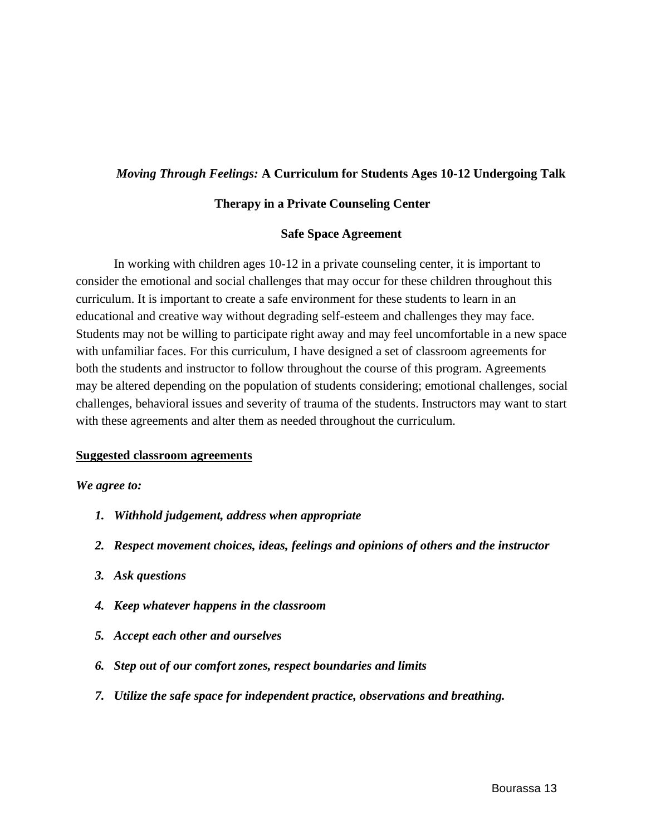#### *Moving Through Feelings:* **A Curriculum for Students Ages 10-12 Undergoing Talk**

#### **Therapy in a Private Counseling Center**

#### **Safe Space Agreement**

In working with children ages 10-12 in a private counseling center, it is important to consider the emotional and social challenges that may occur for these children throughout this curriculum. It is important to create a safe environment for these students to learn in an educational and creative way without degrading self-esteem and challenges they may face. Students may not be willing to participate right away and may feel uncomfortable in a new space with unfamiliar faces. For this curriculum, I have designed a set of classroom agreements for both the students and instructor to follow throughout the course of this program. Agreements may be altered depending on the population of students considering; emotional challenges, social challenges, behavioral issues and severity of trauma of the students. Instructors may want to start with these agreements and alter them as needed throughout the curriculum.

#### **Suggested classroom agreements**

#### *We agree to:*

- *1. Withhold judgement, address when appropriate*
- *2. Respect movement choices, ideas, feelings and opinions of others and the instructor*
- *3. Ask questions*
- *4. Keep whatever happens in the classroom*
- *5. Accept each other and ourselves*
- *6. Step out of our comfort zones, respect boundaries and limits*
- *7. Utilize the safe space for independent practice, observations and breathing.*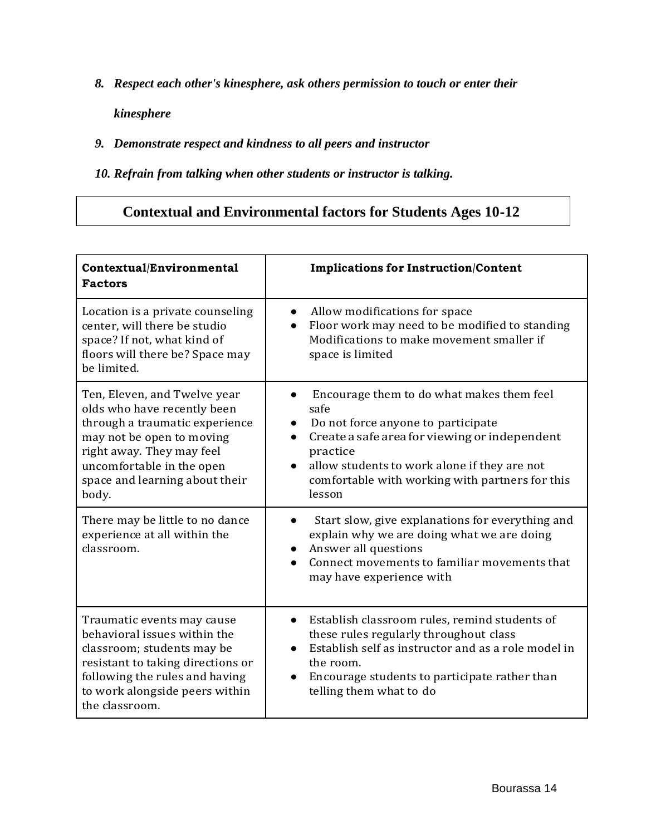*8. Respect each other's kinesphere, ask others permission to touch or enter their* 

*kinesphere*

### *9. Demonstrate respect and kindness to all peers and instructor*

*10. Refrain from talking when other students or instructor is talking.*

## **Contextual and Environmental factors for Students Ages 10-12**

| Contextual/Environmental<br><b>Factors</b>                                                                                                                                                                                      | <b>Implications for Instruction/Content</b>                                                                                                                                                                                                                                    |
|---------------------------------------------------------------------------------------------------------------------------------------------------------------------------------------------------------------------------------|--------------------------------------------------------------------------------------------------------------------------------------------------------------------------------------------------------------------------------------------------------------------------------|
| Location is a private counseling<br>center, will there be studio<br>space? If not, what kind of<br>floors will there be? Space may<br>be limited.                                                                               | Allow modifications for space<br>Floor work may need to be modified to standing<br>Modifications to make movement smaller if<br>space is limited                                                                                                                               |
| Ten, Eleven, and Twelve year<br>olds who have recently been<br>through a traumatic experience<br>may not be open to moving<br>right away. They may feel<br>uncomfortable in the open<br>space and learning about their<br>body. | Encourage them to do what makes them feel<br>safe<br>Do not force anyone to participate<br>$\bullet$<br>Create a safe area for viewing or independent<br>practice<br>allow students to work alone if they are not<br>comfortable with working with partners for this<br>lesson |
| There may be little to no dance<br>experience at all within the<br>classroom.                                                                                                                                                   | Start slow, give explanations for everything and<br>explain why we are doing what we are doing<br>Answer all questions<br>Connect movements to familiar movements that<br>may have experience with                                                                             |
| Traumatic events may cause<br>behavioral issues within the<br>classroom; students may be<br>resistant to taking directions or<br>following the rules and having<br>to work alongside peers within<br>the classroom.             | Establish classroom rules, remind students of<br>these rules regularly throughout class<br>Establish self as instructor and as a role model in<br>the room.<br>Encourage students to participate rather than<br>telling them what to do                                        |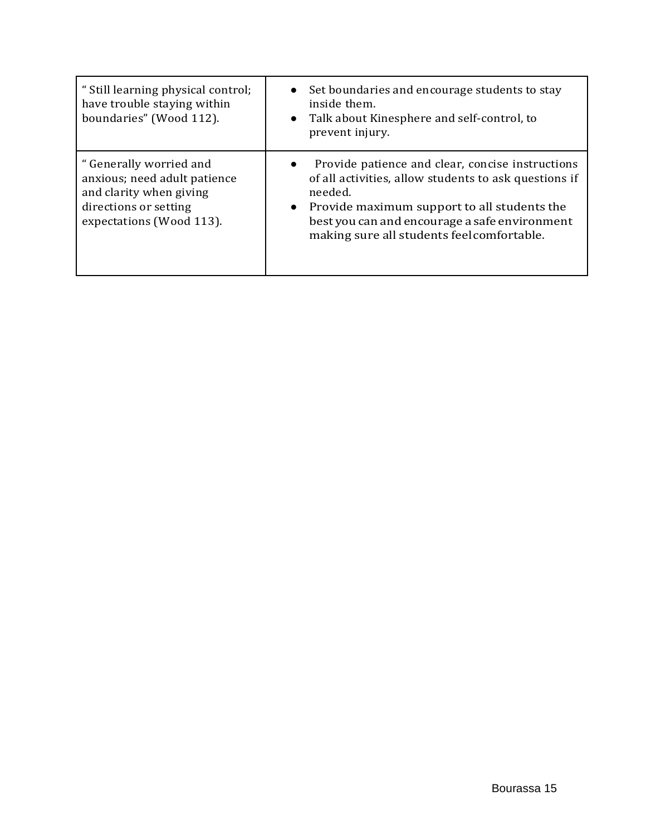| " Still learning physical control;<br>have trouble staying within<br>boundaries" (Wood 112).                                            | • Set boundaries and encourage students to stay<br>inside them.<br>Talk about Kinesphere and self-control, to<br>$\bullet$<br>prevent injury.                                                                                                                                                |
|-----------------------------------------------------------------------------------------------------------------------------------------|----------------------------------------------------------------------------------------------------------------------------------------------------------------------------------------------------------------------------------------------------------------------------------------------|
| " Generally worried and<br>anxious; need adult patience<br>and clarity when giving<br>directions or setting<br>expectations (Wood 113). | Provide patience and clear, concise instructions<br>$\bullet$<br>of all activities, allow students to ask questions if<br>needed.<br>Provide maximum support to all students the<br>$\bullet$<br>best you can and encourage a safe environment<br>making sure all students feel comfortable. |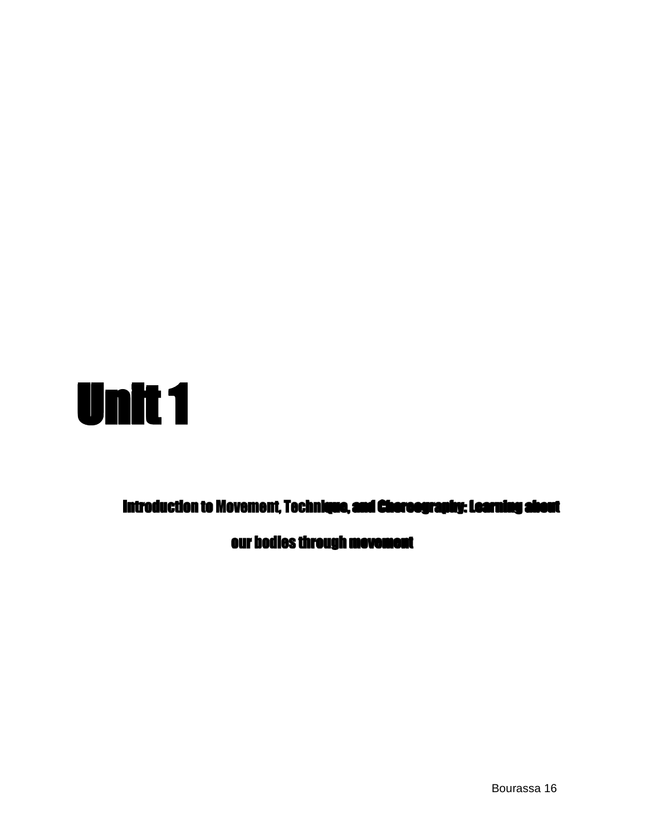

Introduction to Movement, Technique, and Choreography: Learning about

our bodies through movement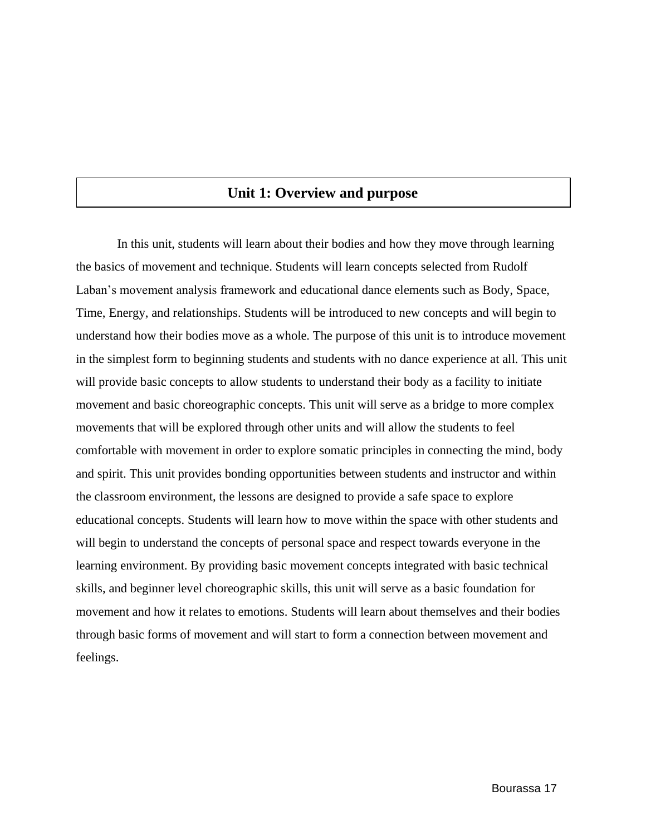## **Unit 1: Overview and purpose**

In this unit, students will learn about their bodies and how they move through learning the basics of movement and technique. Students will learn concepts selected from Rudolf Laban's movement analysis framework and educational dance elements such as Body, Space, Time, Energy, and relationships. Students will be introduced to new concepts and will begin to understand how their bodies move as a whole. The purpose of this unit is to introduce movement in the simplest form to beginning students and students with no dance experience at all. This unit will provide basic concepts to allow students to understand their body as a facility to initiate movement and basic choreographic concepts. This unit will serve as a bridge to more complex movements that will be explored through other units and will allow the students to feel comfortable with movement in order to explore somatic principles in connecting the mind, body and spirit. This unit provides bonding opportunities between students and instructor and within the classroom environment, the lessons are designed to provide a safe space to explore educational concepts. Students will learn how to move within the space with other students and will begin to understand the concepts of personal space and respect towards everyone in the learning environment. By providing basic movement concepts integrated with basic technical skills, and beginner level choreographic skills, this unit will serve as a basic foundation for movement and how it relates to emotions. Students will learn about themselves and their bodies through basic forms of movement and will start to form a connection between movement and feelings.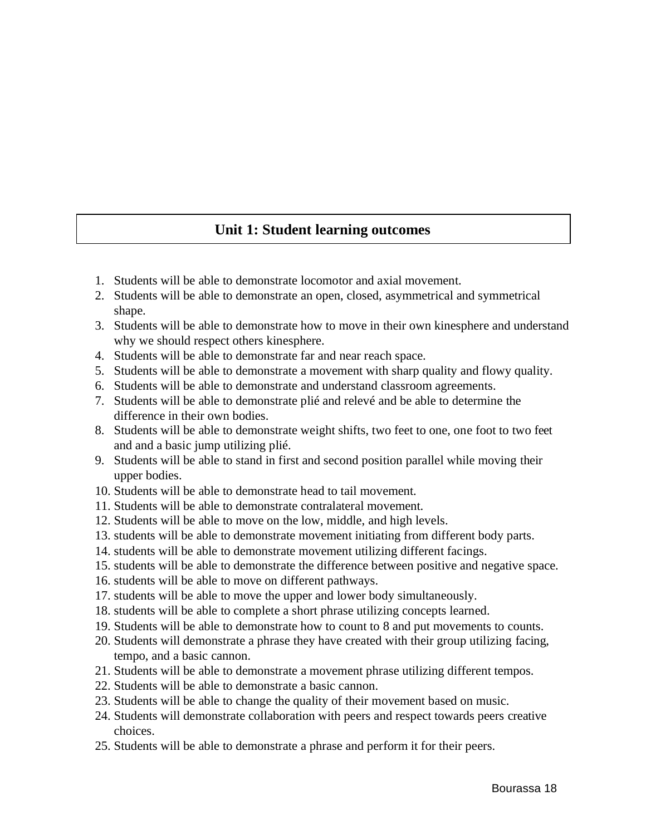## **Unit 1: Student learning outcomes**

- 1. Students will be able to demonstrate locomotor and axial movement.
- 2. Students will be able to demonstrate an open, closed, asymmetrical and symmetrical shape.
- 3. Students will be able to demonstrate how to move in their own kinesphere and understand why we should respect others kinesphere.
- 4. Students will be able to demonstrate far and near reach space.
- 5. Students will be able to demonstrate a movement with sharp quality and flowy quality.
- 6. Students will be able to demonstrate and understand classroom agreements.
- 7. Students will be able to demonstrate plié and relevé and be able to determine the difference in their own bodies.
- 8. Students will be able to demonstrate weight shifts, two feet to one, one foot to two feet and and a basic jump utilizing plié.
- 9. Students will be able to stand in first and second position parallel while moving their upper bodies.
- 10. Students will be able to demonstrate head to tail movement.
- 11. Students will be able to demonstrate contralateral movement.
- 12. Students will be able to move on the low, middle, and high levels.
- 13. students will be able to demonstrate movement initiating from different body parts.
- 14. students will be able to demonstrate movement utilizing different facings.
- 15. students will be able to demonstrate the difference between positive and negative space.
- 16. students will be able to move on different pathways.
- 17. students will be able to move the upper and lower body simultaneously.
- 18. students will be able to complete a short phrase utilizing concepts learned.
- 19. Students will be able to demonstrate how to count to 8 and put movements to counts.
- 20. Students will demonstrate a phrase they have created with their group utilizing facing, tempo, and a basic cannon.
- 21. Students will be able to demonstrate a movement phrase utilizing different tempos.
- 22. Students will be able to demonstrate a basic cannon.
- 23. Students will be able to change the quality of their movement based on music.
- 24. Students will demonstrate collaboration with peers and respect towards peers creative choices.
- 25. Students will be able to demonstrate a phrase and perform it for their peers.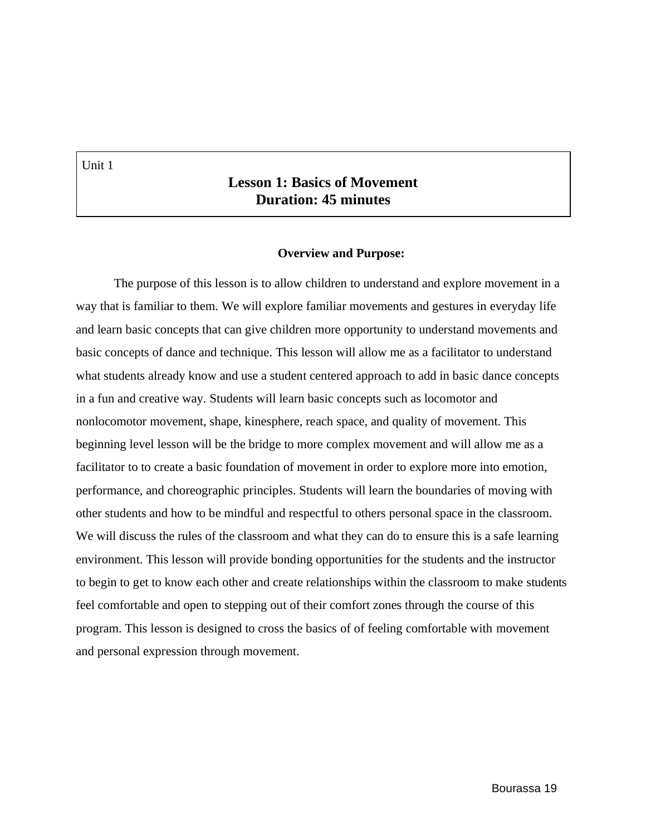Unit 1

### **Lesson 1: Basics of Movement Duration: 45 minutes**

#### **Overview and Purpose:**

The purpose of this lesson is to allow children to understand and explore movement in a way that is familiar to them. We will explore familiar movements and gestures in everyday life and learn basic concepts that can give children more opportunity to understand movements and basic concepts of dance and technique. This lesson will allow me as a facilitator to understand what students already know and use a student centered approach to add in basic dance concepts in a fun and creative way. Students will learn basic concepts such as locomotor and nonlocomotor movement, shape, kinesphere, reach space, and quality of movement. This beginning level lesson will be the bridge to more complex movement and will allow me as a facilitator to to create a basic foundation of movement in order to explore more into emotion, performance, and choreographic principles. Students will learn the boundaries of moving with other students and how to be mindful and respectful to others personal space in the classroom. We will discuss the rules of the classroom and what they can do to ensure this is a safe learning environment. This lesson will provide bonding opportunities for the students and the instructor to begin to get to know each other and create relationships within the classroom to make students feel comfortable and open to stepping out of their comfort zones through the course of this program. This lesson is designed to cross the basics of of feeling comfortable with movement and personal expression through movement.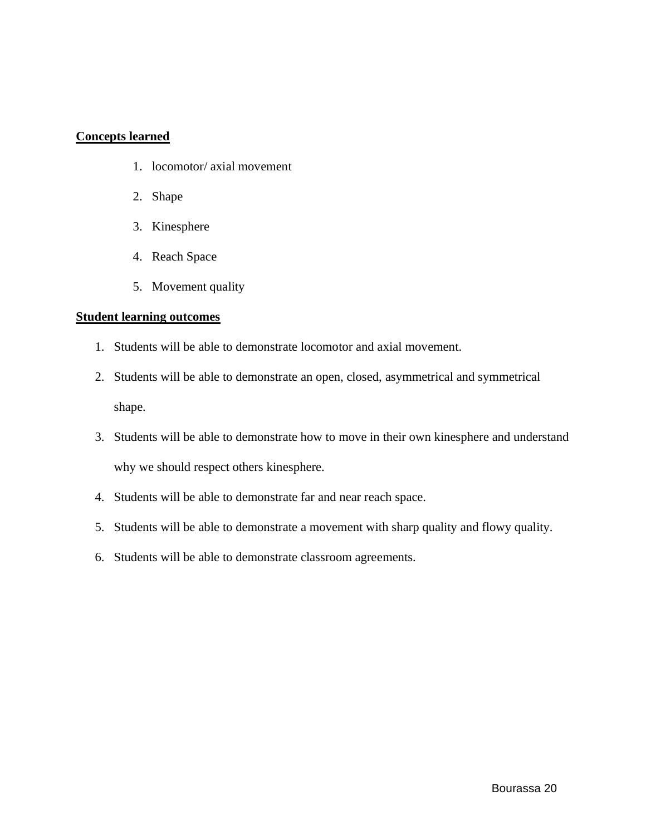#### **Concepts learned**

- 1. locomotor/ axial movement
- 2. Shape
- 3. Kinesphere
- 4. Reach Space
- 5. Movement quality

#### **Student learning outcomes**

- 1. Students will be able to demonstrate locomotor and axial movement.
- 2. Students will be able to demonstrate an open, closed, asymmetrical and symmetrical shape.
- 3. Students will be able to demonstrate how to move in their own kinesphere and understand why we should respect others kinesphere.
- 4. Students will be able to demonstrate far and near reach space.
- 5. Students will be able to demonstrate a movement with sharp quality and flowy quality.
- 6. Students will be able to demonstrate classroom agreements.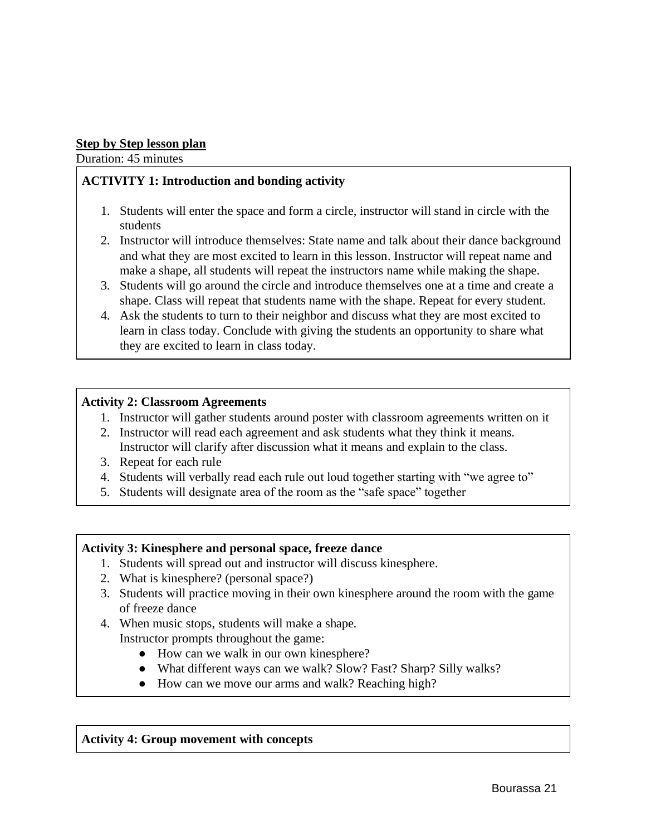#### **Step by Step lesson plan**

Duration: 45 minutes

#### **ACTIVITY 1: Introduction and bonding activity**

- 1. Students will enter the space and form a circle, instructor will stand in circle with the students
- 2. Instructor will introduce themselves: State name and talk about their dance background and what they are most excited to learn in this lesson. Instructor will repeat name and make a shape, all students will repeat the instructors name while making the shape.
- 3. Students will go around the circle and introduce themselves one at a time and create a shape. Class will repeat that students name with the shape. Repeat for every student.
- 4. Ask the students to turn to their neighbor and discuss what they are most excited to learn in class today. Conclude with giving the students an opportunity to share what they are excited to learn in class today.

#### **Activity 2: Classroom Agreements**

- 1. Instructor will gather students around poster with classroom agreements written on it
- 2. Instructor will read each agreement and ask students what they think it means. Instructor will clarify after discussion what it means and explain to the class.
- 3. Repeat for each rule
- 4. Students will verbally read each rule out loud together starting with "we agree to"
- 5. Students will designate area of the room as the "safe space" together

#### **Activity 3: Kinesphere and personal space, freeze dance**

- 1. Students will spread out and instructor will discuss kinesphere.
- 2. What is kinesphere? (personal space?)
- 3. Students will practice moving in their own kinesphere around the room with the game of freeze dance
- 4. When music stops, students will make a shape. Instructor prompts throughout the game:
	- How can we walk in our own kinesphere?
	- What different ways can we walk? Slow? Fast? Sharp? Silly walks?
	- How can we move our arms and walk? Reaching high?

#### **Activity 4: Group movement with concepts**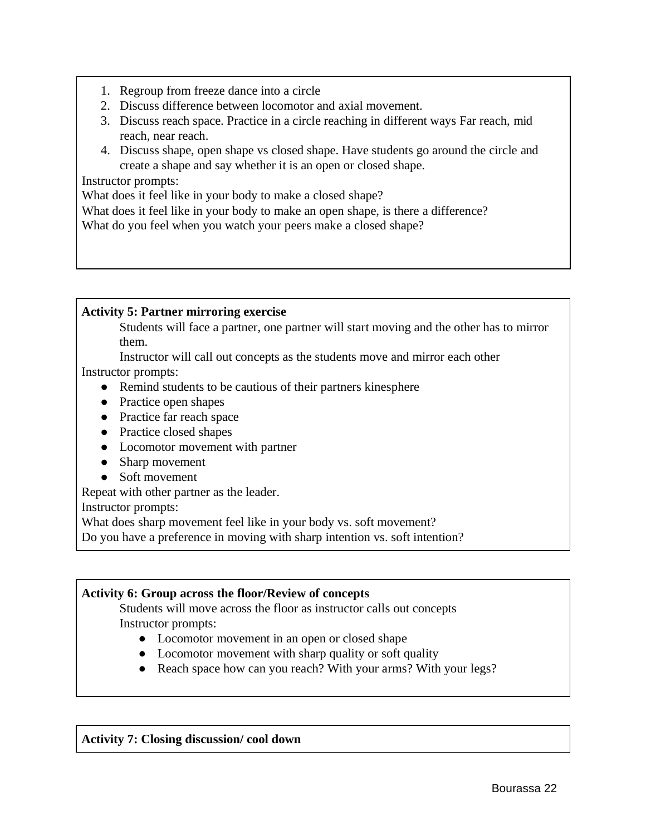- 1. Regroup from freeze dance into a circle
- 2. Discuss difference between locomotor and axial movement.
- 3. Discuss reach space. Practice in a circle reaching in different ways Far reach, mid reach, near reach.
- 4. Discuss shape, open shape vs closed shape. Have students go around the circle and create a shape and say whether it is an open or closed shape.

#### Instructor prompts:

What does it feel like in your body to make a closed shape?

What does it feel like in your body to make an open shape, is there a difference?

What do you feel when you watch your peers make a closed shape?

#### **Activity 5: Partner mirroring exercise**

Students will face a partner, one partner will start moving and the other has to mirror them.

Instructor will call out concepts as the students move and mirror each other

Instructor prompts:

- Remind students to be cautious of their partners kinesphere
- Practice open shapes
- Practice far reach space
- Practice closed shapes
- Locomotor movement with partner
- Sharp movement
- Soft movement

Repeat with other partner as the leader.

Instructor prompts:

What does sharp movement feel like in your body vs. soft movement?

Do you have a preference in moving with sharp intention vs. soft intention?

#### **Activity 6: Group across the floor/Review of concepts**

Students will move across the floor as instructor calls out concepts Instructor prompts:

- Locomotor movement in an open or closed shape
- Locomotor movement with sharp quality or soft quality
- Reach space how can you reach? With your arms? With your legs?

#### **Activity 7: Closing discussion/ cool down**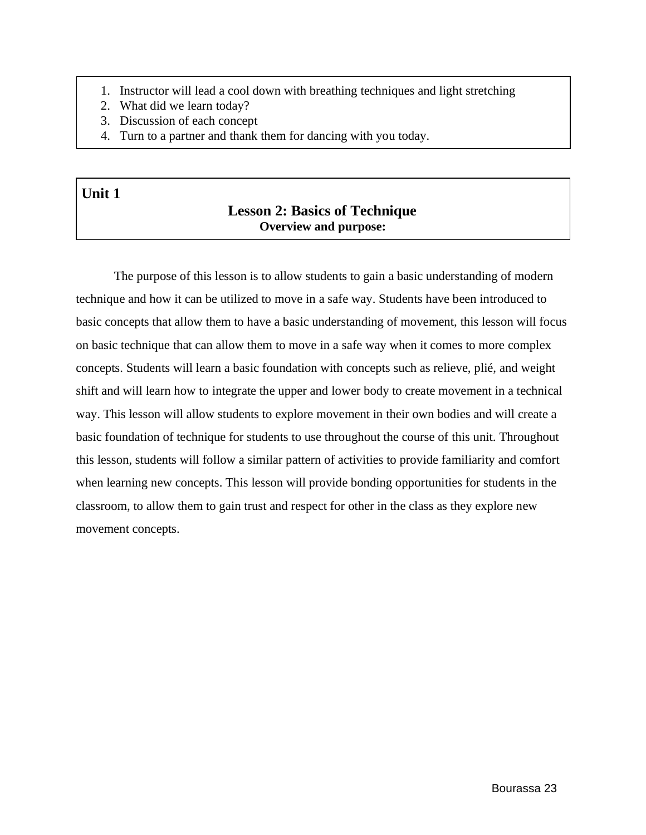- 1. Instructor will lead a cool down with breathing techniques and light stretching
- 2. What did we learn today?
- 3. Discussion of each concept
- 4. Turn to a partner and thank them for dancing with you today.

## **Unit 1**

## **Lesson 2: Basics of Technique Overview and purpose:**

The purpose of this lesson is to allow students to gain a basic understanding of modern technique and how it can be utilized to move in a safe way. Students have been introduced to basic concepts that allow them to have a basic understanding of movement, this lesson will focus on basic technique that can allow them to move in a safe way when it comes to more complex concepts. Students will learn a basic foundation with concepts such as relieve, plié, and weight shift and will learn how to integrate the upper and lower body to create movement in a technical way. This lesson will allow students to explore movement in their own bodies and will create a basic foundation of technique for students to use throughout the course of this unit. Throughout this lesson, students will follow a similar pattern of activities to provide familiarity and comfort when learning new concepts. This lesson will provide bonding opportunities for students in the classroom, to allow them to gain trust and respect for other in the class as they explore new movement concepts.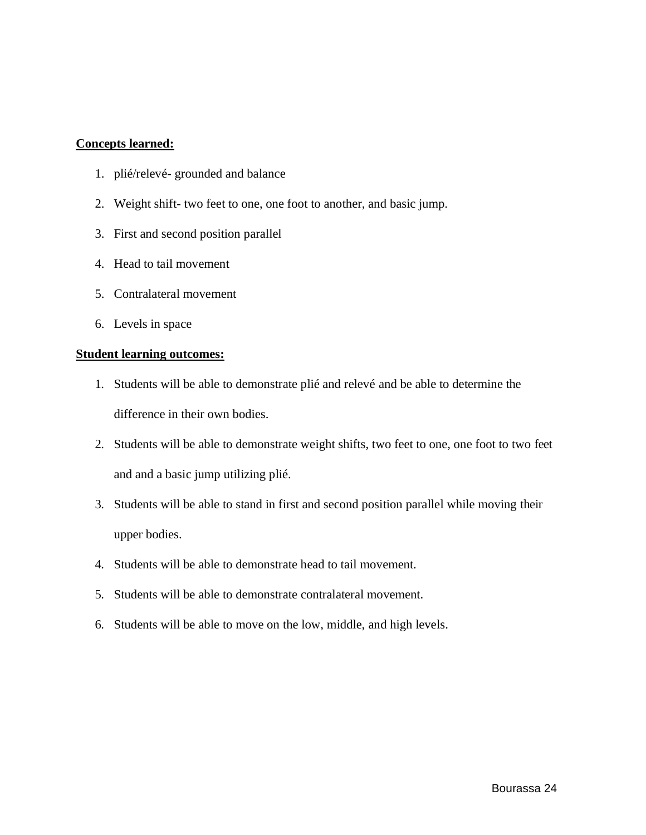#### **Concepts learned:**

- 1. plié/relevé- grounded and balance
- 2. Weight shift- two feet to one, one foot to another, and basic jump.
- 3. First and second position parallel
- 4. Head to tail movement
- 5. Contralateral movement
- 6. Levels in space

#### **Student learning outcomes:**

- 1. Students will be able to demonstrate plié and relevé and be able to determine the difference in their own bodies.
- 2. Students will be able to demonstrate weight shifts, two feet to one, one foot to two feet and and a basic jump utilizing plié.
- 3. Students will be able to stand in first and second position parallel while moving their upper bodies.
- 4. Students will be able to demonstrate head to tail movement.
- 5. Students will be able to demonstrate contralateral movement.
- 6. Students will be able to move on the low, middle, and high levels.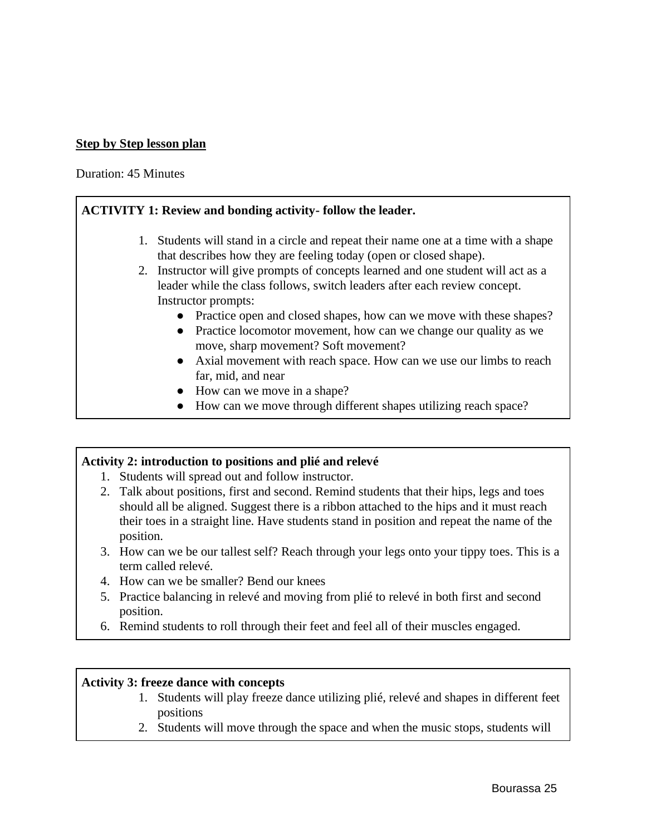#### **Step by Step lesson plan**

Duration: 45 Minutes

#### **ACTIVITY 1: Review and bonding activity- follow the leader.**

- 1. Students will stand in a circle and repeat their name one at a time with a shape that describes how they are feeling today (open or closed shape).
- 2. Instructor will give prompts of concepts learned and one student will act as a leader while the class follows, switch leaders after each review concept. Instructor prompts:
	- Practice open and closed shapes, how can we move with these shapes?
	- Practice locomotor movement, how can we change our quality as we move, sharp movement? Soft movement?
	- Axial movement with reach space. How can we use our limbs to reach far, mid, and near
	- How can we move in a shape?
	- How can we move through different shapes utilizing reach space?

#### **Activity 2: introduction to positions and plié and relevé**

- 1. Students will spread out and follow instructor.
- 2. Talk about positions, first and second. Remind students that their hips, legs and toes should all be aligned. Suggest there is a ribbon attached to the hips and it must reach their toes in a straight line. Have students stand in position and repeat the name of the position.
- 3. How can we be our tallest self? Reach through your legs onto your tippy toes. This is a term called relevé.
- 4. How can we be smaller? Bend our knees
- 5. Practice balancing in relevé and moving from plié to relevé in both first and second position.
- 6. Remind students to roll through their feet and feel all of their muscles engaged.

#### **Activity 3: freeze dance with concepts**

- 1. Students will play freeze dance utilizing plié, relevé and shapes in different feet positions
- 2. Students will move through the space and when the music stops, students will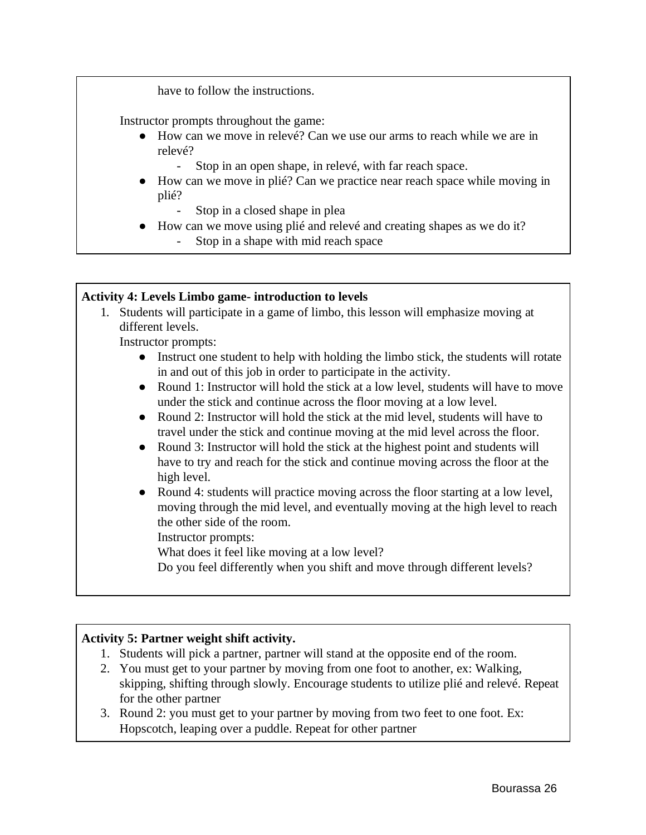have to follow the instructions.

Instructor prompts throughout the game:

- How can we move in relevé? Can we use our arms to reach while we are in relevé?
	- Stop in an open shape, in relevé, with far reach space.
- How can we move in plié? Can we practice near reach space while moving in plié?
	- Stop in a closed shape in plea
- How can we move using plié and relevé and creating shapes as we do it?
	- Stop in a shape with mid reach space

#### **Activity 4: Levels Limbo game- introduction to levels**

1. Students will participate in a game of limbo, this lesson will emphasize moving at different levels.

Instructor prompts:

- Instruct one student to help with holding the limbo stick, the students will rotate in and out of this job in order to participate in the activity.
- Round 1: Instructor will hold the stick at a low level, students will have to move under the stick and continue across the floor moving at a low level.
- Round 2: Instructor will hold the stick at the mid level, students will have to travel under the stick and continue moving at the mid level across the floor.
- Round 3: Instructor will hold the stick at the highest point and students will have to try and reach for the stick and continue moving across the floor at the high level.
- Round 4: students will practice moving across the floor starting at a low level, moving through the mid level, and eventually moving at the high level to reach the other side of the room.

Instructor prompts:

What does it feel like moving at a low level?

Do you feel differently when you shift and move through different levels?

#### **Activity 5: Partner weight shift activity.**

- 1. Students will pick a partner, partner will stand at the opposite end of the room.
- 2. You must get to your partner by moving from one foot to another, ex: Walking, skipping, shifting through slowly. Encourage students to utilize plié and relevé. Repeat for the other partner
- 3. Round 2: you must get to your partner by moving from two feet to one foot. Ex: Hopscotch, leaping over a puddle. Repeat for other partner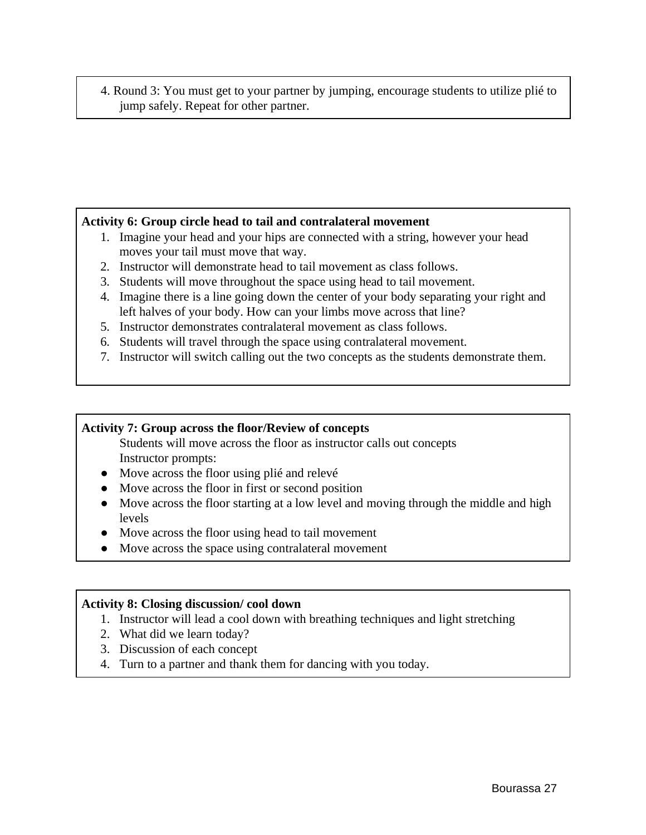4. Round 3: You must get to your partner by jumping, encourage students to utilize plié to jump safely. Repeat for other partner.

#### **Activity 6: Group circle head to tail and contralateral movement**

- 1. Imagine your head and your hips are connected with a string, however your head moves your tail must move that way.
- 2. Instructor will demonstrate head to tail movement as class follows.
- 3. Students will move throughout the space using head to tail movement.
- 4. Imagine there is a line going down the center of your body separating your right and left halves of your body. How can your limbs move across that line?
- 5. Instructor demonstrates contralateral movement as class follows.
- 6. Students will travel through the space using contralateral movement.
- 7. Instructor will switch calling out the two concepts as the students demonstrate them.

#### **Activity 7: Group across the floor/Review of concepts**

Students will move across the floor as instructor calls out concepts Instructor prompts:

- Move across the floor using plié and relevé
- Move across the floor in first or second position
- Move across the floor starting at a low level and moving through the middle and high levels
- Move across the floor using head to tail movement
- Move across the space using contralateral movement

#### **Activity 8: Closing discussion/ cool down**

- 1. Instructor will lead a cool down with breathing techniques and light stretching
- 2. What did we learn today?
- 3. Discussion of each concept
- 4. Turn to a partner and thank them for dancing with you today.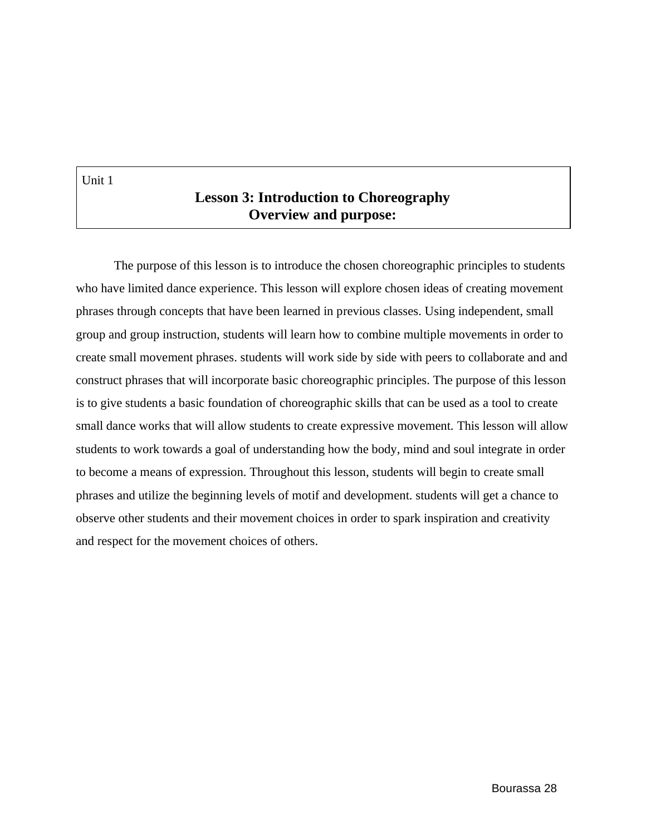Unit 1

## **Lesson 3: Introduction to Choreography Overview and purpose:**

The purpose of this lesson is to introduce the chosen choreographic principles to students who have limited dance experience. This lesson will explore chosen ideas of creating movement phrases through concepts that have been learned in previous classes. Using independent, small group and group instruction, students will learn how to combine multiple movements in order to create small movement phrases. students will work side by side with peers to collaborate and and construct phrases that will incorporate basic choreographic principles. The purpose of this lesson is to give students a basic foundation of choreographic skills that can be used as a tool to create small dance works that will allow students to create expressive movement. This lesson will allow students to work towards a goal of understanding how the body, mind and soul integrate in order to become a means of expression. Throughout this lesson, students will begin to create small phrases and utilize the beginning levels of motif and development. students will get a chance to observe other students and their movement choices in order to spark inspiration and creativity and respect for the movement choices of others.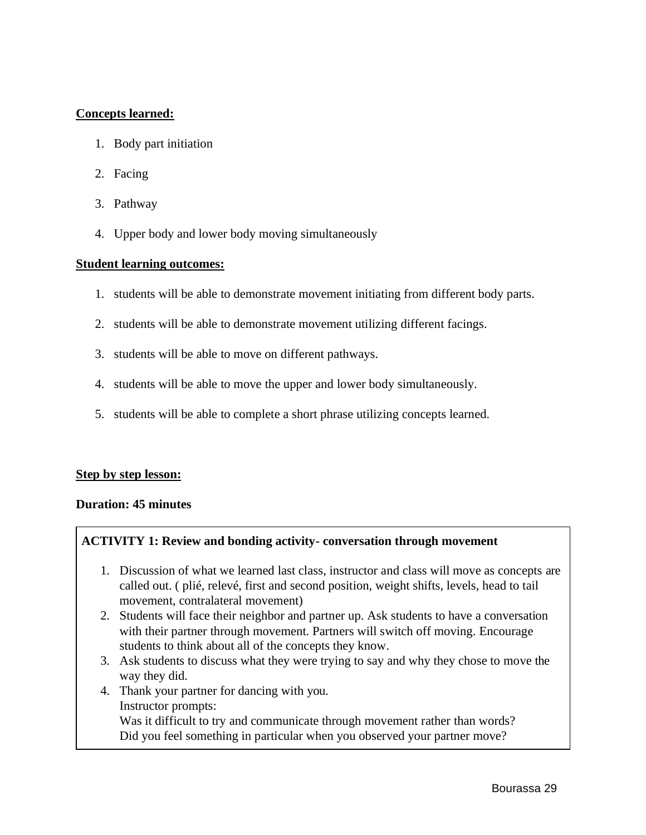#### **Concepts learned:**

- 1. Body part initiation
- 2. Facing
- 3. Pathway
- 4. Upper body and lower body moving simultaneously

#### **Student learning outcomes:**

- 1. students will be able to demonstrate movement initiating from different body parts.
- 2. students will be able to demonstrate movement utilizing different facings.
- 3. students will be able to move on different pathways.
- 4. students will be able to move the upper and lower body simultaneously.
- 5. students will be able to complete a short phrase utilizing concepts learned.

#### **Step by step lesson:**

#### **Duration: 45 minutes**

#### **ACTIVITY 1: Review and bonding activity- conversation through movement**

- 1. Discussion of what we learned last class, instructor and class will move as concepts are called out. ( plié, relevé, first and second position, weight shifts, levels, head to tail movement, contralateral movement)
- 2. Students will face their neighbor and partner up. Ask students to have a conversation with their partner through movement. Partners will switch off moving. Encourage students to think about all of the concepts they know.
- 3. Ask students to discuss what they were trying to say and why they chose to move the way they did.
- 4. Thank your partner for dancing with you.
	- Instructor prompts:

Was it difficult to try and communicate through movement rather than words? Did you feel something in particular when you observed your partner move?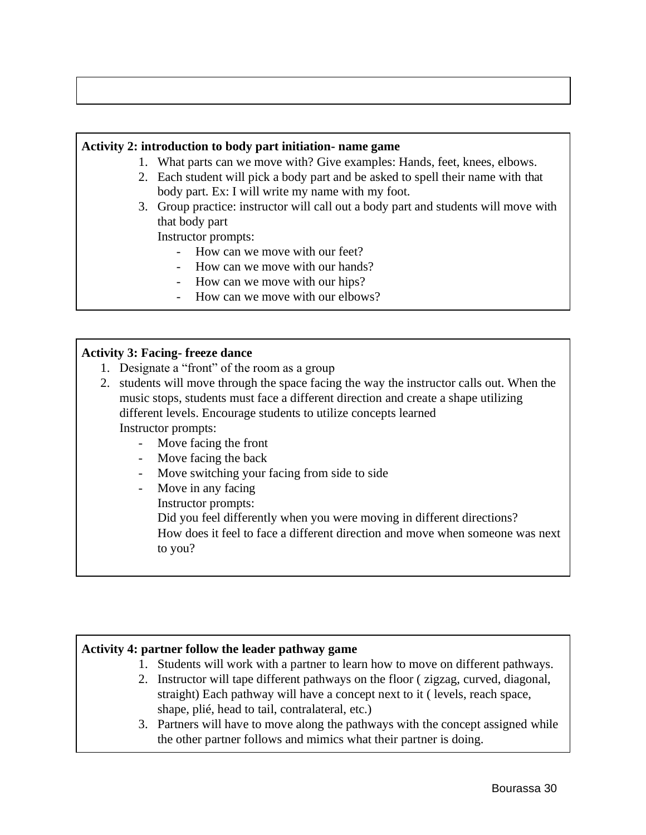#### **Activity 2: introduction to body part initiation- name game**

- 1. What parts can we move with? Give examples: Hands, feet, knees, elbows.
- 2. Each student will pick a body part and be asked to spell their name with that body part. Ex: I will write my name with my foot.
- 3. Group practice: instructor will call out a body part and students will move with that body part

Instructor prompts:

- How can we move with our feet?
- How can we move with our hands?
- How can we move with our hips?
- How can we move with our elbows?

#### **Activity 3: Facing- freeze dance**

- 1. Designate a "front" of the room as a group
- 2. students will move through the space facing the way the instructor calls out. When the music stops, students must face a different direction and create a shape utilizing different levels. Encourage students to utilize concepts learned Instructor prompts:
	- Move facing the front
	- Move facing the back
	- Move switching your facing from side to side
	- Move in any facing
		- Instructor prompts:

Did you feel differently when you were moving in different directions? How does it feel to face a different direction and move when someone was next to you?

#### **Activity 4: partner follow the leader pathway game**

- 1. Students will work with a partner to learn how to move on different pathways.
- 2. Instructor will tape different pathways on the floor ( zigzag, curved, diagonal, straight) Each pathway will have a concept next to it ( levels, reach space, shape, plié, head to tail, contralateral, etc.)
- 3. Partners will have to move along the pathways with the concept assigned while the other partner follows and mimics what their partner is doing.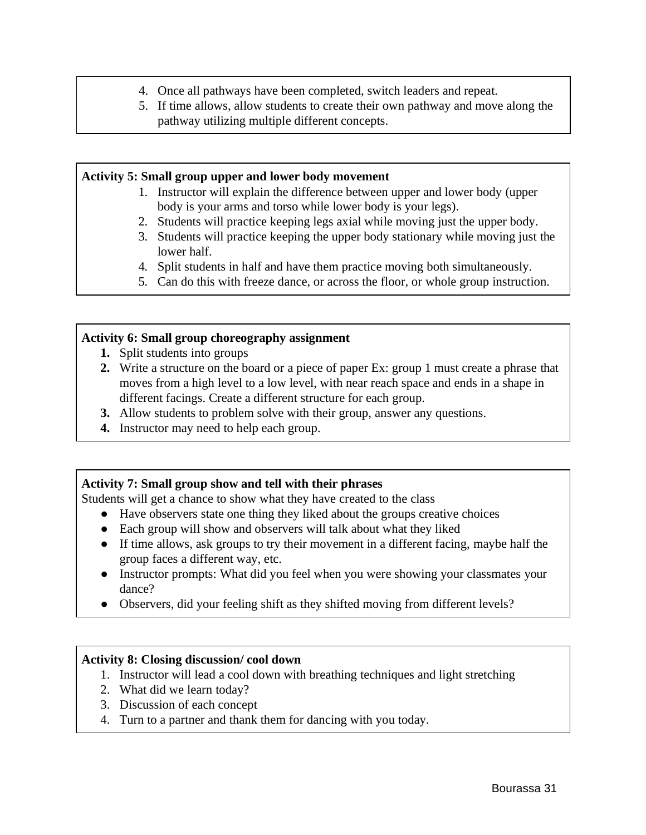- 4. Once all pathways have been completed, switch leaders and repeat.
- 5. If time allows, allow students to create their own pathway and move along the pathway utilizing multiple different concepts.

#### **Activity 5: Small group upper and lower body movement**

- 1. Instructor will explain the difference between upper and lower body (upper body is your arms and torso while lower body is your legs).
- 2. Students will practice keeping legs axial while moving just the upper body.
- 3. Students will practice keeping the upper body stationary while moving just the lower half.
- 4. Split students in half and have them practice moving both simultaneously.
- 5. Can do this with freeze dance, or across the floor, or whole group instruction.

#### **Activity 6: Small group choreography assignment**

- **1.** Split students into groups
- **2.** Write a structure on the board or a piece of paper Ex: group 1 must create a phrase that moves from a high level to a low level, with near reach space and ends in a shape in different facings. Create a different structure for each group.
- **3.** Allow students to problem solve with their group, answer any questions.
- **4.** Instructor may need to help each group.

#### **Activity 7: Small group show and tell with their phrases**

Students will get a chance to show what they have created to the class

- Have observers state one thing they liked about the groups creative choices
- Each group will show and observers will talk about what they liked
- If time allows, ask groups to try their movement in a different facing, maybe half the group faces a different way, etc.
- Instructor prompts: What did you feel when you were showing your classmates your dance?
- Observers, did your feeling shift as they shifted moving from different levels?

#### **Activity 8: Closing discussion/ cool down**

- 1. Instructor will lead a cool down with breathing techniques and light stretching
- 2. What did we learn today?
- 3. Discussion of each concept
- 4. Turn to a partner and thank them for dancing with you today.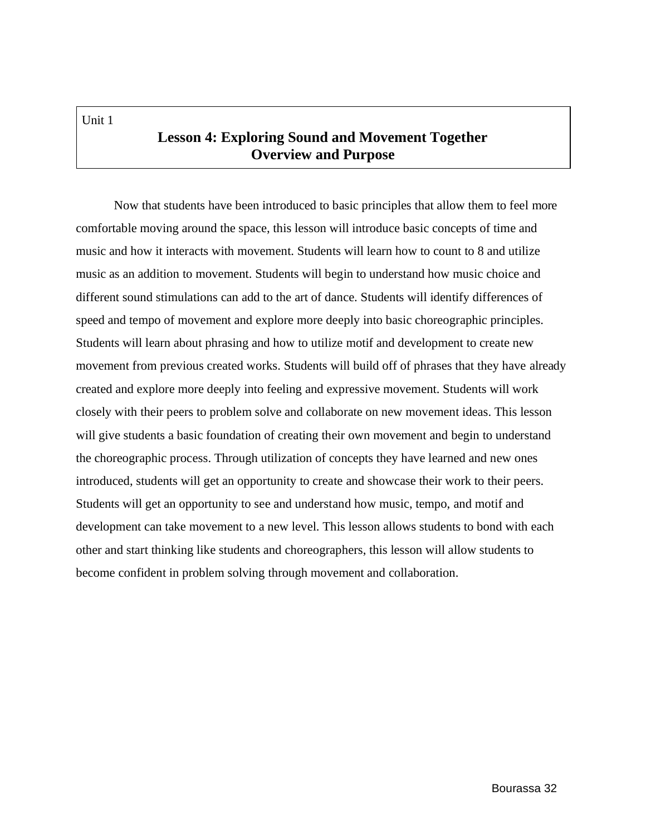## **Lesson 4: Exploring Sound and Movement Together Overview and Purpose**

Now that students have been introduced to basic principles that allow them to feel more comfortable moving around the space, this lesson will introduce basic concepts of time and music and how it interacts with movement. Students will learn how to count to 8 and utilize music as an addition to movement. Students will begin to understand how music choice and different sound stimulations can add to the art of dance. Students will identify differences of speed and tempo of movement and explore more deeply into basic choreographic principles. Students will learn about phrasing and how to utilize motif and development to create new movement from previous created works. Students will build off of phrases that they have already created and explore more deeply into feeling and expressive movement. Students will work closely with their peers to problem solve and collaborate on new movement ideas. This lesson will give students a basic foundation of creating their own movement and begin to understand the choreographic process. Through utilization of concepts they have learned and new ones introduced, students will get an opportunity to create and showcase their work to their peers. Students will get an opportunity to see and understand how music, tempo, and motif and development can take movement to a new level. This lesson allows students to bond with each other and start thinking like students and choreographers, this lesson will allow students to become confident in problem solving through movement and collaboration.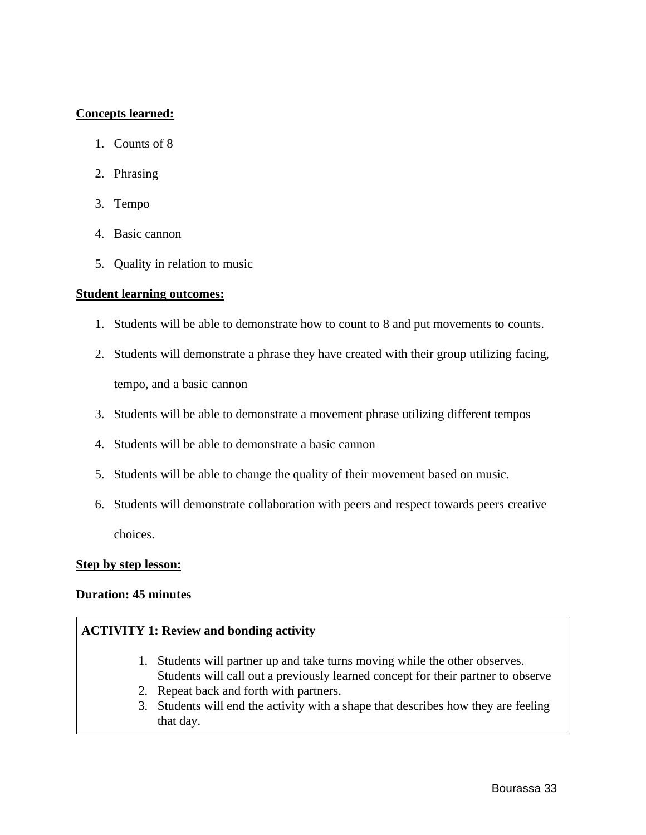#### **Concepts learned:**

- 1. Counts of 8
- 2. Phrasing
- 3. Tempo
- 4. Basic cannon
- 5. Quality in relation to music

#### **Student learning outcomes:**

- 1. Students will be able to demonstrate how to count to 8 and put movements to counts.
- 2. Students will demonstrate a phrase they have created with their group utilizing facing, tempo, and a basic cannon
- 3. Students will be able to demonstrate a movement phrase utilizing different tempos
- 4. Students will be able to demonstrate a basic cannon
- 5. Students will be able to change the quality of their movement based on music.
- 6. Students will demonstrate collaboration with peers and respect towards peers creative choices.

#### **Step by step lesson:**

#### **Duration: 45 minutes**

#### **ACTIVITY 1: Review and bonding activity**

- 1. Students will partner up and take turns moving while the other observes. Students will call out a previously learned concept for their partner to observe
- 2. Repeat back and forth with partners.
- 3. Students will end the activity with a shape that describes how they are feeling that day.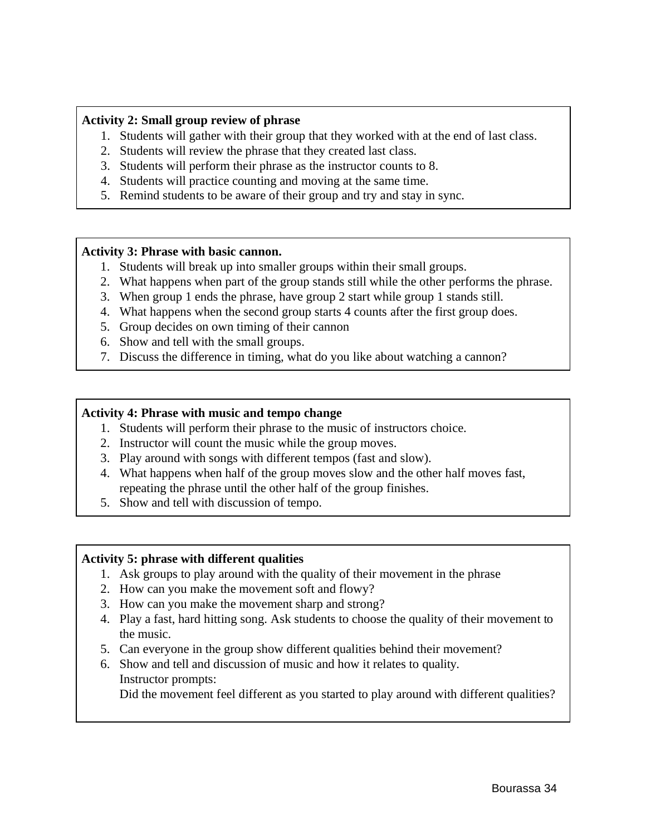#### **Activity 2: Small group review of phrase**

- 1. Students will gather with their group that they worked with at the end of last class.
- 2. Students will review the phrase that they created last class.
- 3. Students will perform their phrase as the instructor counts to 8.
- 4. Students will practice counting and moving at the same time.
- 5. Remind students to be aware of their group and try and stay in sync.

#### **Activity 3: Phrase with basic cannon.**

- 1. Students will break up into smaller groups within their small groups.
- 2. What happens when part of the group stands still while the other performs the phrase.
- 3. When group 1 ends the phrase, have group 2 start while group 1 stands still.
- 4. What happens when the second group starts 4 counts after the first group does.
- 5. Group decides on own timing of their cannon
- 6. Show and tell with the small groups.
- 7. Discuss the difference in timing, what do you like about watching a cannon?

#### **Activity 4: Phrase with music and tempo change**

- 1. Students will perform their phrase to the music of instructors choice.
- 2. Instructor will count the music while the group moves.
- 3. Play around with songs with different tempos (fast and slow).
- 4. What happens when half of the group moves slow and the other half moves fast, repeating the phrase until the other half of the group finishes.
- 5. Show and tell with discussion of tempo.

#### **Activity 5: phrase with different qualities**

- 1. Ask groups to play around with the quality of their movement in the phrase
- 2. How can you make the movement soft and flowy?
- 3. How can you make the movement sharp and strong?
- 4. Play a fast, hard hitting song. Ask students to choose the quality of their movement to the music.
- 5. Can everyone in the group show different qualities behind their movement?
- 6. Show and tell and discussion of music and how it relates to quality. Instructor prompts: Did the movement feel different as you started to play around with different qualities?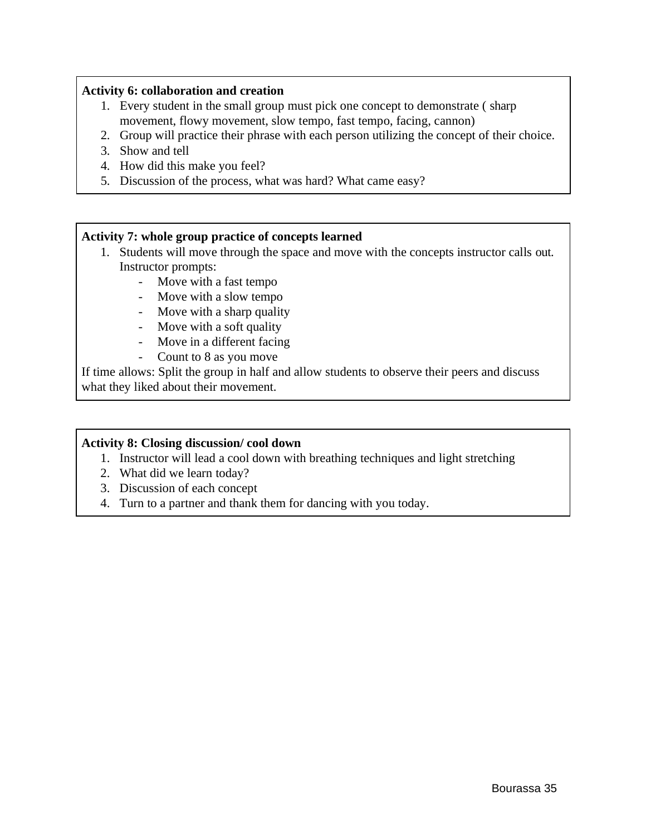## **Activity 6: collaboration and creation**

- 1. Every student in the small group must pick one concept to demonstrate ( sharp movement, flowy movement, slow tempo, fast tempo, facing, cannon)
- 2. Group will practice their phrase with each person utilizing the concept of their choice.
- 3. Show and tell
- 4. How did this make you feel?
- 5. Discussion of the process, what was hard? What came easy?

### **Activity 7: whole group practice of concepts learned**

- 1. Students will move through the space and move with the concepts instructor calls out. Instructor prompts:
	- Move with a fast tempo
	- Move with a slow tempo
	- Move with a sharp quality
	- Move with a soft quality
	- Move in a different facing
	- Count to 8 as you move

If time allows: Split the group in half and allow students to observe their peers and discuss what they liked about their movement.

### **Activity 8: Closing discussion/ cool down**

- 1. Instructor will lead a cool down with breathing techniques and light stretching
- 2. What did we learn today?
- 3. Discussion of each concept
- 4. Turn to a partner and thank them for dancing with you today.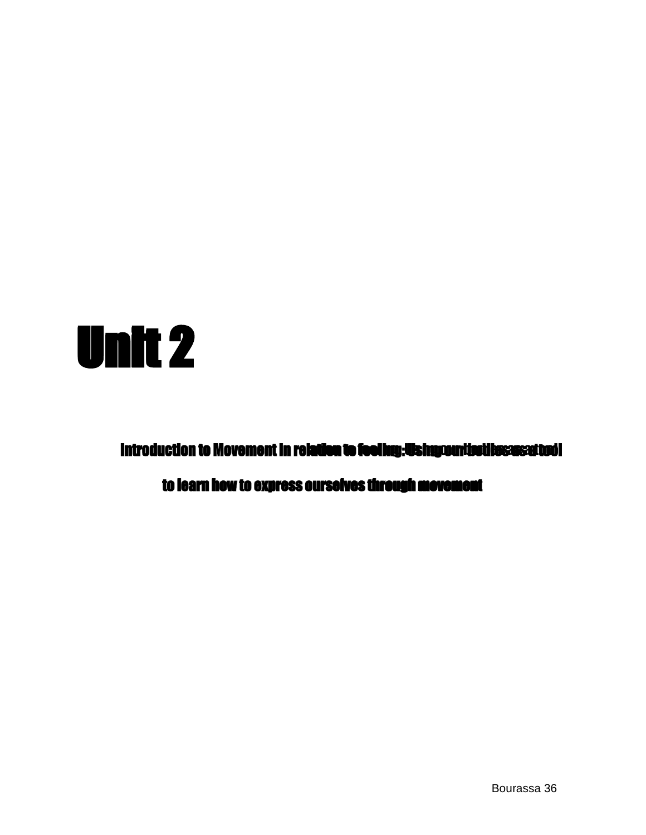

Introduction to Movement in relation to feeling: Using our holiles: as: a tool

to learn how to express ourselves through movement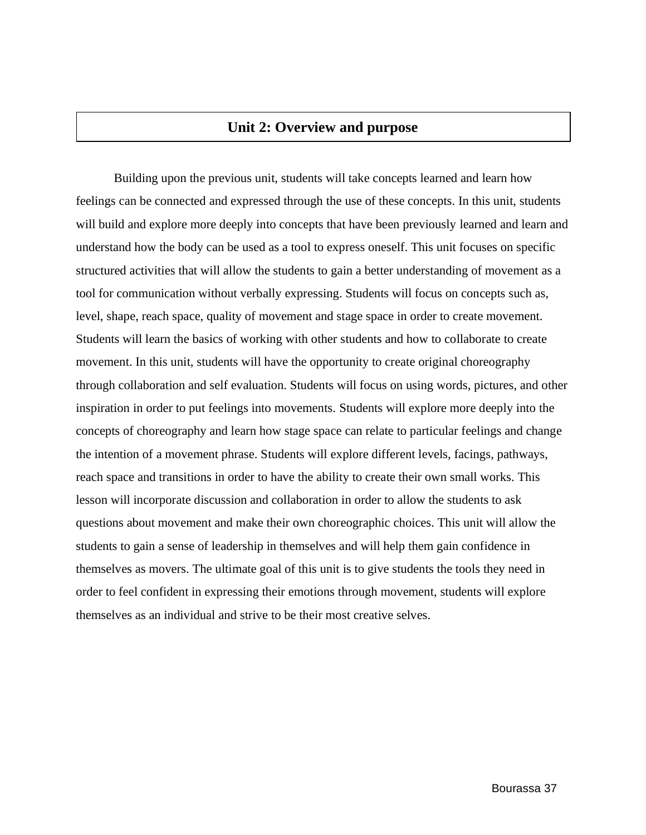# **Unit 2: Overview and purpose**

Building upon the previous unit, students will take concepts learned and learn how feelings can be connected and expressed through the use of these concepts. In this unit, students will build and explore more deeply into concepts that have been previously learned and learn and understand how the body can be used as a tool to express oneself. This unit focuses on specific structured activities that will allow the students to gain a better understanding of movement as a tool for communication without verbally expressing. Students will focus on concepts such as, level, shape, reach space, quality of movement and stage space in order to create movement. Students will learn the basics of working with other students and how to collaborate to create movement. In this unit, students will have the opportunity to create original choreography through collaboration and self evaluation. Students will focus on using words, pictures, and other inspiration in order to put feelings into movements. Students will explore more deeply into the concepts of choreography and learn how stage space can relate to particular feelings and change the intention of a movement phrase. Students will explore different levels, facings, pathways, reach space and transitions in order to have the ability to create their own small works. This lesson will incorporate discussion and collaboration in order to allow the students to ask questions about movement and make their own choreographic choices. This unit will allow the students to gain a sense of leadership in themselves and will help them gain confidence in themselves as movers. The ultimate goal of this unit is to give students the tools they need in order to feel confident in expressing their emotions through movement, students will explore themselves as an individual and strive to be their most creative selves.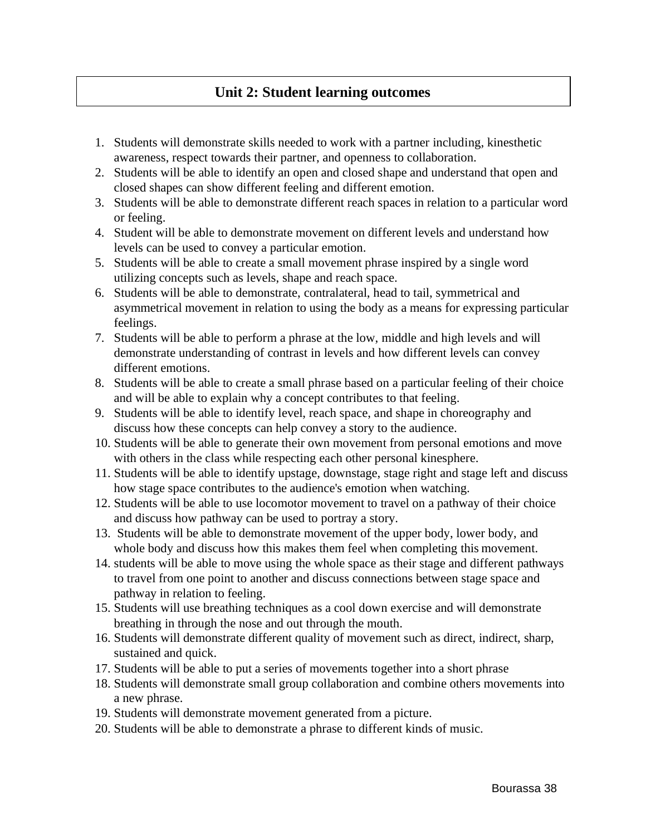# **Unit 2: Student learning outcomes**

- 1. Students will demonstrate skills needed to work with a partner including, kinesthetic awareness, respect towards their partner, and openness to collaboration.
- 2. Students will be able to identify an open and closed shape and understand that open and closed shapes can show different feeling and different emotion.
- 3. Students will be able to demonstrate different reach spaces in relation to a particular word or feeling.
- 4. Student will be able to demonstrate movement on different levels and understand how levels can be used to convey a particular emotion.
- 5. Students will be able to create a small movement phrase inspired by a single word utilizing concepts such as levels, shape and reach space.
- 6. Students will be able to demonstrate, contralateral, head to tail, symmetrical and asymmetrical movement in relation to using the body as a means for expressing particular feelings.
- 7. Students will be able to perform a phrase at the low, middle and high levels and will demonstrate understanding of contrast in levels and how different levels can convey different emotions.
- 8. Students will be able to create a small phrase based on a particular feeling of their choice and will be able to explain why a concept contributes to that feeling.
- 9. Students will be able to identify level, reach space, and shape in choreography and discuss how these concepts can help convey a story to the audience.
- 10. Students will be able to generate their own movement from personal emotions and move with others in the class while respecting each other personal kinesphere.
- 11. Students will be able to identify upstage, downstage, stage right and stage left and discuss how stage space contributes to the audience's emotion when watching.
- 12. Students will be able to use locomotor movement to travel on a pathway of their choice and discuss how pathway can be used to portray a story.
- 13. Students will be able to demonstrate movement of the upper body, lower body, and whole body and discuss how this makes them feel when completing this movement.
- 14. students will be able to move using the whole space as their stage and different pathways to travel from one point to another and discuss connections between stage space and pathway in relation to feeling.
- 15. Students will use breathing techniques as a cool down exercise and will demonstrate breathing in through the nose and out through the mouth.
- 16. Students will demonstrate different quality of movement such as direct, indirect, sharp, sustained and quick.
- 17. Students will be able to put a series of movements together into a short phrase
- 18. Students will demonstrate small group collaboration and combine others movements into a new phrase.
- 19. Students will demonstrate movement generated from a picture.
- 20. Students will be able to demonstrate a phrase to different kinds of music.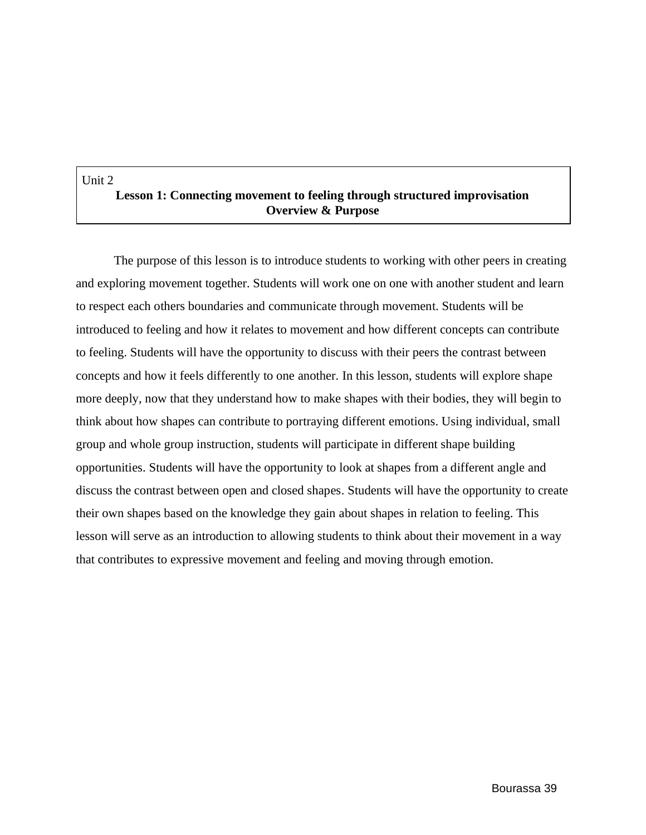#### Unit 2

# **Lesson 1: Connecting movement to feeling through structured improvisation Overview & Purpose**

The purpose of this lesson is to introduce students to working with other peers in creating and exploring movement together. Students will work one on one with another student and learn to respect each others boundaries and communicate through movement. Students will be introduced to feeling and how it relates to movement and how different concepts can contribute to feeling. Students will have the opportunity to discuss with their peers the contrast between concepts and how it feels differently to one another. In this lesson, students will explore shape more deeply, now that they understand how to make shapes with their bodies, they will begin to think about how shapes can contribute to portraying different emotions. Using individual, small group and whole group instruction, students will participate in different shape building opportunities. Students will have the opportunity to look at shapes from a different angle and discuss the contrast between open and closed shapes. Students will have the opportunity to create their own shapes based on the knowledge they gain about shapes in relation to feeling. This lesson will serve as an introduction to allowing students to think about their movement in a way that contributes to expressive movement and feeling and moving through emotion.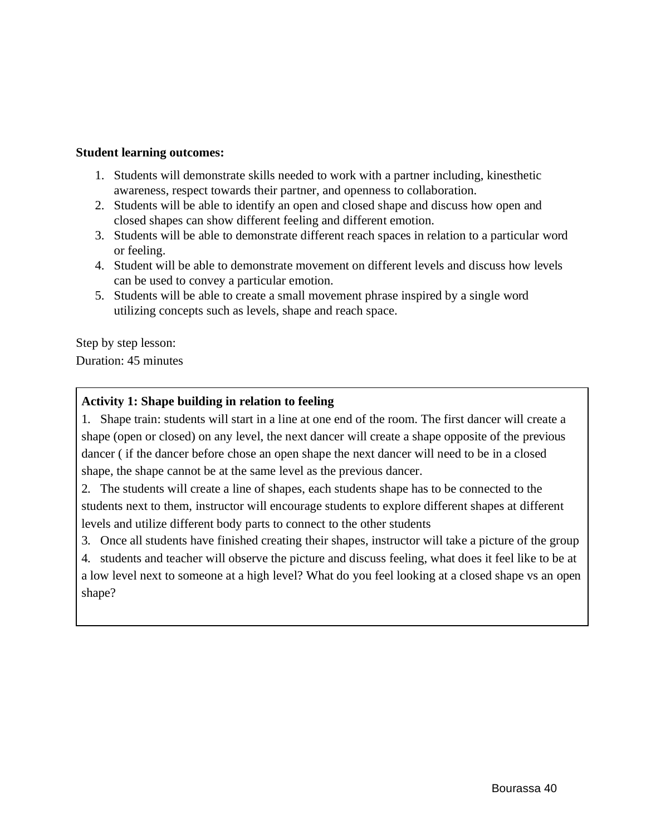### **Student learning outcomes:**

- 1. Students will demonstrate skills needed to work with a partner including, kinesthetic awareness, respect towards their partner, and openness to collaboration.
- 2. Students will be able to identify an open and closed shape and discuss how open and closed shapes can show different feeling and different emotion.
- 3. Students will be able to demonstrate different reach spaces in relation to a particular word or feeling.
- 4. Student will be able to demonstrate movement on different levels and discuss how levels can be used to convey a particular emotion.
- 5. Students will be able to create a small movement phrase inspired by a single word utilizing concepts such as levels, shape and reach space.

Step by step lesson: Duration: 45 minutes

## **Activity 1: Shape building in relation to feeling**

1. Shape train: students will start in a line at one end of the room. The first dancer will create a shape (open or closed) on any level, the next dancer will create a shape opposite of the previous dancer ( if the dancer before chose an open shape the next dancer will need to be in a closed shape, the shape cannot be at the same level as the previous dancer.

2. The students will create a line of shapes, each students shape has to be connected to the students next to them, instructor will encourage students to explore different shapes at different levels and utilize different body parts to connect to the other students

3. Once all students have finished creating their shapes, instructor will take a picture of the group

4. students and teacher will observe the picture and discuss feeling, what does it feel like to be at a low level next to someone at a high level? What do you feel looking at a closed shape vs an open shape?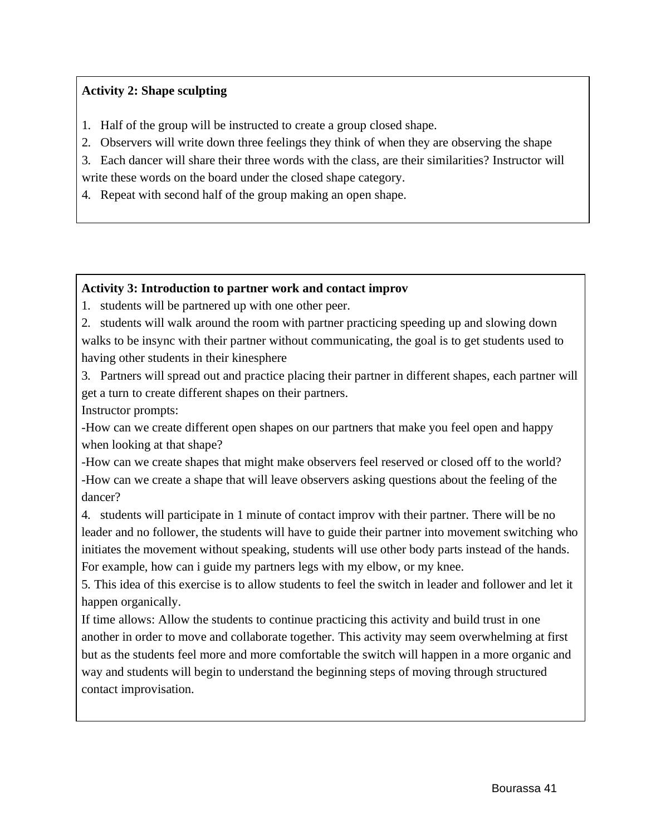# **Activity 2: Shape sculpting**

- 1. Half of the group will be instructed to create a group closed shape.
- 2. Observers will write down three feelings they think of when they are observing the shape

3. Each dancer will share their three words with the class, are their similarities? Instructor will write these words on the board under the closed shape category.

4. Repeat with second half of the group making an open shape.

## **Activity 3: Introduction to partner work and contact improv**

1. students will be partnered up with one other peer.

2. students will walk around the room with partner practicing speeding up and slowing down walks to be insync with their partner without communicating, the goal is to get students used to having other students in their kinesphere

3. Partners will spread out and practice placing their partner in different shapes, each partner will get a turn to create different shapes on their partners.

Instructor prompts:

-How can we create different open shapes on our partners that make you feel open and happy when looking at that shape?

-How can we create shapes that might make observers feel reserved or closed off to the world? -How can we create a shape that will leave observers asking questions about the feeling of the dancer?

4. students will participate in 1 minute of contact improv with their partner. There will be no leader and no follower, the students will have to guide their partner into movement switching who initiates the movement without speaking, students will use other body parts instead of the hands. For example, how can i guide my partners legs with my elbow, or my knee.

5. This idea of this exercise is to allow students to feel the switch in leader and follower and let it happen organically.

If time allows: Allow the students to continue practicing this activity and build trust in one another in order to move and collaborate together. This activity may seem overwhelming at first but as the students feel more and more comfortable the switch will happen in a more organic and way and students will begin to understand the beginning steps of moving through structured contact improvisation.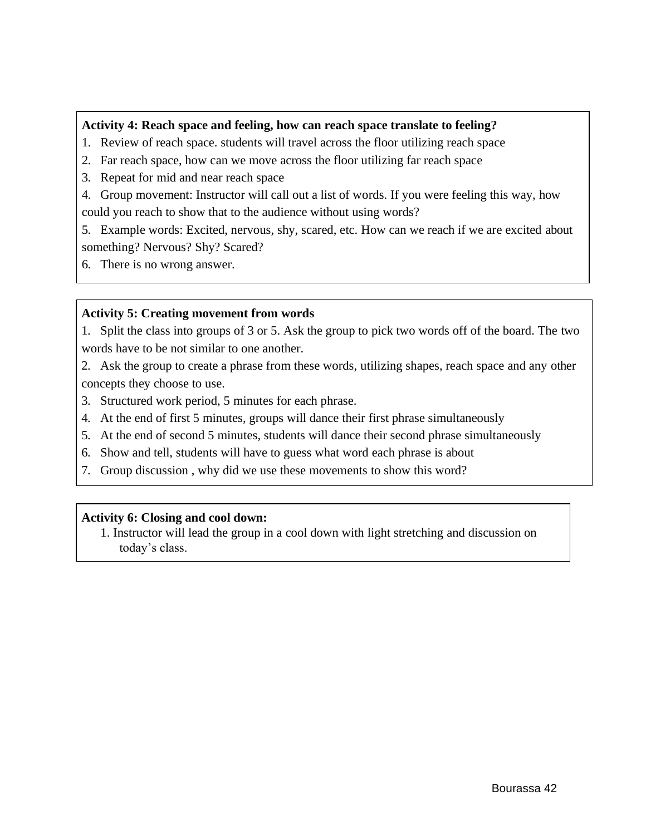## **Activity 4: Reach space and feeling, how can reach space translate to feeling?**

- 1. Review of reach space. students will travel across the floor utilizing reach space
- 2. Far reach space, how can we move across the floor utilizing far reach space
- 3. Repeat for mid and near reach space

4. Group movement: Instructor will call out a list of words. If you were feeling this way, how could you reach to show that to the audience without using words?

5. Example words: Excited, nervous, shy, scared, etc. How can we reach if we are excited about something? Nervous? Shy? Scared?

6. There is no wrong answer.

### **Activity 5: Creating movement from words**

1. Split the class into groups of 3 or 5. Ask the group to pick two words off of the board. The two words have to be not similar to one another.

2. Ask the group to create a phrase from these words, utilizing shapes, reach space and any other concepts they choose to use.

- 3. Structured work period, 5 minutes for each phrase.
- 4. At the end of first 5 minutes, groups will dance their first phrase simultaneously
- 5. At the end of second 5 minutes, students will dance their second phrase simultaneously
- 6. Show and tell, students will have to guess what word each phrase is about
- 7. Group discussion , why did we use these movements to show this word?

### **Activity 6: Closing and cool down:**

1. Instructor will lead the group in a cool down with light stretching and discussion on today's class.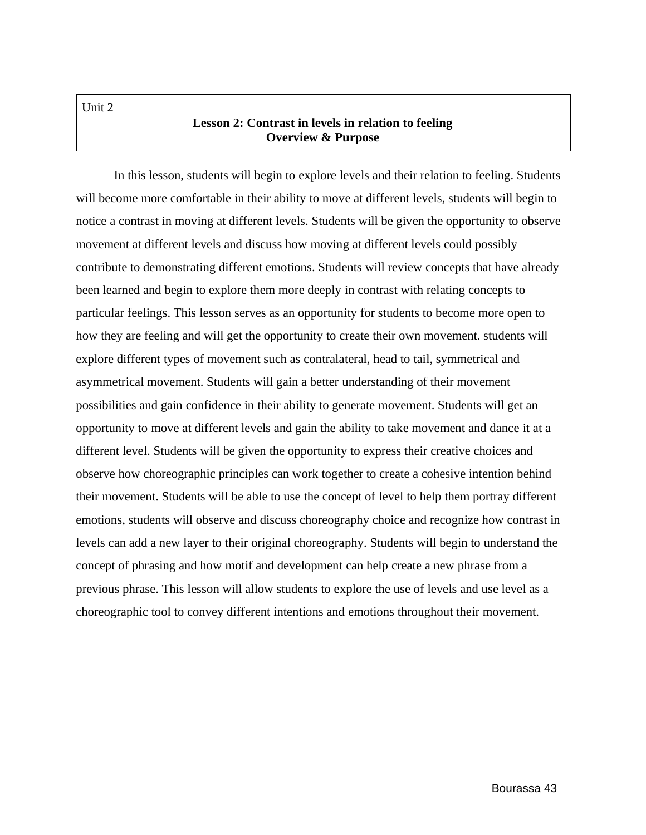Unit 2

# **Lesson 2: Contrast in levels in relation to feeling Overview & Purpose**

In this lesson, students will begin to explore levels and their relation to feeling. Students will become more comfortable in their ability to move at different levels, students will begin to notice a contrast in moving at different levels. Students will be given the opportunity to observe movement at different levels and discuss how moving at different levels could possibly contribute to demonstrating different emotions. Students will review concepts that have already been learned and begin to explore them more deeply in contrast with relating concepts to particular feelings. This lesson serves as an opportunity for students to become more open to how they are feeling and will get the opportunity to create their own movement. students will explore different types of movement such as contralateral, head to tail, symmetrical and asymmetrical movement. Students will gain a better understanding of their movement possibilities and gain confidence in their ability to generate movement. Students will get an opportunity to move at different levels and gain the ability to take movement and dance it at a different level. Students will be given the opportunity to express their creative choices and observe how choreographic principles can work together to create a cohesive intention behind their movement. Students will be able to use the concept of level to help them portray different emotions, students will observe and discuss choreography choice and recognize how contrast in levels can add a new layer to their original choreography. Students will begin to understand the concept of phrasing and how motif and development can help create a new phrase from a previous phrase. This lesson will allow students to explore the use of levels and use level as a choreographic tool to convey different intentions and emotions throughout their movement.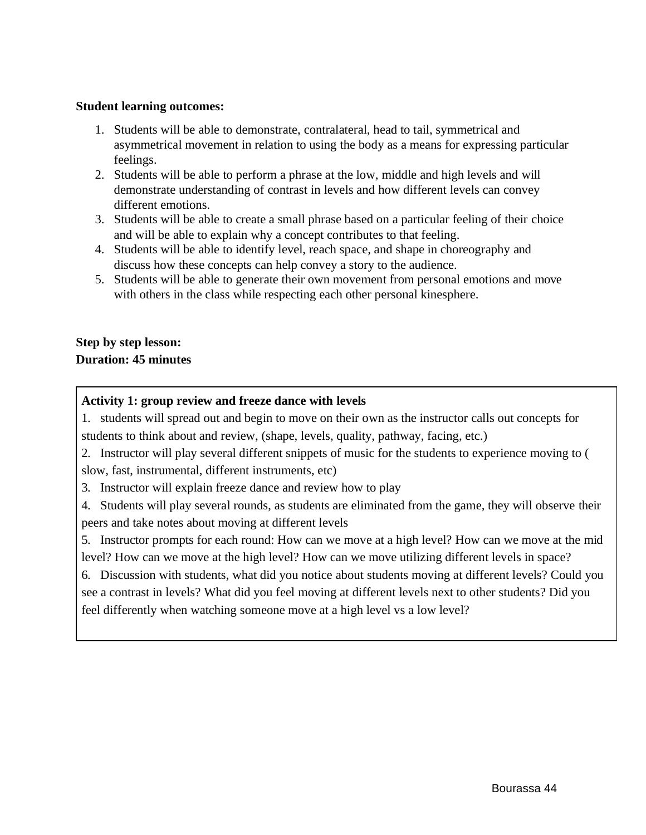### **Student learning outcomes:**

- 1. Students will be able to demonstrate, contralateral, head to tail, symmetrical and asymmetrical movement in relation to using the body as a means for expressing particular feelings.
- 2. Students will be able to perform a phrase at the low, middle and high levels and will demonstrate understanding of contrast in levels and how different levels can convey different emotions.
- 3. Students will be able to create a small phrase based on a particular feeling of their choice and will be able to explain why a concept contributes to that feeling.
- 4. Students will be able to identify level, reach space, and shape in choreography and discuss how these concepts can help convey a story to the audience.
- 5. Students will be able to generate their own movement from personal emotions and move with others in the class while respecting each other personal kinesphere.

# **Step by step lesson: Duration: 45 minutes**

## **Activity 1: group review and freeze dance with levels**

1. students will spread out and begin to move on their own as the instructor calls out concepts for students to think about and review, (shape, levels, quality, pathway, facing, etc.)

2. Instructor will play several different snippets of music for the students to experience moving to ( slow, fast, instrumental, different instruments, etc)

3. Instructor will explain freeze dance and review how to play

4. Students will play several rounds, as students are eliminated from the game, they will observe their peers and take notes about moving at different levels

5. Instructor prompts for each round: How can we move at a high level? How can we move at the mid level? How can we move at the high level? How can we move utilizing different levels in space?

6. Discussion with students, what did you notice about students moving at different levels? Could you see a contrast in levels? What did you feel moving at different levels next to other students? Did you feel differently when watching someone move at a high level vs a low level?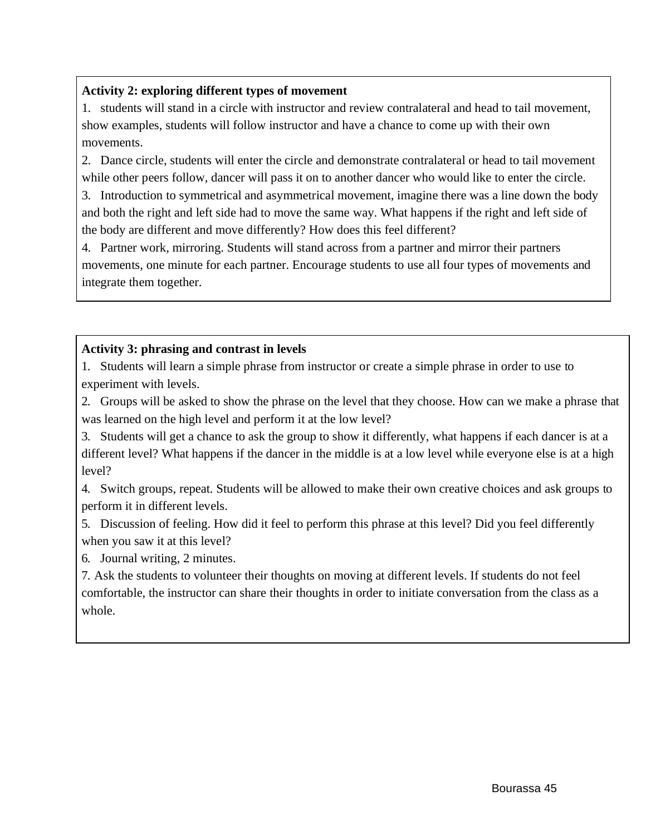# **Activity 2: exploring different types of movement**

1. students will stand in a circle with instructor and review contralateral and head to tail movement, show examples, students will follow instructor and have a chance to come up with their own movements.

2. Dance circle, students will enter the circle and demonstrate contralateral or head to tail movement while other peers follow, dancer will pass it on to another dancer who would like to enter the circle.

3. Introduction to symmetrical and asymmetrical movement, imagine there was a line down the body and both the right and left side had to move the same way. What happens if the right and left side of the body are different and move differently? How does this feel different?

4. Partner work, mirroring. Students will stand across from a partner and mirror their partners movements, one minute for each partner. Encourage students to use all four types of movements and integrate them together.

# **Activity 3: phrasing and contrast in levels**

1. Students will learn a simple phrase from instructor or create a simple phrase in order to use to experiment with levels.

2. Groups will be asked to show the phrase on the level that they choose. How can we make a phrase that was learned on the high level and perform it at the low level?

3. Students will get a chance to ask the group to show it differently, what happens if each dancer is at a different level? What happens if the dancer in the middle is at a low level while everyone else is at a high level?

4. Switch groups, repeat. Students will be allowed to make their own creative choices and ask groups to perform it in different levels.

5. Discussion of feeling. How did it feel to perform this phrase at this level? Did you feel differently when you saw it at this level?

6. Journal writing, 2 minutes.

7. Ask the students to volunteer their thoughts on moving at different levels. If students do not feel comfortable, the instructor can share their thoughts in order to initiate conversation from the class as a whole.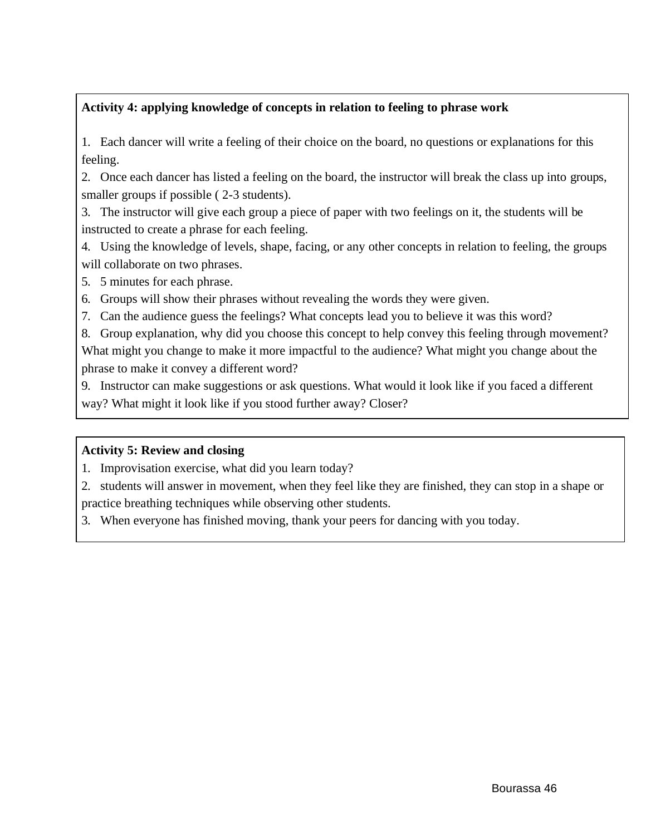# **Activity 4: applying knowledge of concepts in relation to feeling to phrase work**

1. Each dancer will write a feeling of their choice on the board, no questions or explanations for this feeling.

2. Once each dancer has listed a feeling on the board, the instructor will break the class up into groups, smaller groups if possible ( 2-3 students).

3. The instructor will give each group a piece of paper with two feelings on it, the students will be instructed to create a phrase for each feeling.

4. Using the knowledge of levels, shape, facing, or any other concepts in relation to feeling, the groups will collaborate on two phrases.

5. 5 minutes for each phrase.

6. Groups will show their phrases without revealing the words they were given.

7. Can the audience guess the feelings? What concepts lead you to believe it was this word?

8. Group explanation, why did you choose this concept to help convey this feeling through movement? What might you change to make it more impactful to the audience? What might you change about the phrase to make it convey a different word?

9. Instructor can make suggestions or ask questions. What would it look like if you faced a different way? What might it look like if you stood further away? Closer?

# **Activity 5: Review and closing**

1. Improvisation exercise, what did you learn today?

2. students will answer in movement, when they feel like they are finished, they can stop in a shape or practice breathing techniques while observing other students.

3. When everyone has finished moving, thank your peers for dancing with you today.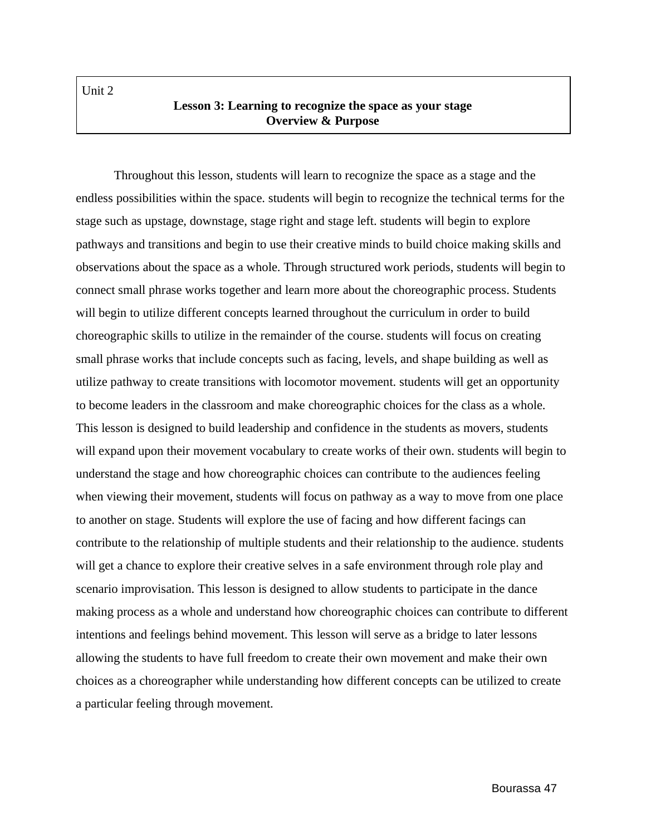Unit 2

## **Lesson 3: Learning to recognize the space as your stage Overview & Purpose**

Throughout this lesson, students will learn to recognize the space as a stage and the endless possibilities within the space. students will begin to recognize the technical terms for the stage such as upstage, downstage, stage right and stage left. students will begin to explore pathways and transitions and begin to use their creative minds to build choice making skills and observations about the space as a whole. Through structured work periods, students will begin to connect small phrase works together and learn more about the choreographic process. Students will begin to utilize different concepts learned throughout the curriculum in order to build choreographic skills to utilize in the remainder of the course. students will focus on creating small phrase works that include concepts such as facing, levels, and shape building as well as utilize pathway to create transitions with locomotor movement. students will get an opportunity to become leaders in the classroom and make choreographic choices for the class as a whole. This lesson is designed to build leadership and confidence in the students as movers, students will expand upon their movement vocabulary to create works of their own. students will begin to understand the stage and how choreographic choices can contribute to the audiences feeling when viewing their movement, students will focus on pathway as a way to move from one place to another on stage. Students will explore the use of facing and how different facings can contribute to the relationship of multiple students and their relationship to the audience. students will get a chance to explore their creative selves in a safe environment through role play and scenario improvisation. This lesson is designed to allow students to participate in the dance making process as a whole and understand how choreographic choices can contribute to different intentions and feelings behind movement. This lesson will serve as a bridge to later lessons allowing the students to have full freedom to create their own movement and make their own choices as a choreographer while understanding how different concepts can be utilized to create a particular feeling through movement.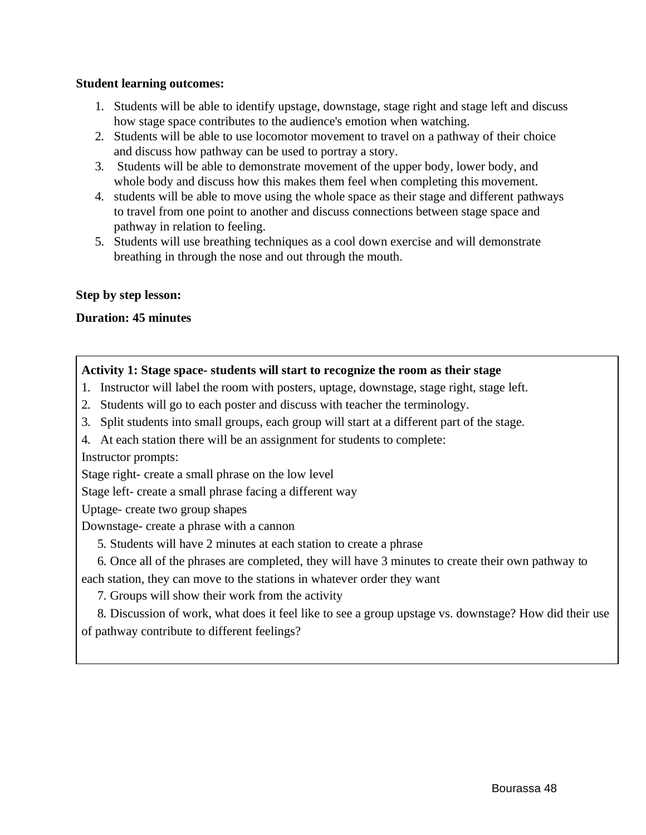### **Student learning outcomes:**

- 1. Students will be able to identify upstage, downstage, stage right and stage left and discuss how stage space contributes to the audience's emotion when watching.
- 2. Students will be able to use locomotor movement to travel on a pathway of their choice and discuss how pathway can be used to portray a story.
- 3. Students will be able to demonstrate movement of the upper body, lower body, and whole body and discuss how this makes them feel when completing this movement.
- 4. students will be able to move using the whole space as their stage and different pathways to travel from one point to another and discuss connections between stage space and pathway in relation to feeling.
- 5. Students will use breathing techniques as a cool down exercise and will demonstrate breathing in through the nose and out through the mouth.

### **Step by step lesson:**

### **Duration: 45 minutes**

### **Activity 1: Stage space- students will start to recognize the room as their stage**

- 1. Instructor will label the room with posters, uptage, downstage, stage right, stage left.
- 2. Students will go to each poster and discuss with teacher the terminology.
- 3. Split students into small groups, each group will start at a different part of the stage.
- 4. At each station there will be an assignment for students to complete:

Instructor prompts:

Stage right- create a small phrase on the low level

Stage left- create a small phrase facing a different way

Uptage- create two group shapes

Downstage- create a phrase with a cannon

5. Students will have 2 minutes at each station to create a phrase

6. Once all of the phrases are completed, they will have 3 minutes to create their own pathway to each station, they can move to the stations in whatever order they want

7. Groups will show their work from the activity

8. Discussion of work, what does it feel like to see a group upstage vs. downstage? How did their use of pathway contribute to different feelings?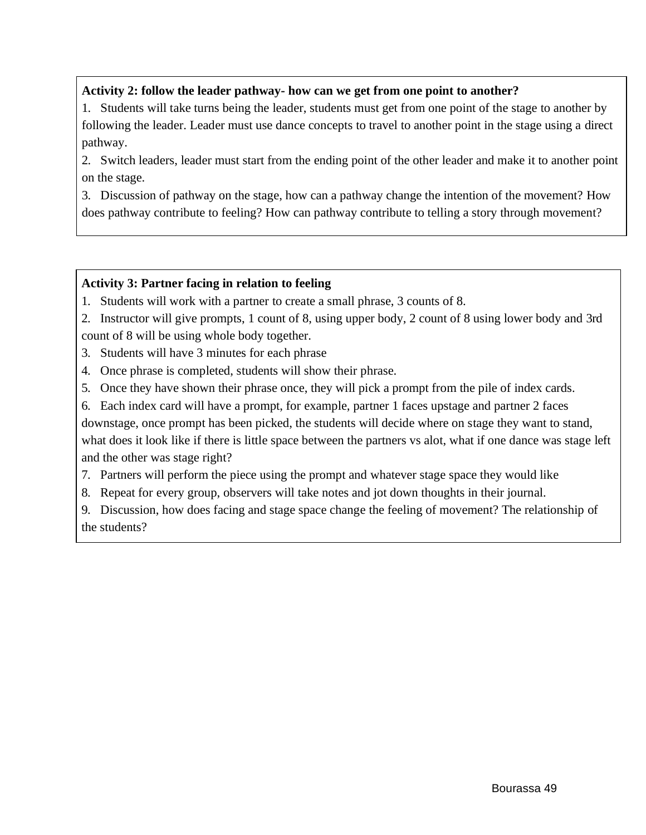# **Activity 2: follow the leader pathway- how can we get from one point to another?**

1. Students will take turns being the leader, students must get from one point of the stage to another by following the leader. Leader must use dance concepts to travel to another point in the stage using a direct pathway.

2. Switch leaders, leader must start from the ending point of the other leader and make it to another point on the stage.

3. Discussion of pathway on the stage, how can a pathway change the intention of the movement? How does pathway contribute to feeling? How can pathway contribute to telling a story through movement?

## **Activity 3: Partner facing in relation to feeling**

1. Students will work with a partner to create a small phrase, 3 counts of 8.

2. Instructor will give prompts, 1 count of 8, using upper body, 2 count of 8 using lower body and 3rd count of 8 will be using whole body together.

3. Students will have 3 minutes for each phrase

4. Once phrase is completed, students will show their phrase.

5. Once they have shown their phrase once, they will pick a prompt from the pile of index cards.

6. Each index card will have a prompt, for example, partner 1 faces upstage and partner 2 faces downstage, once prompt has been picked, the students will decide where on stage they want to stand, what does it look like if there is little space between the partners vs alot, what if one dance was stage left and the other was stage right?

7. Partners will perform the piece using the prompt and whatever stage space they would like

8. Repeat for every group, observers will take notes and jot down thoughts in their journal.

9. Discussion, how does facing and stage space change the feeling of movement? The relationship of the students?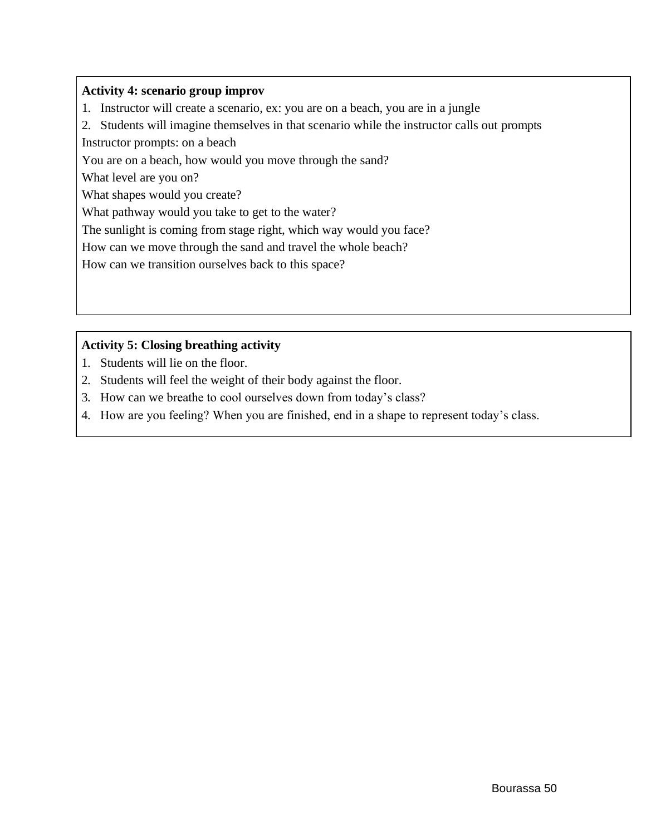## **Activity 4: scenario group improv**

1. Instructor will create a scenario, ex: you are on a beach, you are in a jungle

2. Students will imagine themselves in that scenario while the instructor calls out prompts

Instructor prompts: on a beach

You are on a beach, how would you move through the sand?

What level are you on?

What shapes would you create?

What pathway would you take to get to the water?

The sunlight is coming from stage right, which way would you face?

How can we move through the sand and travel the whole beach?

How can we transition ourselves back to this space?

# **Activity 5: Closing breathing activity**

- 1. Students will lie on the floor.
- 2. Students will feel the weight of their body against the floor.
- 3. How can we breathe to cool ourselves down from today's class?
- 4. How are you feeling? When you are finished, end in a shape to represent today's class.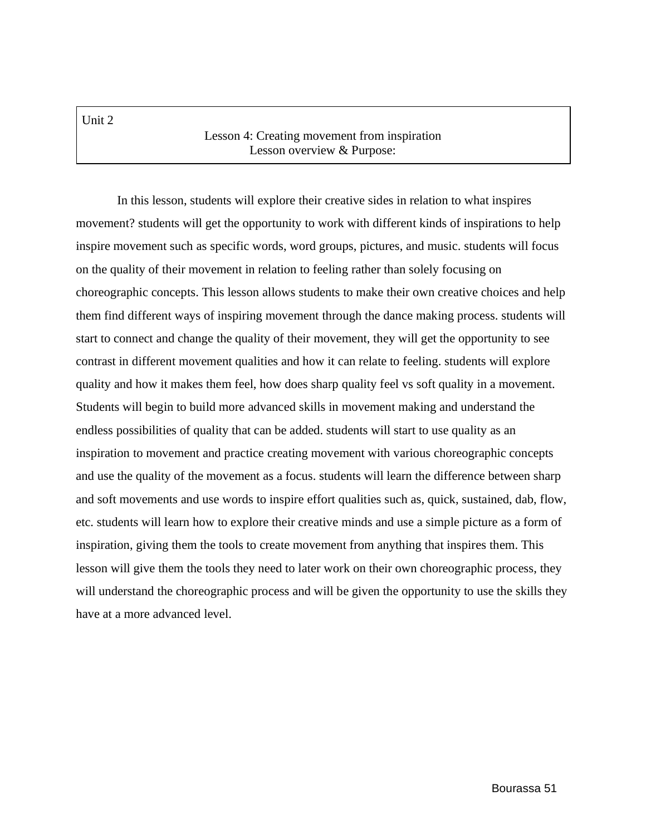Unit 2

## Lesson 4: Creating movement from inspiration Lesson overview & Purpose:

In this lesson, students will explore their creative sides in relation to what inspires movement? students will get the opportunity to work with different kinds of inspirations to help inspire movement such as specific words, word groups, pictures, and music. students will focus on the quality of their movement in relation to feeling rather than solely focusing on choreographic concepts. This lesson allows students to make their own creative choices and help them find different ways of inspiring movement through the dance making process. students will start to connect and change the quality of their movement, they will get the opportunity to see contrast in different movement qualities and how it can relate to feeling. students will explore quality and how it makes them feel, how does sharp quality feel vs soft quality in a movement. Students will begin to build more advanced skills in movement making and understand the endless possibilities of quality that can be added. students will start to use quality as an inspiration to movement and practice creating movement with various choreographic concepts and use the quality of the movement as a focus. students will learn the difference between sharp and soft movements and use words to inspire effort qualities such as, quick, sustained, dab, flow, etc. students will learn how to explore their creative minds and use a simple picture as a form of inspiration, giving them the tools to create movement from anything that inspires them. This lesson will give them the tools they need to later work on their own choreographic process, they will understand the choreographic process and will be given the opportunity to use the skills they have at a more advanced level.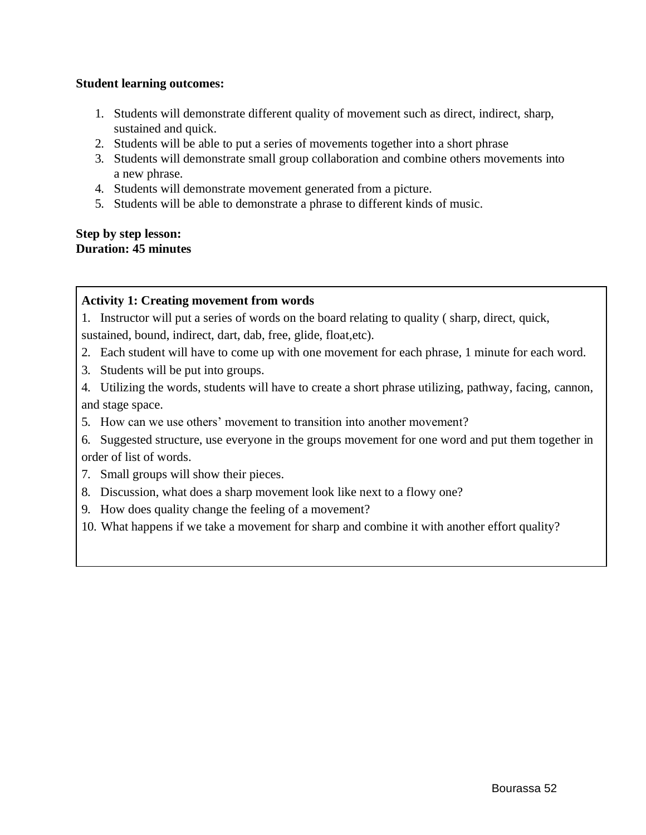### **Student learning outcomes:**

- 1. Students will demonstrate different quality of movement such as direct, indirect, sharp, sustained and quick.
- 2. Students will be able to put a series of movements together into a short phrase
- 3. Students will demonstrate small group collaboration and combine others movements into a new phrase.
- 4. Students will demonstrate movement generated from a picture.
- 5. Students will be able to demonstrate a phrase to different kinds of music.

### **Step by step lesson: Duration: 45 minutes**

# **Activity 1: Creating movement from words**

1. Instructor will put a series of words on the board relating to quality ( sharp, direct, quick, sustained, bound, indirect, dart, dab, free, glide, float,etc).

- 2. Each student will have to come up with one movement for each phrase, 1 minute for each word.
- 3. Students will be put into groups.

4. Utilizing the words, students will have to create a short phrase utilizing, pathway, facing, cannon, and stage space.

5. How can we use others' movement to transition into another movement?

6. Suggested structure, use everyone in the groups movement for one word and put them together in order of list of words.

- 7. Small groups will show their pieces.
- 8. Discussion, what does a sharp movement look like next to a flowy one?
- 9. How does quality change the feeling of a movement?
- 10. What happens if we take a movement for sharp and combine it with another effort quality?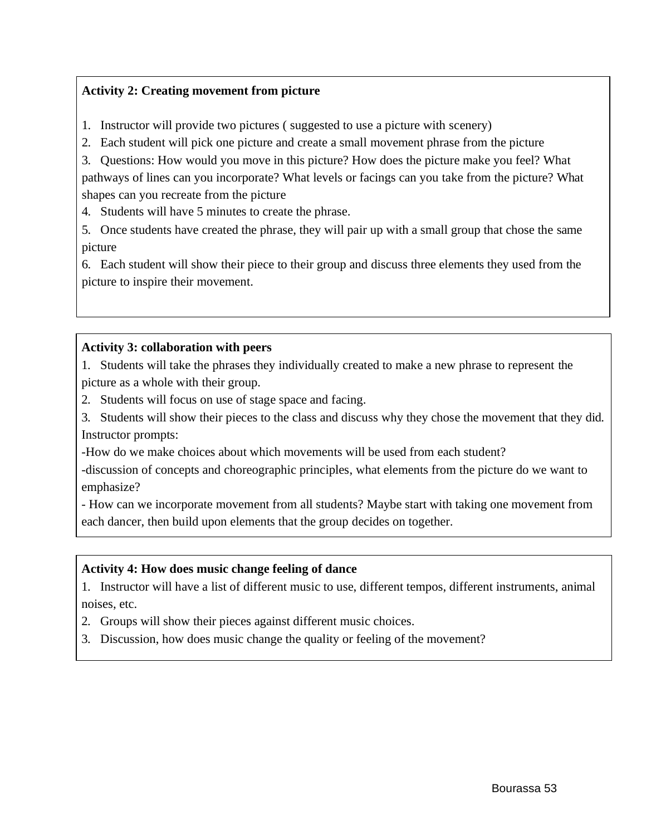# **Activity 2: Creating movement from picture**

- 1. Instructor will provide two pictures ( suggested to use a picture with scenery)
- 2. Each student will pick one picture and create a small movement phrase from the picture

3. Questions: How would you move in this picture? How does the picture make you feel? What pathways of lines can you incorporate? What levels or facings can you take from the picture? What shapes can you recreate from the picture

4. Students will have 5 minutes to create the phrase.

5. Once students have created the phrase, they will pair up with a small group that chose the same picture

6. Each student will show their piece to their group and discuss three elements they used from the picture to inspire their movement.

## **Activity 3: collaboration with peers**

1. Students will take the phrases they individually created to make a new phrase to represent the picture as a whole with their group.

2. Students will focus on use of stage space and facing.

3. Students will show their pieces to the class and discuss why they chose the movement that they did. Instructor prompts:

-How do we make choices about which movements will be used from each student?

-discussion of concepts and choreographic principles, what elements from the picture do we want to emphasize?

- How can we incorporate movement from all students? Maybe start with taking one movement from each dancer, then build upon elements that the group decides on together.

# **Activity 4: How does music change feeling of dance**

1. Instructor will have a list of different music to use, different tempos, different instruments, animal noises, etc.

- 2. Groups will show their pieces against different music choices.
- 3. Discussion, how does music change the quality or feeling of the movement?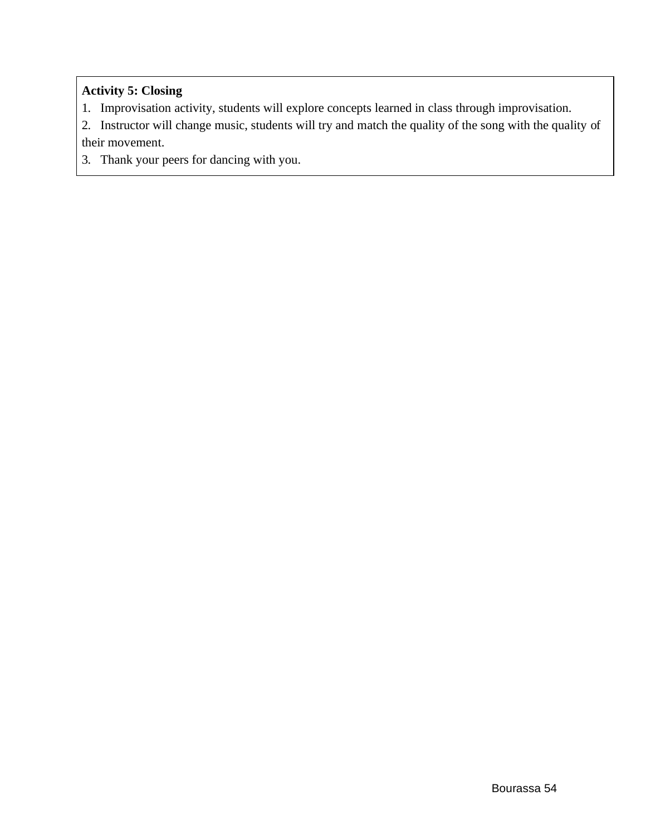# **Activity 5: Closing**

- 1. Improvisation activity, students will explore concepts learned in class through improvisation.
- 2. Instructor will change music, students will try and match the quality of the song with the quality of their movement.
- 3. Thank your peers for dancing with you.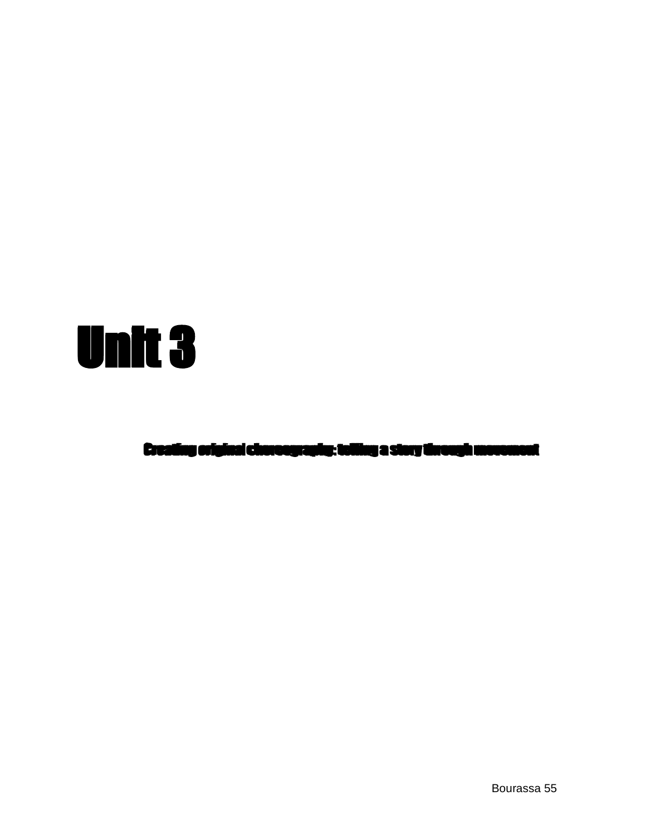

Creating original choreography: telling a story through movement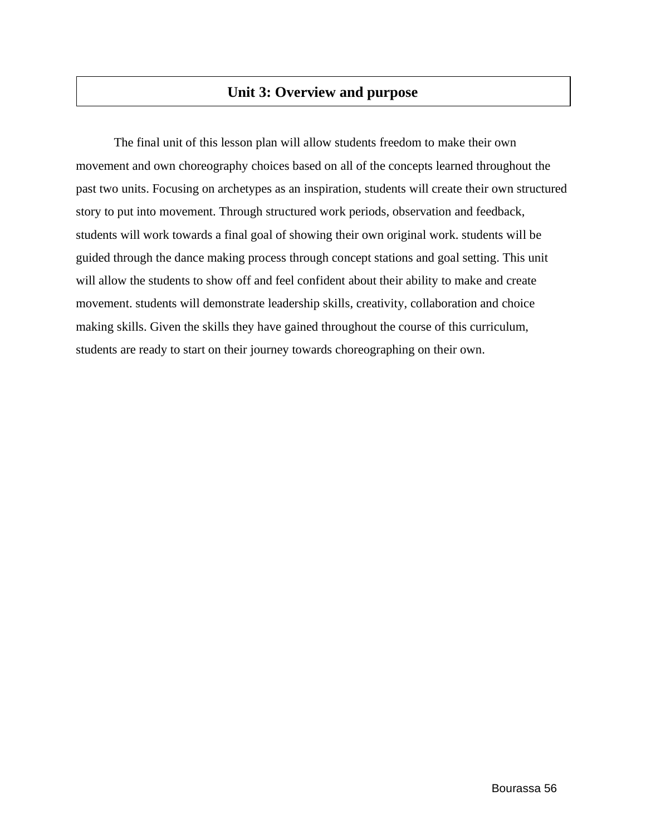# **Unit 3: Overview and purpose**

The final unit of this lesson plan will allow students freedom to make their own movement and own choreography choices based on all of the concepts learned throughout the past two units. Focusing on archetypes as an inspiration, students will create their own structured story to put into movement. Through structured work periods, observation and feedback, students will work towards a final goal of showing their own original work. students will be guided through the dance making process through concept stations and goal setting. This unit will allow the students to show off and feel confident about their ability to make and create movement. students will demonstrate leadership skills, creativity, collaboration and choice making skills. Given the skills they have gained throughout the course of this curriculum, students are ready to start on their journey towards choreographing on their own.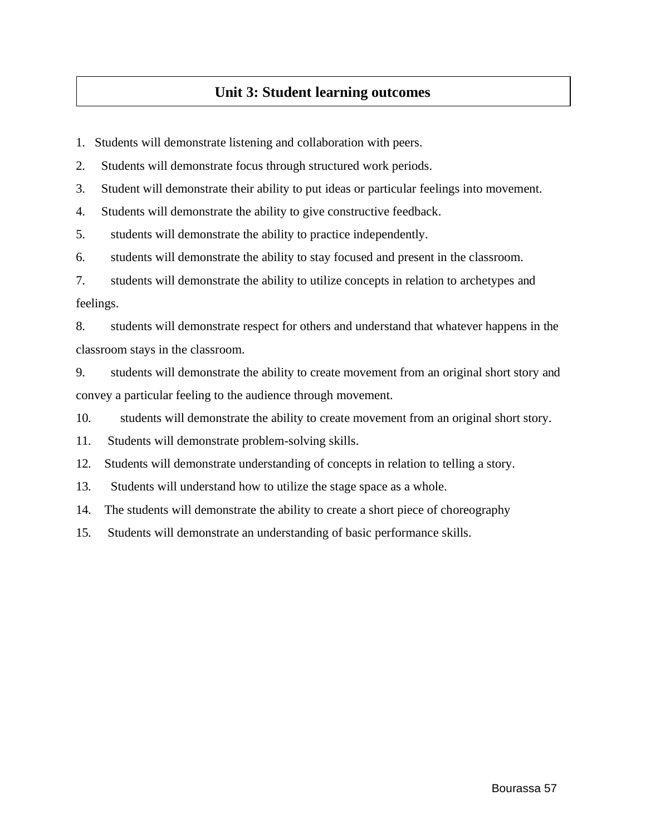# **Unit 3: Student learning outcomes**

1. Students will demonstrate listening and collaboration with peers.

2. Students will demonstrate focus through structured work periods.

3. Student will demonstrate their ability to put ideas or particular feelings into movement.

4. Students will demonstrate the ability to give constructive feedback.

5. students will demonstrate the ability to practice independently.

6. students will demonstrate the ability to stay focused and present in the classroom.

7. students will demonstrate the ability to utilize concepts in relation to archetypes and feelings.

8. students will demonstrate respect for others and understand that whatever happens in the classroom stays in the classroom.

9. students will demonstrate the ability to create movement from an original short story and convey a particular feeling to the audience through movement.

10. students will demonstrate the ability to create movement from an original short story.

11. Students will demonstrate problem-solving skills.

12. Students will demonstrate understanding of concepts in relation to telling a story.

13. Students will understand how to utilize the stage space as a whole.

14. The students will demonstrate the ability to create a short piece of choreography

15. Students will demonstrate an understanding of basic performance skills.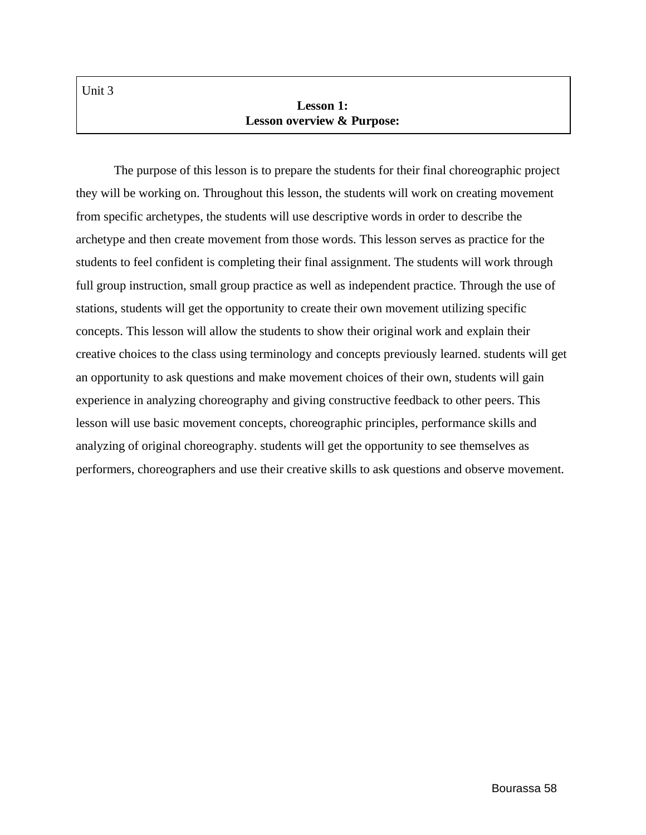Unit 3

# **Lesson 1: Lesson overview & Purpose:**

The purpose of this lesson is to prepare the students for their final choreographic project they will be working on. Throughout this lesson, the students will work on creating movement from specific archetypes, the students will use descriptive words in order to describe the archetype and then create movement from those words. This lesson serves as practice for the students to feel confident is completing their final assignment. The students will work through full group instruction, small group practice as well as independent practice. Through the use of stations, students will get the opportunity to create their own movement utilizing specific concepts. This lesson will allow the students to show their original work and explain their creative choices to the class using terminology and concepts previously learned. students will get an opportunity to ask questions and make movement choices of their own, students will gain experience in analyzing choreography and giving constructive feedback to other peers. This lesson will use basic movement concepts, choreographic principles, performance skills and analyzing of original choreography. students will get the opportunity to see themselves as performers, choreographers and use their creative skills to ask questions and observe movement.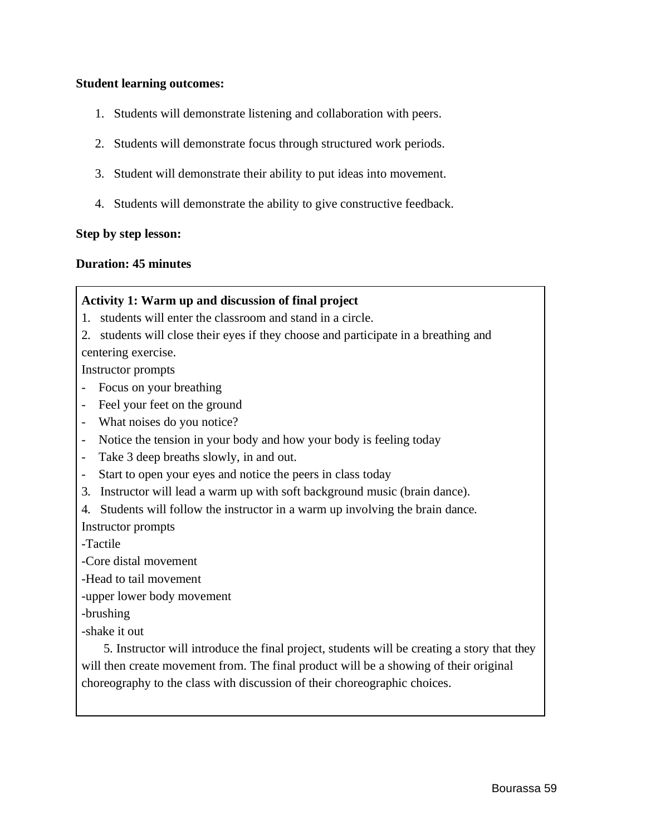### **Student learning outcomes:**

- 1. Students will demonstrate listening and collaboration with peers.
- 2. Students will demonstrate focus through structured work periods.
- 3. Student will demonstrate their ability to put ideas into movement.
- 4. Students will demonstrate the ability to give constructive feedback.

### **Step by step lesson:**

### **Duration: 45 minutes**

## **Activity 1: Warm up and discussion of final project**

- 1. students will enter the classroom and stand in a circle.
- 2. students will close their eyes if they choose and participate in a breathing and centering exercise.

Instructor prompts

- Focus on your breathing
- Feel your feet on the ground
- What noises do you notice?
- Notice the tension in your body and how your body is feeling today
- Take 3 deep breaths slowly, in and out.
- Start to open your eyes and notice the peers in class today
- 3. Instructor will lead a warm up with soft background music (brain dance).
- 4. Students will follow the instructor in a warm up involving the brain dance.

Instructor prompts

-Tactile

-Core distal movement

-Head to tail movement

-upper lower body movement

-brushing

-shake it out

5. Instructor will introduce the final project, students will be creating a story that they will then create movement from. The final product will be a showing of their original choreography to the class with discussion of their choreographic choices.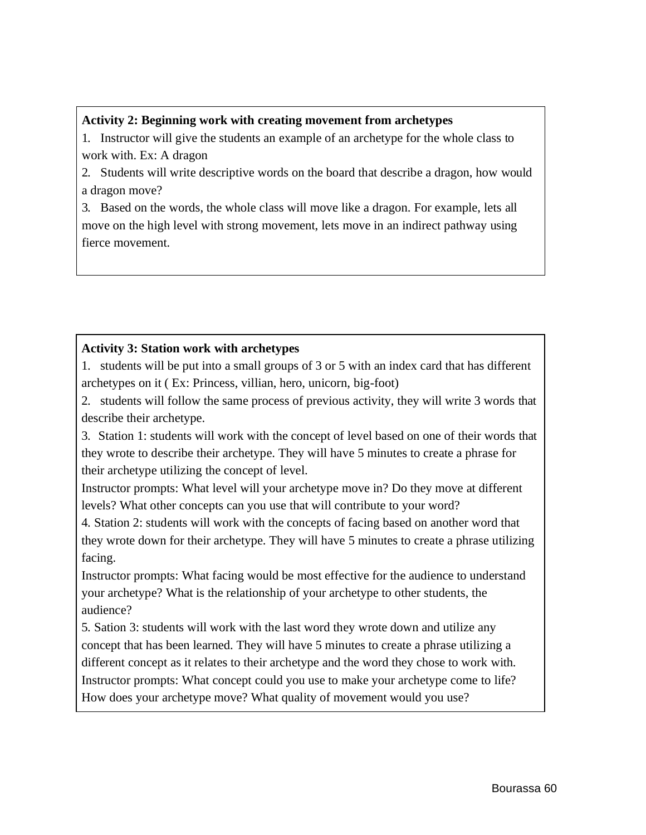### **Activity 2: Beginning work with creating movement from archetypes**

1. Instructor will give the students an example of an archetype for the whole class to work with. Ex: A dragon

2. Students will write descriptive words on the board that describe a dragon, how would a dragon move?

3. Based on the words, the whole class will move like a dragon. For example, lets all move on the high level with strong movement, lets move in an indirect pathway using fierce movement.

## **Activity 3: Station work with archetypes**

1. students will be put into a small groups of 3 or 5 with an index card that has different archetypes on it ( Ex: Princess, villian, hero, unicorn, big-foot)

2. students will follow the same process of previous activity, they will write 3 words that describe their archetype.

3. Station 1: students will work with the concept of level based on one of their words that they wrote to describe their archetype. They will have 5 minutes to create a phrase for their archetype utilizing the concept of level.

Instructor prompts: What level will your archetype move in? Do they move at different levels? What other concepts can you use that will contribute to your word?

4. Station 2: students will work with the concepts of facing based on another word that they wrote down for their archetype. They will have 5 minutes to create a phrase utilizing facing.

Instructor prompts: What facing would be most effective for the audience to understand your archetype? What is the relationship of your archetype to other students, the audience?

5. Sation 3: students will work with the last word they wrote down and utilize any concept that has been learned. They will have 5 minutes to create a phrase utilizing a different concept as it relates to their archetype and the word they chose to work with. Instructor prompts: What concept could you use to make your archetype come to life? How does your archetype move? What quality of movement would you use?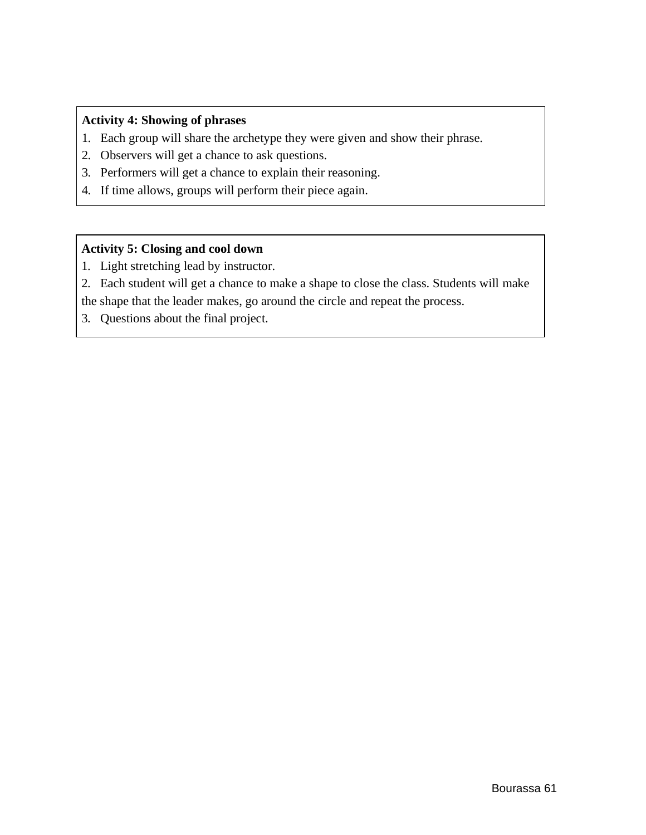# **Activity 4: Showing of phrases**

- 1. Each group will share the archetype they were given and show their phrase.
- 2. Observers will get a chance to ask questions.
- 3. Performers will get a chance to explain their reasoning.
- 4. If time allows, groups will perform their piece again.

## **Activity 5: Closing and cool down**

- 1. Light stretching lead by instructor.
- 2. Each student will get a chance to make a shape to close the class. Students will make the shape that the leader makes, go around the circle and repeat the process.
- 3. Questions about the final project.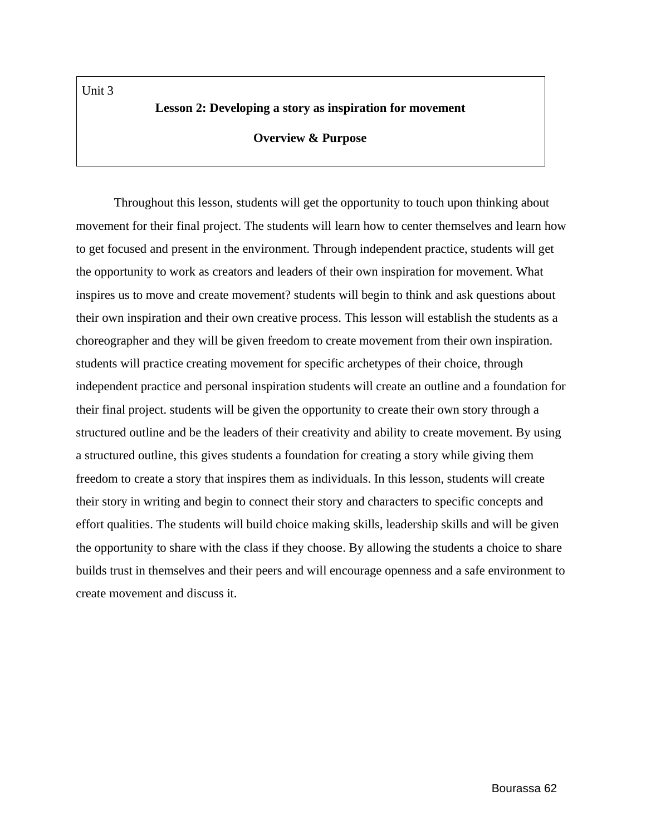### **Lesson 2: Developing a story as inspiration for movement**

#### **Overview & Purpose**

Throughout this lesson, students will get the opportunity to touch upon thinking about movement for their final project. The students will learn how to center themselves and learn how to get focused and present in the environment. Through independent practice, students will get the opportunity to work as creators and leaders of their own inspiration for movement. What inspires us to move and create movement? students will begin to think and ask questions about their own inspiration and their own creative process. This lesson will establish the students as a choreographer and they will be given freedom to create movement from their own inspiration. students will practice creating movement for specific archetypes of their choice, through independent practice and personal inspiration students will create an outline and a foundation for their final project. students will be given the opportunity to create their own story through a structured outline and be the leaders of their creativity and ability to create movement. By using a structured outline, this gives students a foundation for creating a story while giving them freedom to create a story that inspires them as individuals. In this lesson, students will create their story in writing and begin to connect their story and characters to specific concepts and effort qualities. The students will build choice making skills, leadership skills and will be given the opportunity to share with the class if they choose. By allowing the students a choice to share builds trust in themselves and their peers and will encourage openness and a safe environment to create movement and discuss it.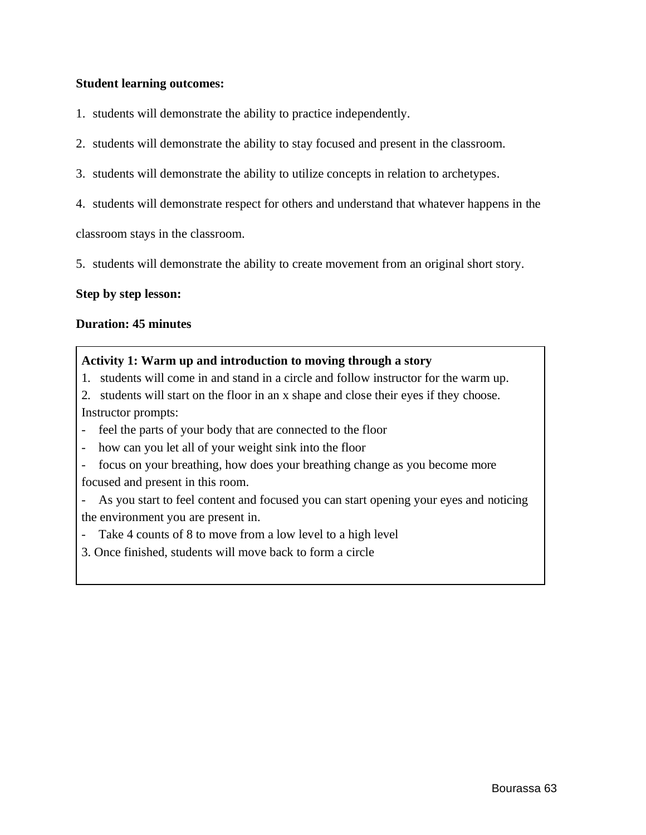### **Student learning outcomes:**

- 1. students will demonstrate the ability to practice independently.
- 2. students will demonstrate the ability to stay focused and present in the classroom.
- 3. students will demonstrate the ability to utilize concepts in relation to archetypes.
- 4. students will demonstrate respect for others and understand that whatever happens in the

classroom stays in the classroom.

5. students will demonstrate the ability to create movement from an original short story.

### **Step by step lesson:**

#### **Duration: 45 minutes**

### **Activity 1: Warm up and introduction to moving through a story**

- 1. students will come in and stand in a circle and follow instructor for the warm up.
- 2. students will start on the floor in an x shape and close their eyes if they choose. Instructor prompts:
- feel the parts of your body that are connected to the floor
- how can you let all of your weight sink into the floor
- focus on your breathing, how does your breathing change as you become more focused and present in this room.
- As you start to feel content and focused you can start opening your eyes and noticing the environment you are present in.
- Take 4 counts of 8 to move from a low level to a high level
- 3. Once finished, students will move back to form a circle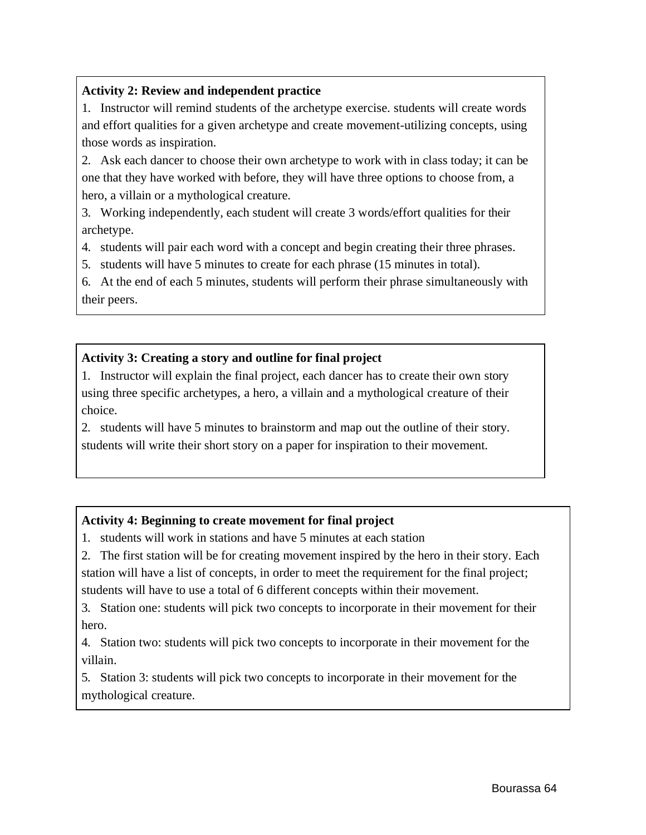# **Activity 2: Review and independent practice**

1. Instructor will remind students of the archetype exercise. students will create words and effort qualities for a given archetype and create movement-utilizing concepts, using those words as inspiration.

2. Ask each dancer to choose their own archetype to work with in class today; it can be one that they have worked with before, they will have three options to choose from, a hero, a villain or a mythological creature.

3. Working independently, each student will create 3 words/effort qualities for their archetype.

4. students will pair each word with a concept and begin creating their three phrases.

5. students will have 5 minutes to create for each phrase (15 minutes in total).

6. At the end of each 5 minutes, students will perform their phrase simultaneously with their peers.

# **Activity 3: Creating a story and outline for final project**

1. Instructor will explain the final project, each dancer has to create their own story using three specific archetypes, a hero, a villain and a mythological creature of their choice.

2. students will have 5 minutes to brainstorm and map out the outline of their story. students will write their short story on a paper for inspiration to their movement.

# **Activity 4: Beginning to create movement for final project**

1. students will work in stations and have 5 minutes at each station

2. The first station will be for creating movement inspired by the hero in their story. Each station will have a list of concepts, in order to meet the requirement for the final project; students will have to use a total of 6 different concepts within their movement.

3. Station one: students will pick two concepts to incorporate in their movement for their hero.

4. Station two: students will pick two concepts to incorporate in their movement for the villain.

5. Station 3: students will pick two concepts to incorporate in their movement for the mythological creature.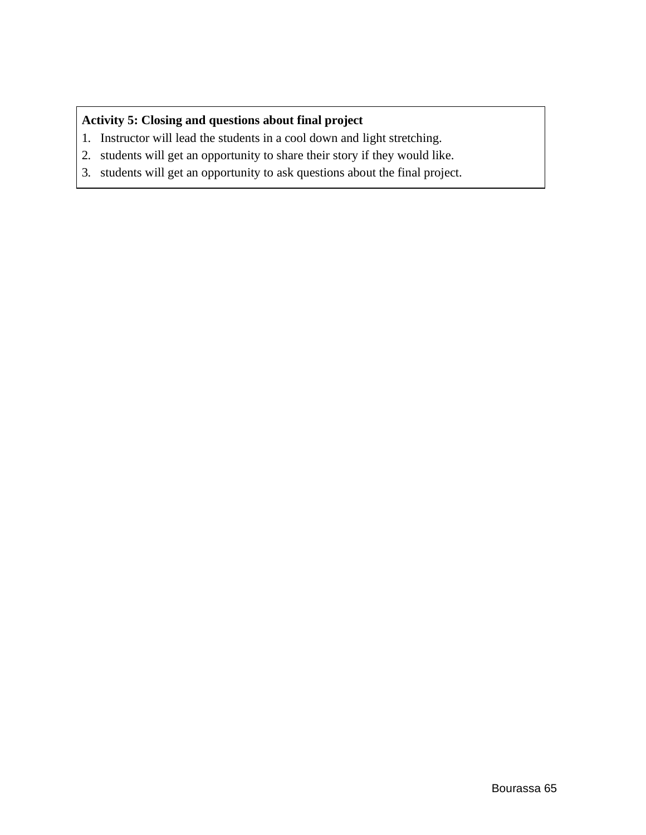# **Activity 5: Closing and questions about final project**

- 1. Instructor will lead the students in a cool down and light stretching.
- 2. students will get an opportunity to share their story if they would like.
- 3. students will get an opportunity to ask questions about the final project.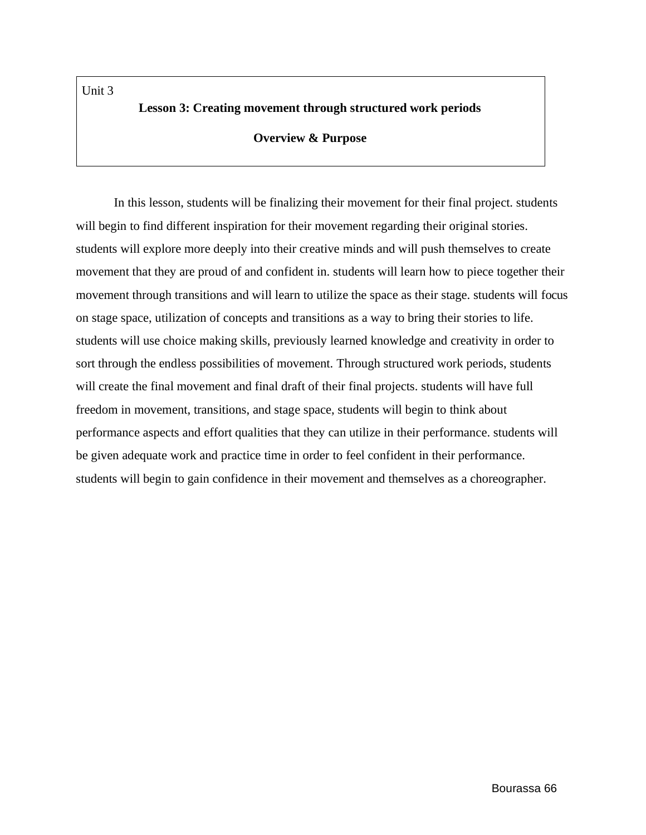Unit 3

## **Lesson 3: Creating movement through structured work periods**

### **Overview & Purpose**

In this lesson, students will be finalizing their movement for their final project. students will begin to find different inspiration for their movement regarding their original stories. students will explore more deeply into their creative minds and will push themselves to create movement that they are proud of and confident in. students will learn how to piece together their movement through transitions and will learn to utilize the space as their stage. students will focus on stage space, utilization of concepts and transitions as a way to bring their stories to life. students will use choice making skills, previously learned knowledge and creativity in order to sort through the endless possibilities of movement. Through structured work periods, students will create the final movement and final draft of their final projects. students will have full freedom in movement, transitions, and stage space, students will begin to think about performance aspects and effort qualities that they can utilize in their performance. students will be given adequate work and practice time in order to feel confident in their performance. students will begin to gain confidence in their movement and themselves as a choreographer.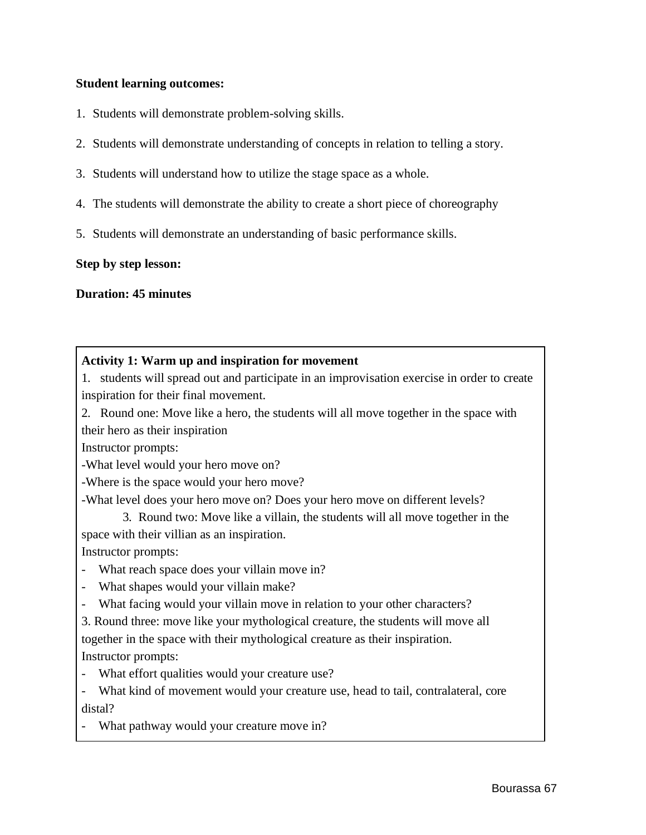### **Student learning outcomes:**

- 1. Students will demonstrate problem-solving skills.
- 2. Students will demonstrate understanding of concepts in relation to telling a story.
- 3. Students will understand how to utilize the stage space as a whole.
- 4. The students will demonstrate the ability to create a short piece of choreography
- 5. Students will demonstrate an understanding of basic performance skills.

### **Step by step lesson:**

### **Duration: 45 minutes**

## **Activity 1: Warm up and inspiration for movement**

1. students will spread out and participate in an improvisation exercise in order to create inspiration for their final movement.

2. Round one: Move like a hero, the students will all move together in the space with their hero as their inspiration

Instructor prompts:

-What level would your hero move on?

-Where is the space would your hero move?

-What level does your hero move on? Does your hero move on different levels?

3. Round two: Move like a villain, the students will all move together in the space with their villian as an inspiration.

Instructor prompts:

- What reach space does your villain move in?
- What shapes would your villain make?
- What facing would your villain move in relation to your other characters?

3. Round three: move like your mythological creature, the students will move all

together in the space with their mythological creature as their inspiration. Instructor prompts:

- What effort qualities would your creature use?
- What kind of movement would your creature use, head to tail, contralateral, core distal?
- What pathway would your creature move in?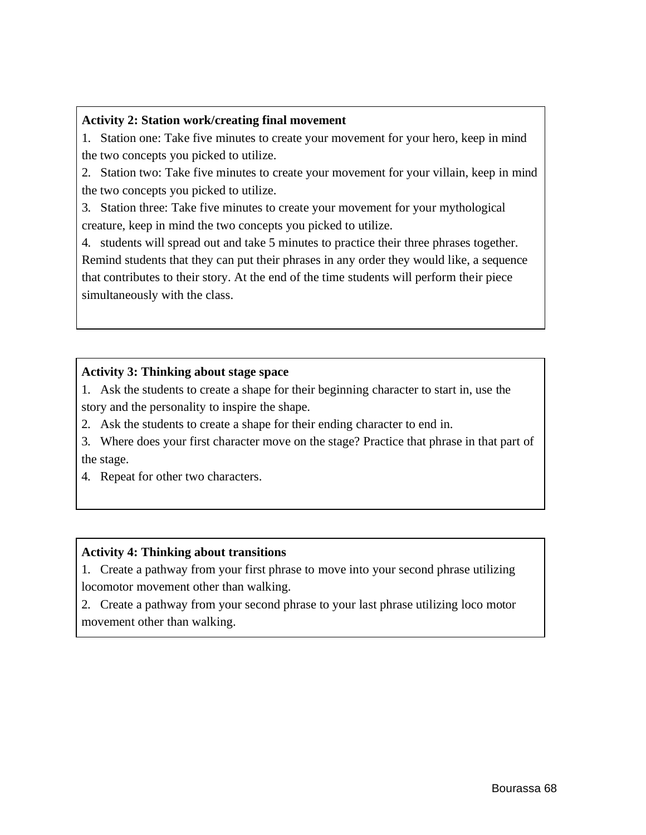### **Activity 2: Station work/creating final movement**

1. Station one: Take five minutes to create your movement for your hero, keep in mind the two concepts you picked to utilize.

2. Station two: Take five minutes to create your movement for your villain, keep in mind the two concepts you picked to utilize.

3. Station three: Take five minutes to create your movement for your mythological creature, keep in mind the two concepts you picked to utilize.

4. students will spread out and take 5 minutes to practice their three phrases together. Remind students that they can put their phrases in any order they would like, a sequence that contributes to their story. At the end of the time students will perform their piece simultaneously with the class.

# **Activity 3: Thinking about stage space**

1. Ask the students to create a shape for their beginning character to start in, use the story and the personality to inspire the shape.

2. Ask the students to create a shape for their ending character to end in.

3. Where does your first character move on the stage? Practice that phrase in that part of the stage.

4. Repeat for other two characters.

# **Activity 4: Thinking about transitions**

1. Create a pathway from your first phrase to move into your second phrase utilizing locomotor movement other than walking.

2. Create a pathway from your second phrase to your last phrase utilizing loco motor movement other than walking.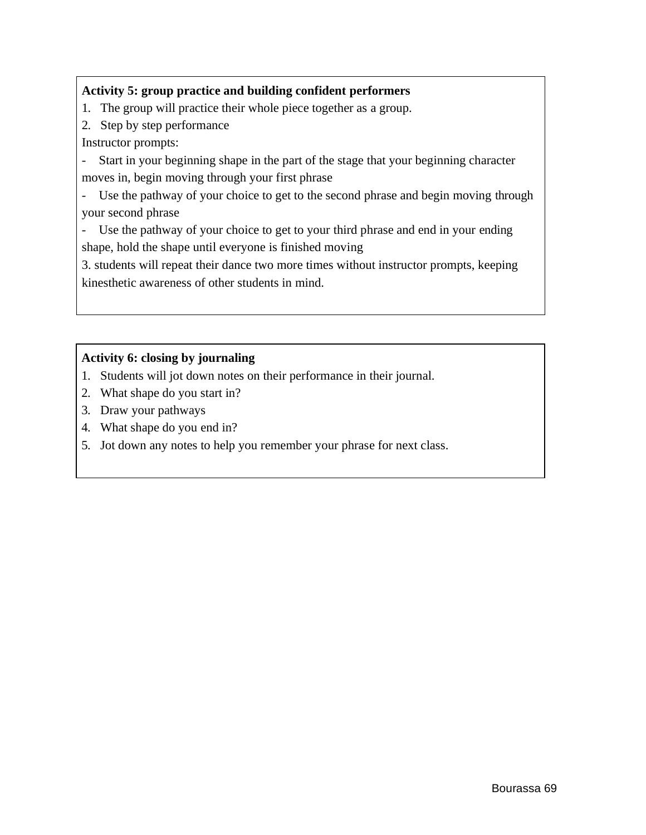# **Activity 5: group practice and building confident performers**

- 1. The group will practice their whole piece together as a group.
- 2. Step by step performance

Instructor prompts:

- Start in your beginning shape in the part of the stage that your beginning character moves in, begin moving through your first phrase

- Use the pathway of your choice to get to the second phrase and begin moving through your second phrase

- Use the pathway of your choice to get to your third phrase and end in your ending shape, hold the shape until everyone is finished moving

3. students will repeat their dance two more times without instructor prompts, keeping kinesthetic awareness of other students in mind.

# **Activity 6: closing by journaling**

- 1. Students will jot down notes on their performance in their journal.
- 2. What shape do you start in?
- 3. Draw your pathways
- 4. What shape do you end in?
- 5. Jot down any notes to help you remember your phrase for next class.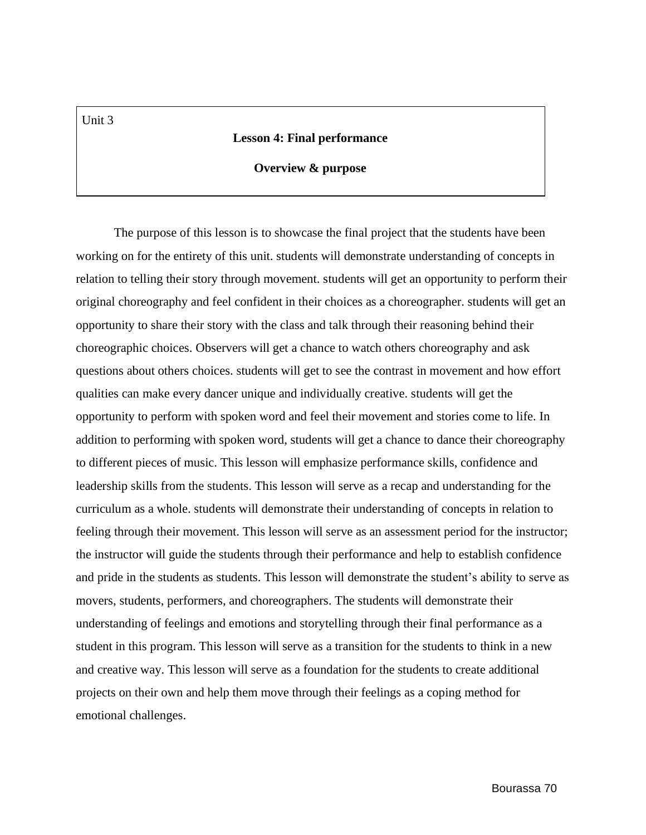#### **Lesson 4: Final performance**

#### **Overview & purpose**

The purpose of this lesson is to showcase the final project that the students have been working on for the entirety of this unit. students will demonstrate understanding of concepts in relation to telling their story through movement. students will get an opportunity to perform their original choreography and feel confident in their choices as a choreographer. students will get an opportunity to share their story with the class and talk through their reasoning behind their choreographic choices. Observers will get a chance to watch others choreography and ask questions about others choices. students will get to see the contrast in movement and how effort qualities can make every dancer unique and individually creative. students will get the opportunity to perform with spoken word and feel their movement and stories come to life. In addition to performing with spoken word, students will get a chance to dance their choreography to different pieces of music. This lesson will emphasize performance skills, confidence and leadership skills from the students. This lesson will serve as a recap and understanding for the curriculum as a whole. students will demonstrate their understanding of concepts in relation to feeling through their movement. This lesson will serve as an assessment period for the instructor; the instructor will guide the students through their performance and help to establish confidence and pride in the students as students. This lesson will demonstrate the student's ability to serve as movers, students, performers, and choreographers. The students will demonstrate their understanding of feelings and emotions and storytelling through their final performance as a student in this program. This lesson will serve as a transition for the students to think in a new and creative way. This lesson will serve as a foundation for the students to create additional projects on their own and help them move through their feelings as a coping method for emotional challenges.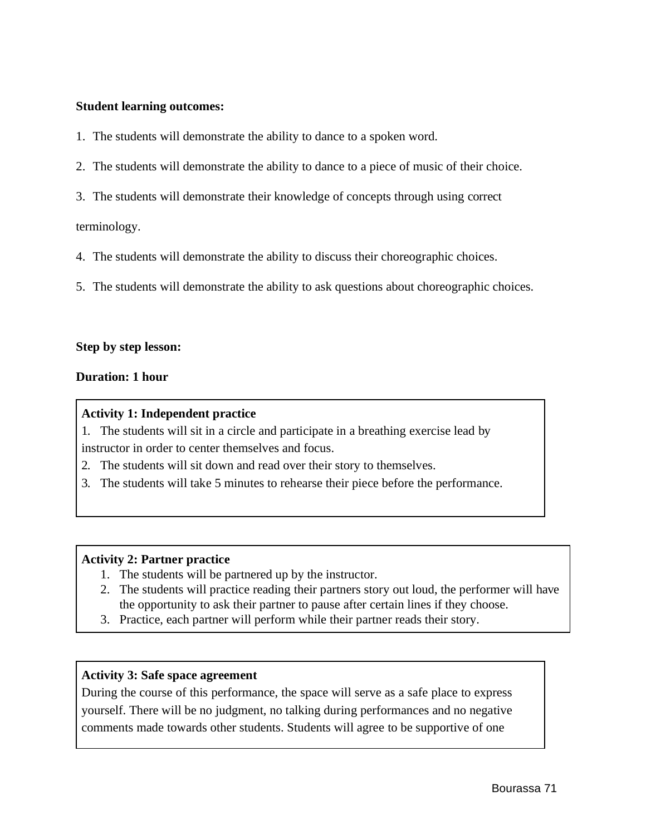#### **Student learning outcomes:**

- 1. The students will demonstrate the ability to dance to a spoken word.
- 2. The students will demonstrate the ability to dance to a piece of music of their choice.
- 3. The students will demonstrate their knowledge of concepts through using correct

terminology.

- 4. The students will demonstrate the ability to discuss their choreographic choices.
- 5. The students will demonstrate the ability to ask questions about choreographic choices.

#### **Step by step lesson:**

### **Duration: 1 hour**

#### **Activity 1: Independent practice**

1. The students will sit in a circle and participate in a breathing exercise lead by instructor in order to center themselves and focus.

- 2. The students will sit down and read over their story to themselves.
- 3. The students will take 5 minutes to rehearse their piece before the performance.

# **Activity 2: Partner practice**

- 1. The students will be partnered up by the instructor.
- 2. The students will practice reading their partners story out loud, the performer will have the opportunity to ask their partner to pause after certain lines if they choose.
- 3. Practice, each partner will perform while their partner reads their story.

# **Activity 3: Safe space agreement**

During the course of this performance, the space will serve as a safe place to express yourself. There will be no judgment, no talking during performances and no negative comments made towards other students. Students will agree to be supportive of one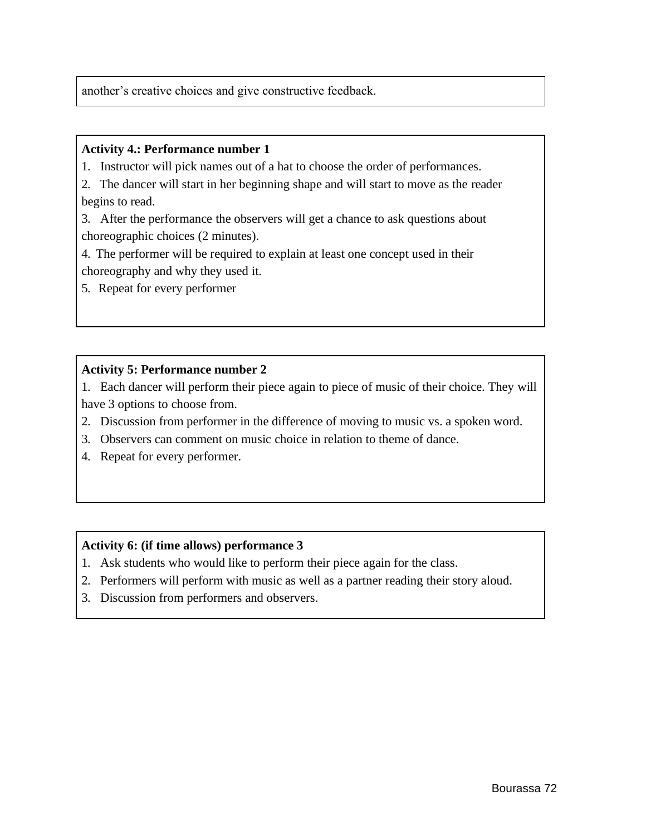another's creative choices and give constructive feedback.

#### **Activity 4.: Performance number 1**

1. Instructor will pick names out of a hat to choose the order of performances.

2. The dancer will start in her beginning shape and will start to move as the reader begins to read.

3. After the performance the observers will get a chance to ask questions about choreographic choices (2 minutes).

4. The performer will be required to explain at least one concept used in their choreography and why they used it.

5. Repeat for every performer

#### **Activity 5: Performance number 2**

1. Each dancer will perform their piece again to piece of music of their choice. They will have 3 options to choose from.

- 2. Discussion from performer in the difference of moving to music vs. a spoken word.
- 3. Observers can comment on music choice in relation to theme of dance.
- 4. Repeat for every performer.

### **Activity 6: (if time allows) performance 3**

- 1. Ask students who would like to perform their piece again for the class.
- 2. Performers will perform with music as well as a partner reading their story aloud.
- 3. Discussion from performers and observers.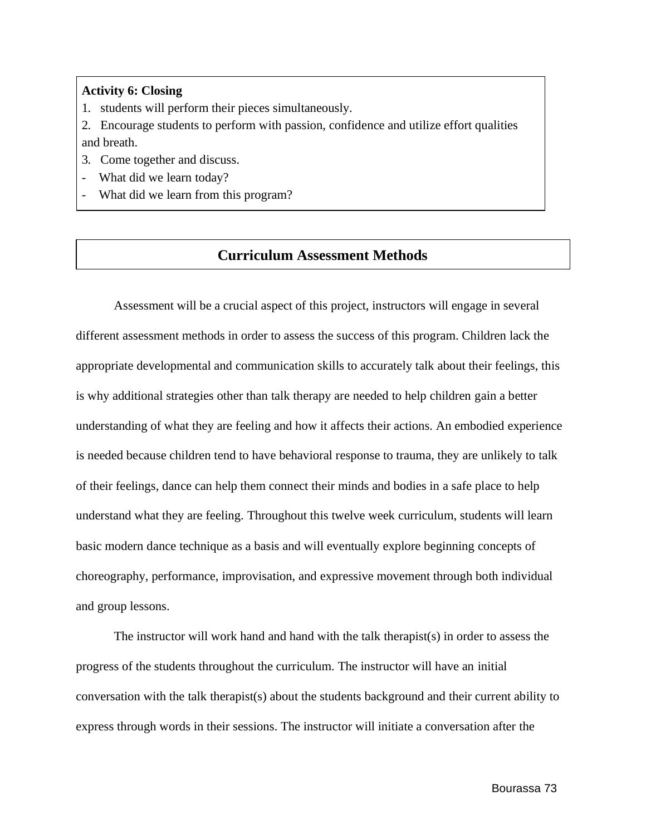#### **Activity 6: Closing**

- 1. students will perform their pieces simultaneously.
- 2. Encourage students to perform with passion, confidence and utilize effort qualities and breath.
- 3. Come together and discuss.
- What did we learn today?
- What did we learn from this program?

# **Curriculum Assessment Methods**

Assessment will be a crucial aspect of this project, instructors will engage in several different assessment methods in order to assess the success of this program. Children lack the appropriate developmental and communication skills to accurately talk about their feelings, this is why additional strategies other than talk therapy are needed to help children gain a better understanding of what they are feeling and how it affects their actions. An embodied experience is needed because children tend to have behavioral response to trauma, they are unlikely to talk of their feelings, dance can help them connect their minds and bodies in a safe place to help understand what they are feeling. Throughout this twelve week curriculum, students will learn basic modern dance technique as a basis and will eventually explore beginning concepts of choreography, performance, improvisation, and expressive movement through both individual and group lessons.

The instructor will work hand and hand with the talk therapist(s) in order to assess the progress of the students throughout the curriculum. The instructor will have an initial conversation with the talk therapist(s) about the students background and their current ability to express through words in their sessions. The instructor will initiate a conversation after the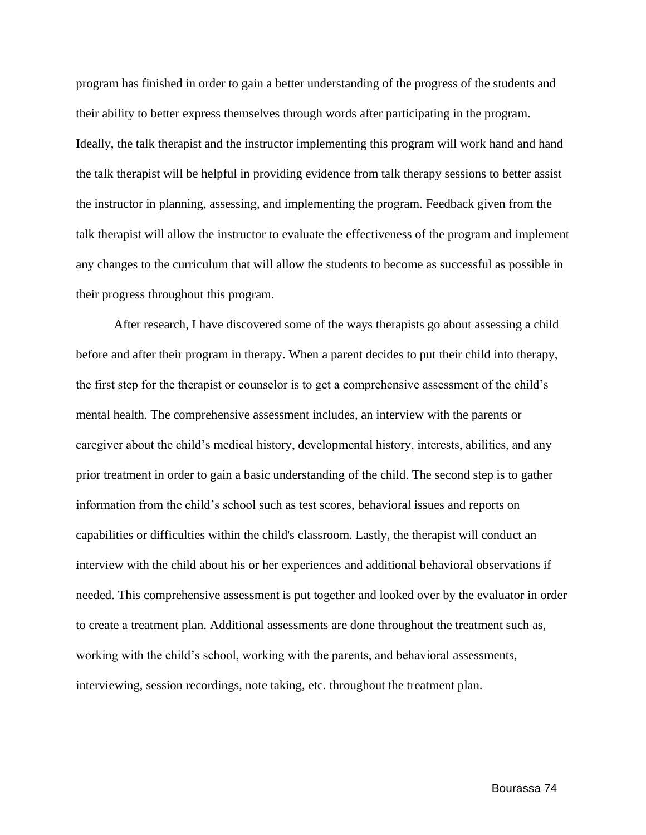program has finished in order to gain a better understanding of the progress of the students and their ability to better express themselves through words after participating in the program. Ideally, the talk therapist and the instructor implementing this program will work hand and hand the talk therapist will be helpful in providing evidence from talk therapy sessions to better assist the instructor in planning, assessing, and implementing the program. Feedback given from the talk therapist will allow the instructor to evaluate the effectiveness of the program and implement any changes to the curriculum that will allow the students to become as successful as possible in their progress throughout this program.

After research, I have discovered some of the ways therapists go about assessing a child before and after their program in therapy. When a parent decides to put their child into therapy, the first step for the therapist or counselor is to get a comprehensive assessment of the child's mental health. The comprehensive assessment includes, an interview with the parents or caregiver about the child's medical history, developmental history, interests, abilities, and any prior treatment in order to gain a basic understanding of the child. The second step is to gather information from the child's school such as test scores, behavioral issues and reports on capabilities or difficulties within the child's classroom. Lastly, the therapist will conduct an interview with the child about his or her experiences and additional behavioral observations if needed. This comprehensive assessment is put together and looked over by the evaluator in order to create a treatment plan. Additional assessments are done throughout the treatment such as, working with the child's school, working with the parents, and behavioral assessments, interviewing, session recordings, note taking, etc. throughout the treatment plan.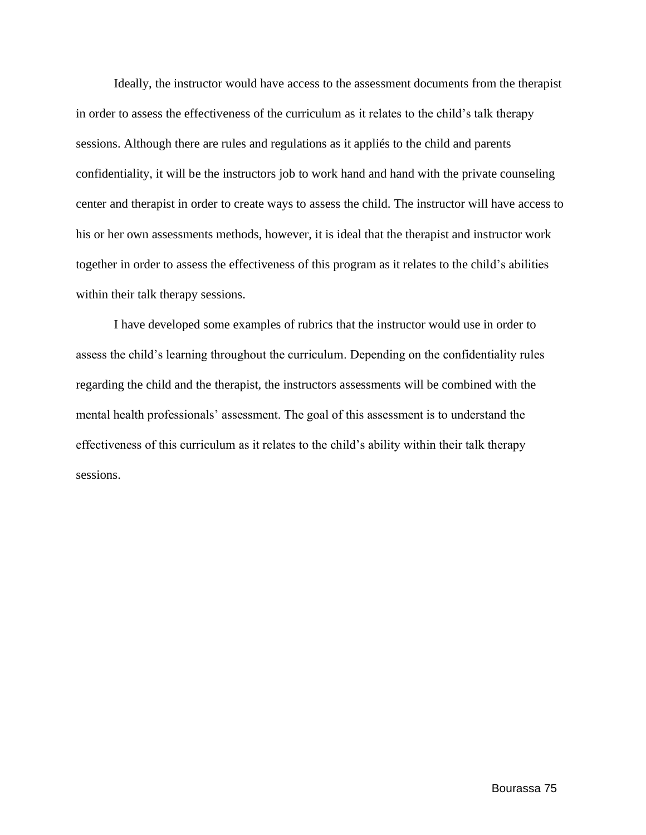Ideally, the instructor would have access to the assessment documents from the therapist in order to assess the effectiveness of the curriculum as it relates to the child's talk therapy sessions. Although there are rules and regulations as it appliés to the child and parents confidentiality, it will be the instructors job to work hand and hand with the private counseling center and therapist in order to create ways to assess the child. The instructor will have access to his or her own assessments methods, however, it is ideal that the therapist and instructor work together in order to assess the effectiveness of this program as it relates to the child's abilities within their talk therapy sessions.

I have developed some examples of rubrics that the instructor would use in order to assess the child's learning throughout the curriculum. Depending on the confidentiality rules regarding the child and the therapist, the instructors assessments will be combined with the mental health professionals' assessment. The goal of this assessment is to understand the effectiveness of this curriculum as it relates to the child's ability within their talk therapy sessions.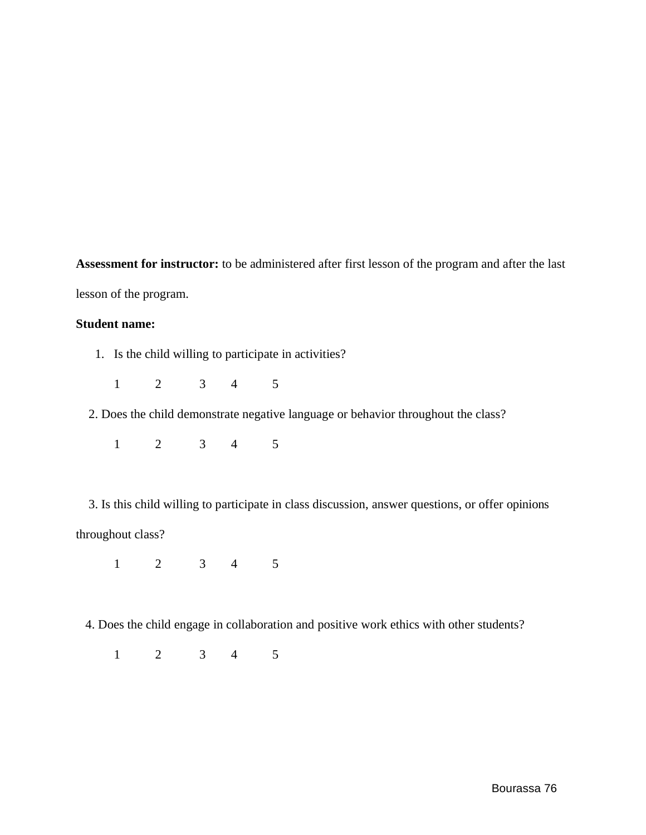**Assessment for instructor:** to be administered after first lesson of the program and after the last lesson of the program.

#### **Student name:**

1. Is the child willing to participate in activities?

1 2 3 4 5

2. Does the child demonstrate negative language or behavior throughout the class?

1 2 3 4 5

3. Is this child willing to participate in class discussion, answer questions, or offer opinions throughout class?

1 2 3 4 5

4. Does the child engage in collaboration and positive work ethics with other students?

1 2 3 4 5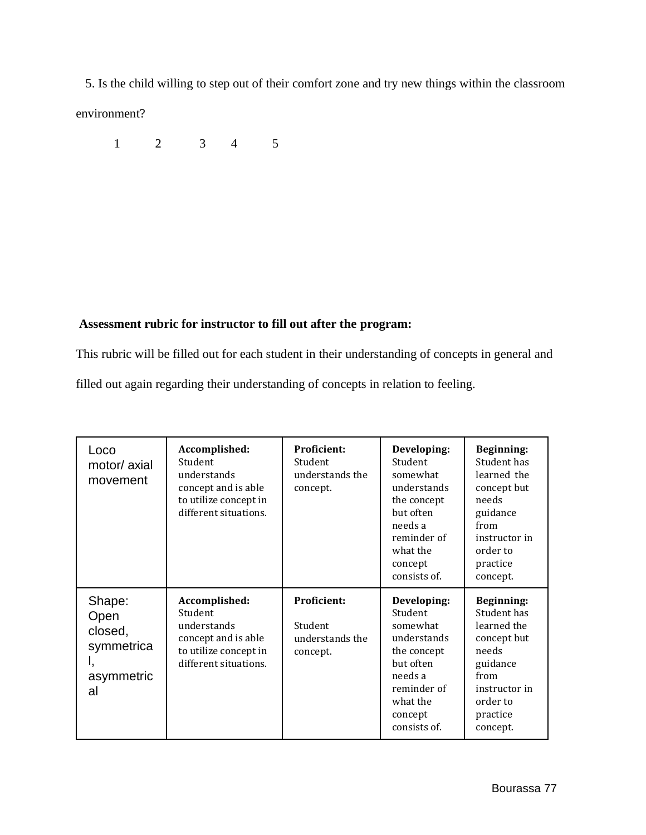5. Is the child willing to step out of their comfort zone and try new things within the classroom environment?

1 2 3 4 5

# **Assessment rubric for instructor to fill out after the program:**

This rubric will be filled out for each student in their understanding of concepts in general and filled out again regarding their understanding of concepts in relation to feeling.

| Loco<br>motor/ axial<br>movement                                  | Accomplished:<br>Student<br>understands<br>concept and is able<br>to utilize concept in<br>different situations. | Proficient:<br>Student<br>understands the<br>concept.        | Developing:<br>Student<br>somewhat<br>understands<br>the concept<br>but often<br>needs a<br>reminder of<br>what the<br>concept<br>consists of. | <b>Beginning:</b><br>Student has<br>learned the<br>concept but<br>needs<br>guidance<br>from<br>instructor in<br>order to<br>practice<br>concept. |
|-------------------------------------------------------------------|------------------------------------------------------------------------------------------------------------------|--------------------------------------------------------------|------------------------------------------------------------------------------------------------------------------------------------------------|--------------------------------------------------------------------------------------------------------------------------------------------------|
| Shape:<br>Open<br>closed,<br>symmetrica<br>Ι,<br>asymmetric<br>al | Accomplished:<br>Student<br>understands<br>concept and is able<br>to utilize concept in<br>different situations. | <b>Proficient:</b><br>Student<br>understands the<br>concept. | Developing:<br>Student<br>somewhat<br>understands<br>the concept<br>but often<br>needs a<br>reminder of<br>what the<br>concept<br>consists of. | <b>Beginning:</b><br>Student has<br>learned the<br>concept but<br>needs<br>guidance<br>from<br>instructor in<br>order to<br>practice<br>concept. |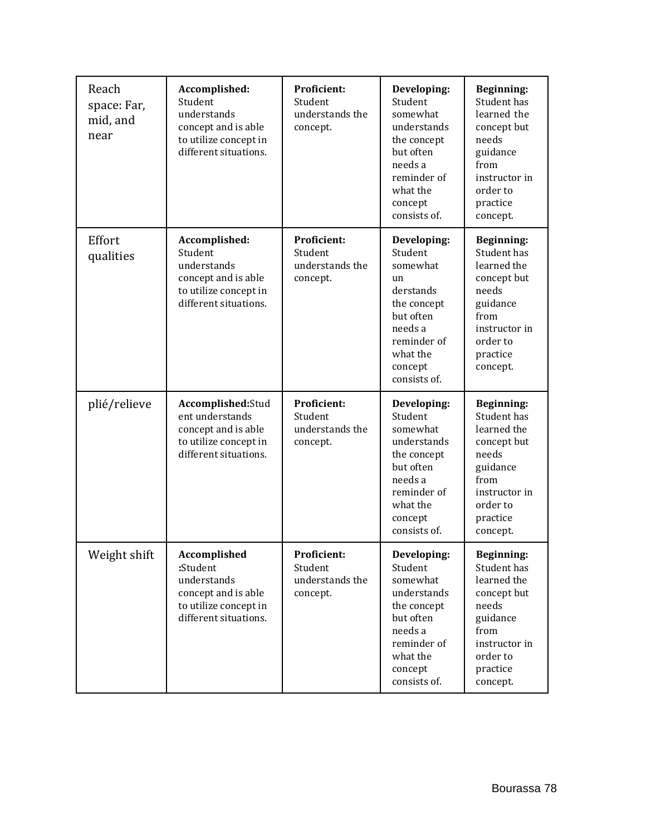| Reach<br>space: Far,<br>mid, and<br>near | Accomplished:<br>Student<br>understands<br>concept and is able<br>to utilize concept in<br>different situations. | <b>Proficient:</b><br>Student<br>understands the<br>concept. | Developing:<br>Student<br>somewhat<br>understands<br>the concept<br>but often<br>needs a<br>reminder of<br>what the<br>concept<br>consists of.     | <b>Beginning:</b><br>Student has<br>learned the<br>concept but<br>needs<br>guidance<br>from<br>instructor in<br>order to<br>practice<br>concept. |
|------------------------------------------|------------------------------------------------------------------------------------------------------------------|--------------------------------------------------------------|----------------------------------------------------------------------------------------------------------------------------------------------------|--------------------------------------------------------------------------------------------------------------------------------------------------|
| Effort<br>qualities                      | Accomplished:<br>Student<br>understands<br>concept and is able<br>to utilize concept in<br>different situations. | <b>Proficient:</b><br>Student<br>understands the<br>concept. | Developing:<br>Student<br>somewhat<br>un<br>derstands<br>the concept<br>but often<br>needs a<br>reminder of<br>what the<br>concept<br>consists of. | <b>Beginning:</b><br>Student has<br>learned the<br>concept but<br>needs<br>guidance<br>from<br>instructor in<br>order to<br>practice<br>concept. |
| plié/relieve                             | Accomplished:Stud<br>ent understands<br>concept and is able<br>to utilize concept in<br>different situations.    | <b>Proficient:</b><br>Student<br>understands the<br>concept. | Developing:<br>Student<br>somewhat<br>understands<br>the concept<br>but often<br>needs a<br>reminder of<br>what the<br>concept<br>consists of.     | <b>Beginning:</b><br>Student has<br>learned the<br>concept but<br>needs<br>guidance<br>from<br>instructor in<br>order to<br>practice<br>concept. |
| Weight shift                             | Accomplished<br>:Student<br>understands<br>concept and is able<br>to utilize concept in<br>different situations. | Proficient:<br>Student<br>understands the<br>concept.        | Developing:<br>Student<br>somewhat<br>understands<br>the concept<br>but often<br>needs a<br>reminder of<br>what the<br>concept<br>consists of.     | <b>Beginning:</b><br>Student has<br>learned the<br>concept but<br>needs<br>guidance<br>from<br>instructor in<br>order to<br>practice<br>concept. |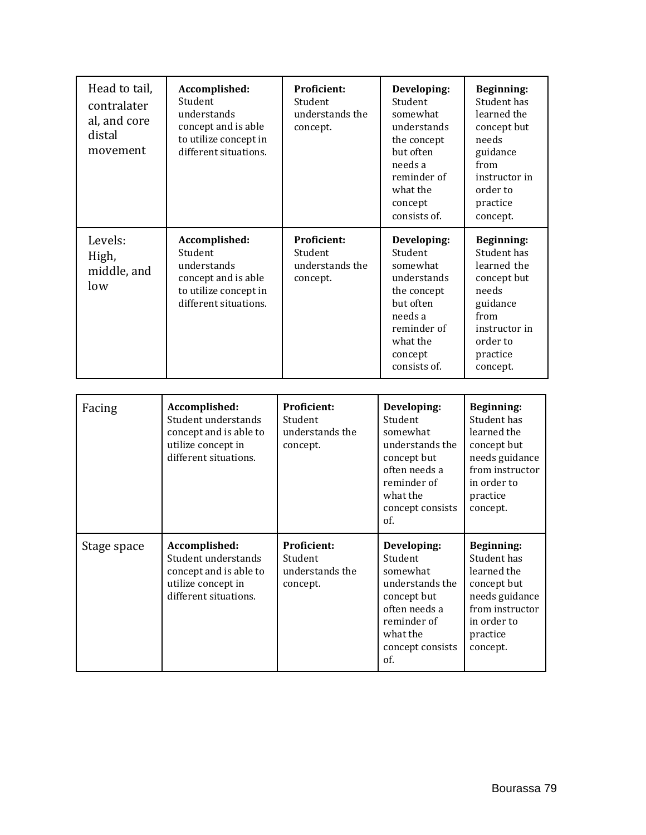| Head to tail,<br>contralater<br>al, and core<br>distal<br>movement | Accomplished:<br>Student<br>understands<br>concept and is able<br>to utilize concept in<br>different situations. | <b>Proficient:</b><br>Student<br>understands the<br>concept. | Developing:<br>Student<br>somewhat<br>understands<br>the concept<br>but often<br>needs a<br>reminder of<br>what the<br>concept<br>consists of. | <b>Beginning:</b><br>Student has<br>learned the<br>concept but<br>needs<br>guidance<br>from<br>instructor in<br>order to<br>practice<br>concept. |
|--------------------------------------------------------------------|------------------------------------------------------------------------------------------------------------------|--------------------------------------------------------------|------------------------------------------------------------------------------------------------------------------------------------------------|--------------------------------------------------------------------------------------------------------------------------------------------------|
| Levels:<br>High,<br>middle, and<br>low                             | Accomplished:<br>Student<br>understands<br>concept and is able<br>to utilize concept in<br>different situations. | <b>Proficient:</b><br>Student<br>understands the<br>concept. | Developing:<br>Student<br>somewhat<br>understands<br>the concept<br>but often<br>needs a<br>reminder of<br>what the<br>concept<br>consists of. | <b>Beginning:</b><br>Student has<br>learned the<br>concept but<br>needs<br>guidance<br>from<br>instructor in<br>order to<br>practice<br>concept. |
| Facing                                                             | Accomplished:<br>Student understands<br>concept and is able to<br>utilize concept in<br>different situations.    | <b>Proficient:</b><br>Student<br>understands the<br>concept. | Developing:<br>Student<br>somewhat<br>understands the<br>concept but<br>often needs a<br>reminder of<br>what the<br>concept consists<br>of.    | <b>Beginning:</b><br>Student has<br>learned the<br>concept but<br>needs guidance<br>from instructor<br>in order to<br>practice<br>concept.       |
| Stage space                                                        | Accomplished:<br>Student understands<br>concept and is able to<br>utilize concept in<br>different situations.    | <b>Proficient:</b><br>Student<br>understands the<br>concept. | Developing:<br>Student<br>somewhat<br>understands the<br>concept but<br>often needs a<br>reminder of<br>what the<br>concept consists<br>of.    | Beginning:<br>Student has<br>learned the<br>concept but<br>needs guidance<br>from instructor<br>in order to<br>practice<br>concept.              |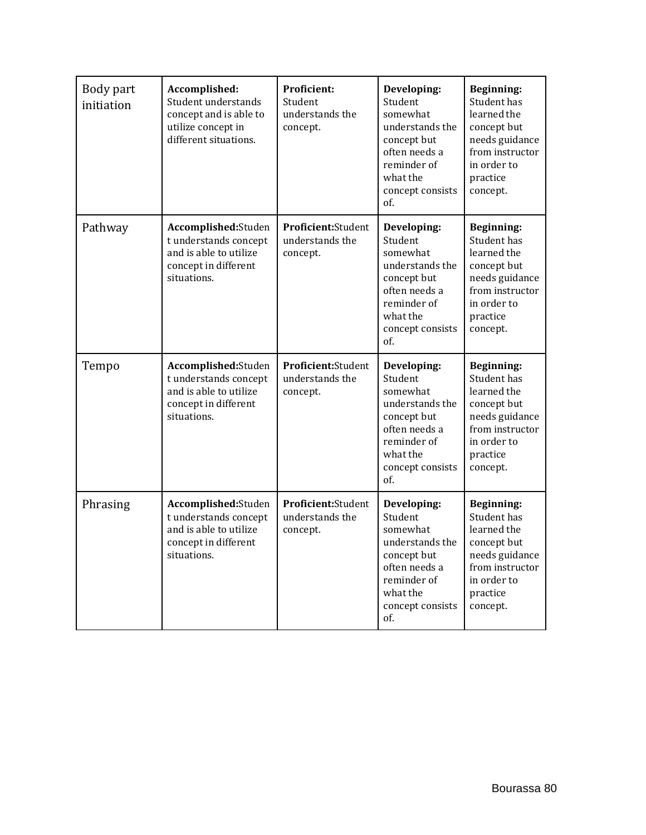| Body part<br>initiation | Accomplished:<br>Student understands<br>concept and is able to<br>utilize concept in<br>different situations. | <b>Proficient:</b><br>Student<br>understands the<br>concept. | Developing:<br>Student<br>somewhat<br>understands the<br>concept but<br>often needs a<br>reminder of<br>what the<br>concept consists<br>of. | <b>Beginning:</b><br>Student has<br>learned the<br>concept but<br>needs guidance<br>from instructor<br>in order to<br>practice<br>concept. |
|-------------------------|---------------------------------------------------------------------------------------------------------------|--------------------------------------------------------------|---------------------------------------------------------------------------------------------------------------------------------------------|--------------------------------------------------------------------------------------------------------------------------------------------|
| Pathway                 | Accomplished:Studen<br>t understands concept<br>and is able to utilize<br>concept in different<br>situations. | Proficient:Student<br>understands the<br>concept.            | Developing:<br>Student<br>somewhat<br>understands the<br>concept but<br>often needs a<br>reminder of<br>what the<br>concept consists<br>of. | <b>Beginning:</b><br>Student has<br>learned the<br>concept but<br>needs guidance<br>from instructor<br>in order to<br>practice<br>concept. |
| Tempo                   | Accomplished:Studen<br>t understands concept<br>and is able to utilize<br>concept in different<br>situations. | Proficient:Student<br>understands the<br>concept.            | Developing:<br>Student<br>somewhat<br>understands the<br>concept but<br>often needs a<br>reminder of<br>what the<br>concept consists<br>of. | <b>Beginning:</b><br>Student has<br>learned the<br>concept but<br>needs guidance<br>from instructor<br>in order to<br>practice<br>concept. |
| Phrasing                | Accomplished:Studen<br>t understands concept<br>and is able to utilize<br>concept in different<br>situations. | Proficient:Student<br>understands the<br>concept.            | Developing:<br>Student<br>somewhat<br>understands the<br>concept but<br>often needs a<br>reminder of<br>what the<br>concept consists<br>of. | <b>Beginning:</b><br>Student has<br>learned the<br>concept but<br>needs guidance<br>from instructor<br>in order to<br>practice<br>concept. |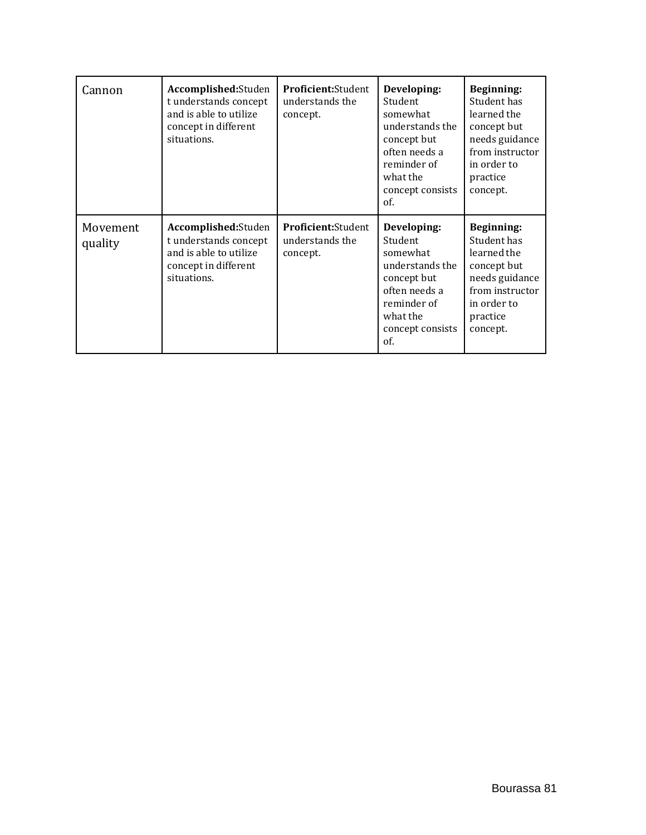| Cannon              | Accomplished:Studen<br>t understands concept<br>and is able to utilize<br>concept in different<br>situations. | <b>Proficient:</b> Student<br>understands the<br>concept. | Developing:<br>Student<br>somewhat<br>understands the<br>concept but<br>often needs a<br>reminder of<br>what the<br>concept consists<br>of. | Beginning:<br>Student has<br>learned the<br>concept but<br>needs guidance<br>from instructor<br>in order to<br>practice<br>concept. |
|---------------------|---------------------------------------------------------------------------------------------------------------|-----------------------------------------------------------|---------------------------------------------------------------------------------------------------------------------------------------------|-------------------------------------------------------------------------------------------------------------------------------------|
| Movement<br>quality | Accomplished:Studen<br>t understands concept<br>and is able to utilize<br>concept in different<br>situations. | Proficient: Student<br>understands the<br>concept.        | Developing:<br>Student<br>somewhat<br>understands the<br>concept but<br>often needs a<br>reminder of<br>what the<br>concept consists<br>of. | Beginning:<br>Student has<br>learned the<br>concept but<br>needs guidance<br>from instructor<br>in order to<br>practice<br>concept. |